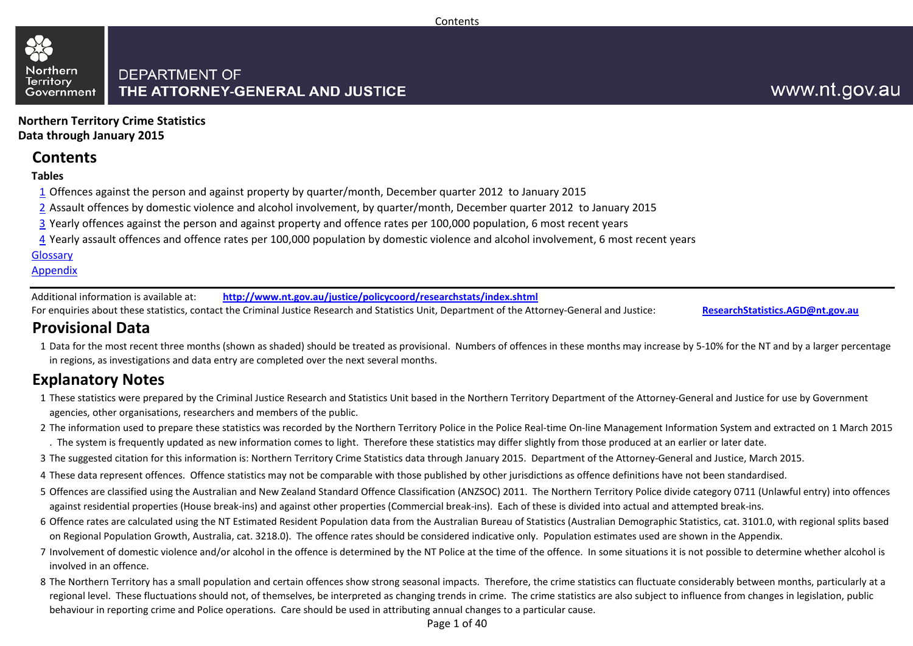#### **DEPARTMENT OF** THE ATTORNEY-GENERAL AND JUSTICE Government

## www.nt.gov.au

**Northern Territory Crime Statistics Data through January 2015**

## **Contents**

#### **Tables**

Northern

**Territory** 

- 1 Offences against the person and against property by quarter/month, December quarter 2012 to January 2015
- 2 Assault offences by domestic violence and alcohol involvement, by quarter/month, December quarter 2012 to January 2015
- 3 Yearly offences against the person and against property and offence rates per 100,000 population, 6 most recent years
- 4 Yearly assault offences and offence rates per 100,000 population by domestic violence and alcohol involvement, 6 most recent years

#### [Glossary](#page-37-0)

#### **Appendix**

Additional information is available at: **<http://www.nt.gov.au/justice/policycoord/researchstats/index.shtml>**

For enquiries about these statistics, contact the Criminal Justice Research and Statistics Unit, Department of the Attorney-General and Justice: **[ResearchStatistics.AGD@nt.gov.au](mailto:ResearchStatistics.DOJ@nt.gov.au)**

## **Provisional Data**

1 Data for the most recent three months (shown as shaded) should be treated as provisional. Numbers of offences in these months may increase by 5-10% for the NT and by a larger percentage in regions, as investigations and data entry are completed over the next several months.

## **Explanatory Notes**

- 1 These statistics were prepared by the Criminal Justice Research and Statistics Unit based in the Northern Territory Department of the Attorney-General and Justice for use by Government agencies, other organisations, researchers and members of the public.
- 2 The information used to prepare these statistics was recorded by the Northern Territory Police in the Police Real-time On-line Management Information System and extracted on 1 March 2015 . The system is frequently updated as new information comes to light. Therefore these statistics may differ slightly from those produced at an earlier or later date.
- 3 The suggested citation for this information is: Northern Territory Crime Statistics data through January 2015. Department of the Attorney-General and Justice, March 2015.
- 4 These data represent offences. Offence statistics may not be comparable with those published by other jurisdictions as offence definitions have not been standardised.
- 5 Offences are classified using the Australian and New Zealand Standard Offence Classification (ANZSOC) 2011. The Northern Territory Police divide category 0711 (Unlawful entry) into offences against residential properties (House break-ins) and against other properties (Commercial break-ins). Each of these is divided into actual and attempted break-ins.
- 6 Offence rates are calculated using the NT Estimated Resident Population data from the Australian Bureau of Statistics (Australian Demographic Statistics, cat. 3101.0, with regional splits based on Regional Population Growth, Australia, cat. 3218.0). The offence rates should be considered indicative only. Population estimates used are shown in the Appendix.
- 7 Involvement of domestic violence and/or alcohol in the offence is determined by the NT Police at the time of the offence. In some situations it is not possible to determine whether alcohol is involved in an offence.
- 8 The Northern Territory has a small population and certain offences show strong seasonal impacts. Therefore, the crime statistics can fluctuate considerably between months, particularly at a regional level. These fluctuations should not, of themselves, be interpreted as changing trends in crime. The crime statistics are also subject to influence from changes in legislation, public behaviour in reporting crime and Police operations. Care should be used in attributing annual changes to a particular cause.

Page 1 of 40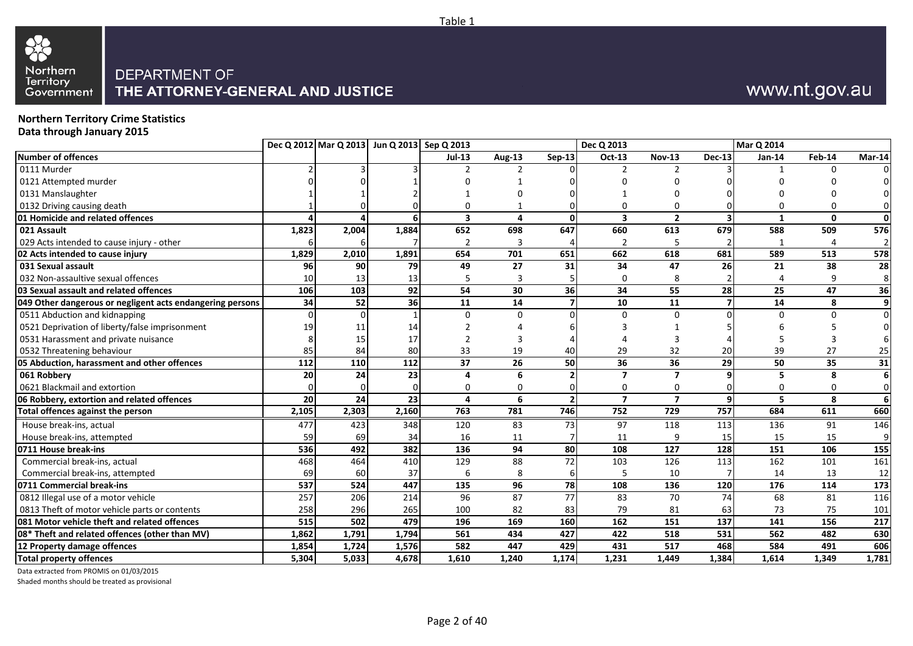

## www.nt.gov.au

## **Northern Territory Crime Statistics**

**Data through January 2015**

|                                                           |          | Dec Q 2012 Mar Q 2013 Jun Q 2013 Sep Q 2013 |       |                         |               |                | Dec Q 2013              |                |               | <b>Mar Q 2014</b> |          |                  |
|-----------------------------------------------------------|----------|---------------------------------------------|-------|-------------------------|---------------|----------------|-------------------------|----------------|---------------|-------------------|----------|------------------|
| Number of offences                                        |          |                                             |       | $Jul-13$                | <b>Aug-13</b> | $Sep-13$       | Oct-13                  | <b>Nov-13</b>  | <b>Dec-13</b> | $Jan-14$          | Feb-14   | Mar-14           |
| 0111 Murder                                               |          |                                             |       |                         | $\mathcal{P}$ |                |                         |                |               |                   |          |                  |
| 0121 Attempted murder                                     |          |                                             |       |                         |               |                |                         |                |               |                   |          |                  |
| 0131 Manslaughter                                         |          |                                             |       |                         |               |                |                         |                |               |                   |          | 0                |
| 0132 Driving causing death                                |          |                                             |       | $\Omega$                |               |                | $\Omega$                | 0              |               |                   |          | 0                |
| <b>01 Homicide and related offences</b>                   |          |                                             | 6     | $\overline{\mathbf{3}}$ | 4             | $\Omega$       | $\overline{\mathbf{3}}$ | $\overline{2}$ |               | $\mathbf{1}$      | $\Omega$ | $\mathbf{0}$     |
| 021 Assault                                               | 1,823    | 2,004                                       | 1,884 | 652                     | 698           | 647            | 660                     | 613            | 679           | 588               | 509      | 576              |
| 029 Acts intended to cause injury - other                 |          |                                             |       | $\overline{2}$          | 3             |                | $\overline{2}$          | 5              |               |                   |          | 2                |
| 02 Acts intended to cause injury                          | 1,829    | 2,010                                       | 1,891 | 654                     | 701           | 651            | 662                     | 618            | 681           | 589               | 513      | 578              |
| 031 Sexual assault                                        | 96       | 90                                          | 79    | 49                      | 27            | 31             | 34                      | 47             | 26            | 21                | 38       | 28               |
| 032 Non-assaultive sexual offences                        | 10       | 13                                          | 13    | -5                      | 3             |                | $\Omega$                | 8              |               |                   |          | 8                |
| 03 Sexual assault and related offences                    | 106      | 103                                         | 92    | 54                      | 30            | 36             | 34                      | 55             | 28            | 25                | 47       | 36               |
| 049 Other dangerous or negligent acts endangering persons | 34       | 52                                          | 36    | 11                      | 14            |                | 10                      | 11             |               | 14                | 8        | 9                |
| 0511 Abduction and kidnapping                             | $\Omega$ |                                             |       | $\Omega$                | $\Omega$      |                | $\Omega$                | $\Omega$       |               | $\Omega$          | $\Omega$ | $\overline{0}$   |
| 0521 Deprivation of liberty/false imprisonment            | 19       | 11                                          | 14    |                         |               |                |                         |                |               |                   |          | $\Omega$         |
| 0531 Harassment and private nuisance                      |          | 15                                          | 17    |                         |               |                |                         |                |               |                   |          | 6                |
| 0532 Threatening behaviour                                | 85       | 84                                          | 80    | 33                      | 19            | 40             | 29                      | 32             | 20            | 39                | 27       | 25               |
| 05 Abduction, harassment and other offences               | 112      | 110                                         | 112   | 37                      | 26            | 50             | $\overline{36}$         | 36             | 29            | 50                | 35       | 31               |
| 061 Robbery                                               | 20       | 24                                          | 23    | 4                       | 6             |                | $\overline{ }$          | $\overline{7}$ |               | 5                 | 8        | 6                |
| 0621 Blackmail and extortion                              |          |                                             |       | 0                       | $\Omega$      |                | $\mathbf 0$             | 0              |               | O                 |          | 0                |
| 06 Robbery, extortion and related offences                | 20       | 24                                          | 23    | $\overline{a}$          | 6             | $\overline{2}$ | $\overline{ }$          | $\overline{7}$ | $\mathbf{9}$  | 5                 | 8        | 6                |
| Total offences against the person                         | 2,105    | 2,303                                       | 2,160 | 763                     | 781           | 746            | 752                     | 729            | 757           | 684               | 611      | 660              |
| House break-ins, actual                                   | 477      | 423                                         | 348   | 120                     | 83            | 73             | 97                      | 118            | 113           | 136               | 91       | 146              |
| House break-ins, attempted                                | 59       | 69                                          | 34    | 16                      | 11            |                | 11                      | 9              | 15            | 15                | 15       | 9                |
| 0711 House break-ins                                      | 536      | 492                                         | 382   | 136                     | 94            | 80             | 108                     | 127            | 128           | 151               | 106      | 155              |
| Commercial break-ins, actual                              | 468      | 464                                         | 410   | 129                     | 88            | 72             | 103                     | 126            | 113           | 162               | 101      | 161              |
| Commercial break-ins, attempted                           | 69       | 60                                          | 37    | 6                       | 8             |                | 5                       | 10             |               | 14                | 13       | 12               |
| 0711 Commercial break-ins                                 | 537      | 524                                         | 447   | 135                     | 96            | 78             | 108                     | 136            | 120           | 176               | 114      | 173              |
| 0812 Illegal use of a motor vehicle                       | 257      | 206                                         | 214   | 96                      | 87            | 77             | 83                      | 70             | 74            | 68                | 81       | 116              |
| 0813 Theft of motor vehicle parts or contents             | 258      | 296                                         | 265   | 100                     | 82            | 83             | 79                      | 81             | 63            | 73                | 75       | 101              |
| 081 Motor vehicle theft and related offences              | 515      | 502                                         | 479   | 196                     | 169           | 160            | 162                     | 151            | 137           | 141               | 156      | $\overline{217}$ |
| 08* Theft and related offences (other than MV)            | 1,862    | 1,791                                       | 1,794 | 561                     | 434           | 427            | 422                     | 518            | 531           | 562               | 482      | 630              |
| 12 Property damage offences                               | 1,854    | 1,724                                       | 1,576 | 582                     | 447           | 429            | 431                     | 517            | 468           | 584               | 491      | 606              |
| <b>Total property offences</b>                            | 5,304    | 5,033                                       | 4,678 | 1,610                   | 1,240         | 1,174          | 1,231                   | 1,449          | 1,384         | 1,614             | 1,349    | 1,781            |

Data extracted from PROMIS on 01/03/2015

Shaded months should be treated as provisional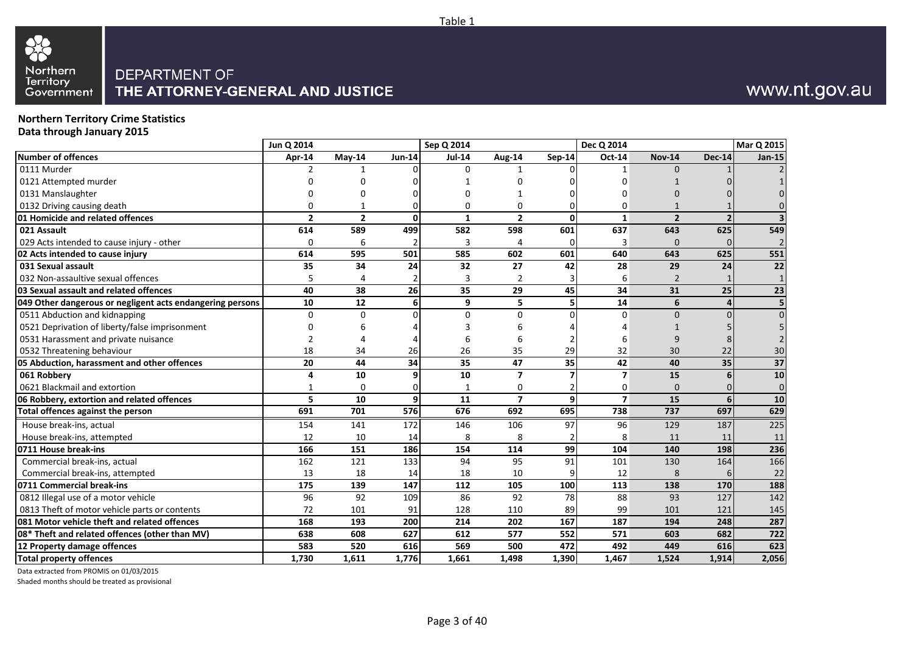

## www.nt.gov.au

## **Northern Territory Crime Statistics**

**Data through January 2015**

|                                                           | Jun Q 2014      |                          |                 | Sep Q 2014    |                |                 | Dec Q 2014               |                |                          | <b>Mar Q 2015</b> |
|-----------------------------------------------------------|-----------------|--------------------------|-----------------|---------------|----------------|-----------------|--------------------------|----------------|--------------------------|-------------------|
| Number of offences                                        | Apr-14          | $May-14$                 | <b>Jun-14</b>   | <b>Jul-14</b> | Aug-14         | Sep-14          | Oct-14                   | <b>Nov-14</b>  | <b>Dec-14</b>            | Jan-15            |
| 0111 Murder                                               |                 |                          |                 | $\Omega$      |                |                 |                          | n              |                          |                   |
| 0121 Attempted murder                                     |                 | n                        |                 |               |                |                 |                          |                |                          |                   |
| 0131 Manslaughter                                         |                 |                          |                 |               |                |                 | n                        | U              |                          |                   |
| 0132 Driving causing death                                | $\Omega$        |                          | $\Omega$        | 0             | 0              |                 | $\Omega$                 |                |                          |                   |
| 01 Homicide and related offences                          | $\overline{2}$  | $\overline{2}$           | $\Omega$        | $\mathbf{1}$  | $\overline{2}$ | O               | $\mathbf{1}$             | $\overline{2}$ | $\overline{\phantom{a}}$ |                   |
| 021 Assault                                               | 614             | 589                      | 499             | 582           | 598            | 601             | 637                      | 643            | 625                      | 549               |
| 029 Acts intended to cause injury - other                 | $\Omega$        | 6                        |                 | 3             |                |                 |                          |                |                          |                   |
| 02 Acts intended to cause injury                          | 614             | 595                      | 501             | 585           | 602            | 601             | 640                      | 643            | 625                      | 551               |
| 031 Sexual assault                                        | 35              | 34                       | 24              | 32            | 27             | 42              | 28                       | 29             | 24                       | 22                |
| 032 Non-assaultive sexual offences                        | 5               | $\boldsymbol{\varDelta}$ |                 | 3             | $\overline{2}$ |                 | 6                        | $\overline{2}$ |                          |                   |
| 03 Sexual assault and related offences                    | 40              | 38                       | 26              | 35            | 29             | 45              | 34                       | 31             | 25                       | 23                |
| 049 Other dangerous or negligent acts endangering persons | 10              | 12                       | 6               | 9             | 5              |                 | 14                       | 6              | Δ                        |                   |
| 0511 Abduction and kidnapping                             | $\mathbf 0$     | $\Omega$                 | $\Omega$        | $\Omega$      | $\Omega$       |                 | $\Omega$                 | $\Omega$       |                          |                   |
| 0521 Deprivation of liberty/false imprisonment            |                 |                          |                 |               |                |                 |                          |                |                          |                   |
| 0531 Harassment and private nuisance                      | $\overline{2}$  |                          |                 | 6             | 6              |                 |                          |                |                          |                   |
| 0532 Threatening behaviour                                | 18              | 34                       | 26              | 26            | 35             | 29              | 32                       | 30             | 22                       | 30                |
| 05 Abduction, harassment and other offences               | $\overline{20}$ | 44                       | $\overline{34}$ | 35            | 47             | $\overline{35}$ | $\overline{42}$          | 40             | 35                       | $\overline{37}$   |
| 061 Robbery                                               | 4               | 10                       | q               | 10            | $\overline{7}$ |                 | $\overline{\phantom{a}}$ | 15             |                          | 10                |
| 0621 Blackmail and extortion                              | 1               | $\Omega$                 | n               |               | 0              |                 | 0                        |                |                          | $\Omega$          |
| 06 Robbery, extortion and related offences                | 5               | 10                       | 9               | 11            | $\overline{7}$ |                 | $\overline{\phantom{a}}$ | 15             | 6                        | 10                |
| Total offences against the person                         | 691             | 701                      | 576             | 676           | 692            | 695             | 738                      | 737            | 697                      | 629               |
| House break-ins, actual                                   | 154             | 141                      | 172             | 146           | 106            | 97              | 96                       | 129            | 187                      | 225               |
| House break-ins, attempted                                | 12              | 10                       | 14              | 8             | 8              |                 | 8                        | 11             | 11                       | 11                |
| 0711 House break-ins                                      | 166             | 151                      | 186             | 154           | 114            | 99              | 104                      | 140            | 198                      | 236               |
| Commercial break-ins, actual                              | 162             | 121                      | 133             | 94            | 95             | 91              | 101                      | 130            | 164                      | 166               |
| Commercial break-ins, attempted                           | 13              | 18                       | 14              | 18            | 10             |                 | 12                       | 8              | 6                        | 22                |
| 0711 Commercial break-ins                                 | 175             | 139                      | 147             | 112           | 105            | 100             | 113                      | 138            | 170                      | 188               |
| 0812 Illegal use of a motor vehicle                       | 96              | 92                       | 109             | 86            | 92             | 78              | 88                       | 93             | 127                      | 142               |
| 0813 Theft of motor vehicle parts or contents             | 72              | 101                      | 91              | 128           | 110            | 89              | 99                       | 101            | 121                      | 145               |
| 081 Motor vehicle theft and related offences              | 168             | 193                      | 200             | 214           | 202            | 167             | 187                      | 194            | 248                      | 287               |
| 08* Theft and related offences (other than MV)            | 638             | 608                      | 627             | 612           | 577            | 552             | 571                      | 603            | 682                      | $\overline{722}$  |
| 12 Property damage offences                               | 583             | 520                      | 616             | 569           | 500            | 472             | 492                      | 449            | 616                      | 623               |
| <b>Total property offences</b>                            | 1,730           | 1,611                    | 1,776           | 1,661         | 1,498          | 1,390           | 1,467                    | 1,524          | 1,914                    | 2,056             |

Data extracted from PROMIS on 01/03/2015

Shaded months should be treated as provisional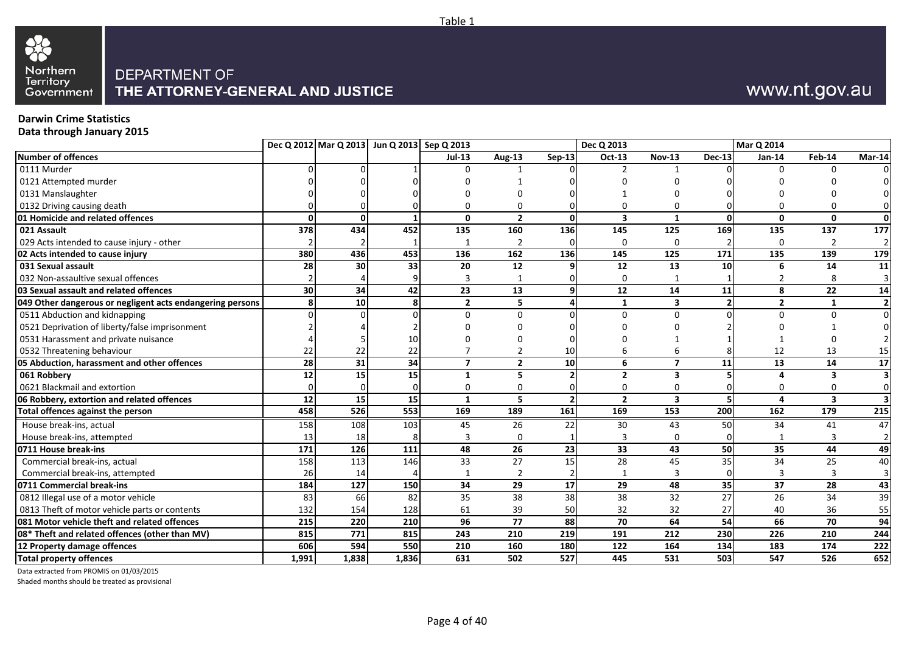

## www.nt.gov.au

### **Darwin Crime Statistics**

**Data through January 2015**

|                                                           |                 | Dec Q 2012 Mar Q 2013 Jun Q 2013 Sep Q 2013 |       |                |                 |                          | Dec Q 2013      |                         |               | Mar Q 2014     |                         |                         |
|-----------------------------------------------------------|-----------------|---------------------------------------------|-------|----------------|-----------------|--------------------------|-----------------|-------------------------|---------------|----------------|-------------------------|-------------------------|
| Number of offences                                        |                 |                                             |       | $Jul-13$       | Aug-13          | $Sep-13$                 | Oct-13          | <b>Nov-13</b>           | <b>Dec-13</b> | $Jan-14$       | Feb-14                  | Mar-14                  |
| 0111 Murder                                               |                 |                                             |       | $\Omega$       |                 |                          |                 | 1                       |               | U              |                         |                         |
| 0121 Attempted murder                                     |                 |                                             |       |                |                 |                          |                 |                         |               |                |                         |                         |
| 0131 Manslaughter                                         |                 |                                             |       |                |                 |                          |                 |                         |               |                |                         | 0                       |
| 0132 Driving causing death                                |                 |                                             |       | $\Omega$       |                 |                          | $\Omega$        | O                       |               |                |                         | 0                       |
| 01 Homicide and related offences                          | $\Omega$        | $\Omega$                                    |       | $\mathbf 0$    | $\overline{2}$  | 0                        | 3               | $\mathbf{1}$            | $\Omega$      | $\Omega$       | $\Omega$                | 0                       |
| 021 Assault                                               | 378             | 434                                         | 452   | 135            | 160             | 136                      | 145             | 125                     | 169           | 135            | 137                     | 177                     |
| 029 Acts intended to cause injury - other                 |                 |                                             |       | $\mathbf{1}$   | $\overline{2}$  |                          | $\Omega$        | $\mathbf 0$             |               | $\Omega$       | $\overline{2}$          | 2                       |
| 02 Acts intended to cause injury                          | 380             | 436                                         | 453   | 136            | 162             | 136                      | 145             | 125                     | 171           | 135            | 139                     | 179                     |
| 031 Sexual assault                                        | 28              | 30                                          | 33    | 20             | 12              |                          | 12              | 13                      | 10            | 6              | 14                      | 11                      |
| 032 Non-assaultive sexual offences                        |                 |                                             |       | 3              |                 |                          | $\Omega$        | $\mathbf{1}$            |               |                |                         | 3                       |
| 03 Sexual assault and related offences                    | 30 <sup>1</sup> | 34                                          | 42    | 23             | 13              | 9                        | 12              | 14                      | 11            | 8              | 22                      | 14                      |
| 049 Other dangerous or negligent acts endangering persons | 8               | 10                                          | 8     | $\overline{2}$ | 5               |                          | 1               | 3                       |               | $\overline{2}$ | 1                       | $\overline{\mathbf{2}}$ |
| 0511 Abduction and kidnapping                             |                 |                                             |       | $\Omega$       | $\Omega$        |                          | $\Omega$        | $\Omega$                |               | $\Omega$       | 0                       | $\pmb{0}$               |
| 0521 Deprivation of liberty/false imprisonment            |                 |                                             |       |                |                 |                          |                 |                         |               |                |                         | $\mathbf 0$             |
| 0531 Harassment and private nuisance                      |                 |                                             | 10    |                |                 |                          |                 |                         |               |                |                         | $\overline{2}$          |
| 0532 Threatening behaviour                                | 22              | 22                                          | 22    |                |                 | 10                       | 6               |                         |               | 12             | 13                      | 15                      |
| 05 Abduction, harassment and other offences               | 28              | 31                                          | 34    | $\overline{7}$ | $\overline{2}$  | 10                       | 6               | $\overline{7}$          | 11            | 13             | 14                      | 17                      |
| 061 Robbery                                               | 12              | 15                                          | 15    | 1              | 5               |                          | $\overline{2}$  | $\overline{\mathbf{3}}$ |               | Δ              | 3                       | $\overline{\mathbf{3}}$ |
| 0621 Blackmail and extortion                              |                 |                                             |       | 0              | n               |                          | $\mathbf 0$     | 0                       |               | 0              |                         | $\mathbf 0$             |
| 06 Robbery, extortion and related offences                | 12              | 15                                          | 15    | $\mathbf{1}$   | 5.              | $\overline{\phantom{a}}$ | $\overline{2}$  | $\overline{\mathbf{3}}$ |               | 4              | $\overline{\mathbf{3}}$ | 3                       |
| Total offences against the person                         | 458             | 526                                         | 553   | 169            | 189             | 161                      | 169             | 153                     | 200           | 162            | 179                     | 215                     |
| House break-ins, actual                                   | 158             | 108                                         | 103   | 45             | 26              | 22                       | 30              | 43                      | 50            | 34             | 41                      | 47                      |
| House break-ins, attempted                                | 13              | 18                                          |       | 3              | $\Omega$        |                          | 3               | $\mathbf 0$             |               |                |                         | $\overline{2}$          |
| 0711 House break-ins                                      | 171             | 126                                         | 111   | 48             | 26              | 23                       | 33              | 43                      | 50            | 35             | 44                      | 49                      |
| Commercial break-ins, actual                              | 158             | 113                                         | 146   | 33             | 27              | 15                       | 28              | 45                      | 35            | 34             | 25                      | 40                      |
| Commercial break-ins, attempted                           | 26              | 14                                          |       | 1              | $\overline{2}$  |                          | 1               | 3                       |               |                |                         | $\overline{3}$          |
| 0711 Commercial break-ins                                 | 184             | 127                                         | 150   | 34             | $\overline{29}$ | 17                       | $\overline{29}$ | 48                      | 35            | 37             | 28                      | 43                      |
| 0812 Illegal use of a motor vehicle                       | 83              | 66                                          | 82    | 35             | 38              | 38                       | 38              | 32                      | 27            | 26             | 34                      | $\overline{39}$         |
| 0813 Theft of motor vehicle parts or contents             | 132             | 154                                         | 128   | 61             | 39              | 50                       | 32              | 32                      | 27            | 40             | 36                      | 55                      |
| 081 Motor vehicle theft and related offences              | 215             | 220                                         | 210   | 96             | 77              | 88                       | 70              | 64                      | 54            | 66             | 70                      | 94                      |
| 08* Theft and related offences (other than MV)            | 815             | 771                                         | 815   | 243            | 210             | 219                      | 191             | 212                     | 230           | 226            | 210                     | 244                     |
| 12 Property damage offences                               | 606             | 594                                         | 550   | 210            | 160             | 180                      | 122             | 164                     | 134           | 183            | 174                     | 222                     |
| <b>Total property offences</b>                            | 1,991           | 1,838                                       | 1,836 | 631            | 502             | 527                      | 445             | 531                     | 503           | 547            | 526                     | 652                     |

Data extracted from PROMIS on 01/03/2015

Shaded months should be treated as provisional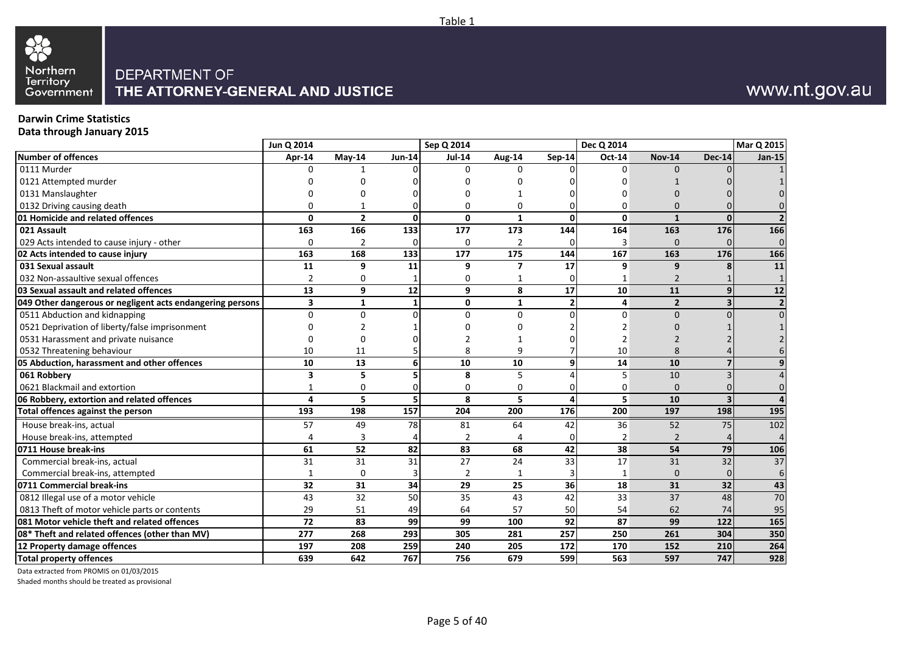

## www.nt.gov.au

### **Darwin Crime Statistics**

**Data through January 2015**

|                                                           | Jun Q 2014              |                |               | Sep Q 2014     |                |                          | Dec Q 2014               |                |               | Mar Q 2015      |
|-----------------------------------------------------------|-------------------------|----------------|---------------|----------------|----------------|--------------------------|--------------------------|----------------|---------------|-----------------|
| Number of offences                                        | Apr-14                  | $May-14$       | <b>Jun-14</b> | <b>Jul-14</b>  | <b>Aug-14</b>  | <b>Sep-14</b>            | Oct-14                   | <b>Nov-14</b>  | <b>Dec-14</b> | Jan-15          |
| 0111 Murder                                               | $\Omega$                |                |               | $\Omega$       | n              |                          | $\Omega$                 |                |               |                 |
| 0121 Attempted murder                                     |                         |                |               |                |                |                          |                          |                |               |                 |
| 0131 Manslaughter                                         |                         |                |               |                |                |                          |                          |                |               |                 |
| 0132 Driving causing death                                | $\Omega$                |                |               | n              | $\Omega$       |                          | 0                        |                |               |                 |
| 01 Homicide and related offences                          | 0                       | $\overline{2}$ | $\Omega$      | $\mathbf 0$    | $\mathbf{1}$   | $\Omega$                 | $\Omega$                 | $\mathbf{1}$   | $\Omega$      |                 |
| 021 Assault                                               | 163                     | 166            | 133           | 177            | 173            | 144                      | 164                      | 163            | 176           | 166             |
| 029 Acts intended to cause injury - other                 | $\mathbf 0$             | $\overline{2}$ |               | $\Omega$       | $\overline{2}$ |                          |                          | $\Omega$       |               |                 |
| 02 Acts intended to cause injury                          | 163                     | 168            | 133           | 177            | 175            | 144                      | 167                      | 163            | 176           | 166             |
| 031 Sexual assault                                        | 11                      | 9              | 11            | 9              | 7              | 17                       | 9                        | 9              |               | 11              |
| 032 Non-assaultive sexual offences                        | $\overline{2}$          | $\Omega$       |               | $\Omega$       | -1             |                          |                          |                |               |                 |
| 03 Sexual assault and related offences                    | 13                      | 9              | 12            | 9              | 8              | 17                       | 10                       | 11             |               | 12              |
| 049 Other dangerous or negligent acts endangering persons | $\overline{\mathbf{3}}$ | $\mathbf{1}$   | $\mathbf{1}$  | $\mathbf 0$    | $\mathbf{1}$   | $\overline{\phantom{a}}$ | 4                        | $\overline{2}$ |               |                 |
| 0511 Abduction and kidnapping                             | $\Omega$                | $\Omega$       | $\Omega$      | $\Omega$       | $\Omega$       |                          | $\Omega$                 | $\Omega$       |               |                 |
| 0521 Deprivation of liberty/false imprisonment            | ŋ                       |                |               |                |                |                          |                          |                |               |                 |
| 0531 Harassment and private nuisance                      | 0                       |                |               |                |                |                          |                          |                |               |                 |
| 0532 Threatening behaviour                                | 10                      | 11             |               | 8              | 9              |                          | 10                       |                |               |                 |
| 05 Abduction, harassment and other offences               | 10                      | 13             | 6             | 10             | 10             | 9                        | 14                       | 10             |               |                 |
| 061 Robbery                                               | 3                       | 5              |               | 8              | 5              |                          | 5                        | 10             |               |                 |
| 0621 Blackmail and extortion                              | 1                       | $\Omega$       | ŋ             | $\Omega$       | 0              |                          | 0                        | $\Omega$       |               |                 |
| 06 Robbery, extortion and related offences                | 4                       | 5              | 5             | 8              | 5              | $\sqrt{ }$               | 5                        | 10             |               |                 |
| Total offences against the person                         | 193                     | 198            | 157           | 204            | 200            | 176                      | 200                      | 197            | 198           | 195             |
| House break-ins, actual                                   | 57                      | 49             | 78            | 81             | 64             | 42                       | 36                       | 52             | 75            | 102             |
| House break-ins, attempted                                | 4                       | 3              | Δ             | $\overline{2}$ |                |                          | $\mathfrak z$            |                |               |                 |
| 0711 House break-ins                                      | 61                      | 52             | 82            | 83             | 68             | 42                       | 38                       | 54             | 79            | 106             |
| Commercial break-ins, actual                              | 31                      | 31             | 31            | 27             | 24             | 33                       | 17                       | 31             | 32            | $\overline{37}$ |
| Commercial break-ins, attempted                           | $\mathbf{1}$            | $\mathbf 0$    | 3             | $\overline{2}$ | 1              |                          | $\overline{\phantom{a}}$ | $\Omega$       |               |                 |
| 0711 Commercial break-ins                                 | 32                      | 31             | 34            | 29             | 25             | 36                       | 18                       | 31             | 32            | 43              |
| 0812 Illegal use of a motor vehicle                       | 43                      | 32             | 50            | 35             | 43             | 42                       | 33                       | 37             | 48            | 70              |
| 0813 Theft of motor vehicle parts or contents             | 29                      | 51             | 49            | 64             | 57             | 50                       | 54                       | 62             | 74            | 95              |
| 081 Motor vehicle theft and related offences              | 72                      | 83             | 99            | 99             | 100            | 92                       | 87                       | 99             | 122           | 165             |
| 08* Theft and related offences (other than MV)            | 277                     | 268            | 293           | 305            | 281            | 257                      | 250                      | 261            | 304           | 350             |
| 12 Property damage offences                               | 197                     | 208            | 259           | 240            | 205            | 172                      | 170                      | 152            | 210           | 264             |
| <b>Total property offences</b>                            | 639                     | 642            | 767           | 756            | 679            | 599                      | 563                      | 597            | 747           | 928             |

Data extracted from PROMIS on 01/03/2015

Shaded months should be treated as provisional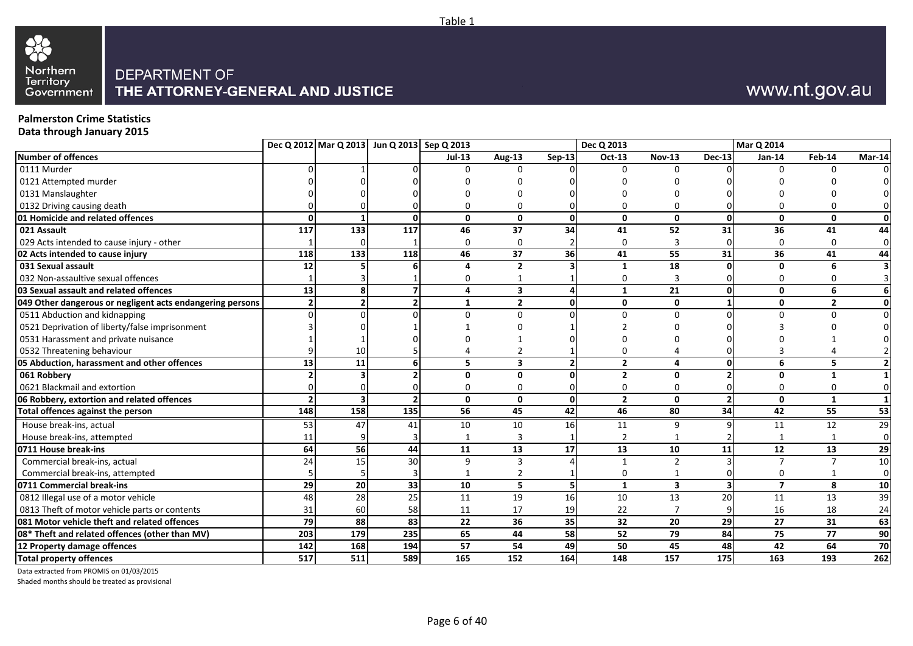

## www.nt.gov.au

## **Palmerston Crime Statistics**

**Data through January 2015**

|                                                           |                 | Dec Q 2012 Mar Q 2013 Jun Q 2013 Sep Q 2013 |                          |                |                         |               | Dec Q 2013     |                         |                 | <b>Mar Q 2014</b> |                |                  |
|-----------------------------------------------------------|-----------------|---------------------------------------------|--------------------------|----------------|-------------------------|---------------|----------------|-------------------------|-----------------|-------------------|----------------|------------------|
| <b>Number of offences</b>                                 |                 |                                             |                          | $Jul-13$       | <b>Aug-13</b>           | <b>Sep-13</b> | Oct-13         | <b>Nov-13</b>           | <b>Dec-13</b>   | Jan-14            | Feb-14         | Mar-14           |
| 0111 Murder                                               |                 |                                             |                          | $\Omega$       | $\Omega$                |               |                | $\Omega$                |                 | U                 |                |                  |
| 0121 Attempted murder                                     |                 |                                             |                          |                |                         |               |                |                         |                 |                   |                |                  |
| 0131 Manslaughter                                         |                 |                                             |                          |                |                         |               |                |                         |                 |                   |                |                  |
| 0132 Driving causing death                                |                 |                                             |                          |                |                         |               |                | $\Omega$                |                 |                   |                | 0                |
| 01 Homicide and related offences                          | 0               |                                             | $\Omega$                 | $\mathbf{0}$   | $\mathbf{0}$            | $\mathbf{0}$  | $\mathbf 0$    | $\mathbf 0$             | $\Omega$        | 0                 | 0              | $\mathbf 0$      |
| 021 Assault                                               | 117             | 133                                         | 117                      | 46             | 37                      | 34            | 41             | 52                      | 31              | 36                | 41             | 44               |
| 029 Acts intended to cause injury - other                 |                 |                                             |                          | $\Omega$       | $\Omega$                |               | $\Omega$       | 3                       | U               | $\Omega$          | $\Omega$       | $\boldsymbol{0}$ |
| 02 Acts intended to cause injury                          | 118             | 133                                         | 118                      | 46             | 37                      | 36            | 41             | 55                      | 31              | 36                | 41             | 44               |
| 031 Sexual assault                                        | 12              |                                             |                          | $\overline{ }$ | $\overline{2}$          |               | 1              | 18                      |                 | 0                 | 6              | 3                |
| 032 Non-assaultive sexual offences                        |                 |                                             |                          | $\Omega$       |                         |               | 0              | 3                       |                 | U                 |                |                  |
| 03 Sexual assault and related offences                    | 13 <sup>1</sup> |                                             | $\overline{\mathbf{z}}$  | 4              | $\overline{\mathbf{3}}$ |               | 1              | 21                      | $\Omega$        | $\mathbf 0$       | 6              | 6                |
| 049 Other dangerous or negligent acts endangering persons |                 |                                             | 2 <sup>1</sup>           | 1              | $\overline{2}$          | $\Omega$      | 0              | 0                       |                 | 0                 | $\overline{2}$ | $\mathbf 0$      |
| 0511 Abduction and kidnapping                             |                 |                                             |                          | $\Omega$       | $\Omega$                |               | $\Omega$       | $\Omega$                |                 | U                 | 0              | $\mathbf 0$      |
| 0521 Deprivation of liberty/false imprisonment            |                 |                                             |                          |                |                         |               |                |                         |                 |                   |                |                  |
| 0531 Harassment and private nuisance                      |                 |                                             |                          |                |                         |               |                |                         |                 |                   |                |                  |
| 0532 Threatening behaviour                                |                 | 10                                          |                          |                |                         |               |                |                         |                 |                   |                |                  |
| 05 Abduction, harassment and other offences               | 13 <sup>1</sup> | 11                                          | 6                        | 5              | 3                       |               | $\overline{2}$ | 4                       | $\Omega$        | 6                 | 5              | $\overline{2}$   |
| 061 Robbery                                               |                 |                                             |                          | $\Omega$       | $\mathbf{0}$            |               | $2^{\circ}$    | $\mathbf{0}$            |                 | 0                 | 1              | $\mathbf{1}$     |
| 0621 Blackmail and extortion                              |                 |                                             |                          | $\Omega$       | $\Omega$                |               | $\mathbf 0$    | 0                       |                 |                   | 0              | 0                |
| 06 Robbery, extortion and related offences                |                 |                                             | $\overline{\phantom{a}}$ | $\mathbf{0}$   | $\mathbf{0}$            | $\mathbf 0$   | $\overline{2}$ | $\mathbf{0}$            |                 | $\mathbf{0}$      | $\mathbf{1}$   | $\mathbf{1}$     |
| Total offences against the person                         | 148             | 158                                         | 135                      | 56             | 45                      | 42            | 46             | 80                      | 34              | 42                | 55             | 53               |
| House break-ins, actual                                   | 53              | 47                                          | 41                       | 10             | 10                      | 16            | 11             | 9                       |                 | 11                | 12             | $\overline{29}$  |
| House break-ins, attempted                                | 11              |                                             |                          |                | 3                       |               | $\overline{2}$ | 1                       |                 |                   |                | 0                |
| 0711 House break-ins                                      | 64              | 56                                          | 44                       | 11             | 13                      | 17            | 13             | 10                      | 11              | 12                | 13             | 29               |
| Commercial break-ins, actual                              | 24              | 15                                          | 30                       | 9              | $\mathbf{a}$            |               | $\mathbf{1}$   | $\overline{2}$          |                 | $\overline{7}$    | $\overline{7}$ | 10               |
| Commercial break-ins, attempted                           |                 |                                             |                          |                |                         |               | $\mathbf 0$    | $\mathbf{1}$            |                 | 0                 |                | $\mathbf 0$      |
| 0711 Commercial break-ins                                 | 29              | 20                                          | 33                       | 10             | 5                       | 5             | $\mathbf{1}$   | $\overline{\mathbf{3}}$ | $\overline{3}$  | $\overline{7}$    | 8              | 10               |
| 0812 Illegal use of a motor vehicle                       | 48              | 28                                          | 25                       | 11             | 19                      | 16            | 10             | 13                      | 20 <sup>1</sup> | 11                | 13             | 39               |
| 0813 Theft of motor vehicle parts or contents             | 31              | 60                                          | 58                       | 11             | 17                      | 19            | 22             |                         | $\mathsf{q}$    | 16                | 18             | 24               |
| 081 Motor vehicle theft and related offences              | 79              | 88                                          | 83                       | 22             | 36                      | 35            | 32             | 20                      | 29              | 27                | 31             | 63               |
| 08* Theft and related offences (other than MV)            | 203             | 179                                         | 235                      | 65             | 44                      | 58            | 52             | 79                      | 84              | 75                | 77             | 90               |
| 12 Property damage offences                               | 142             | 168                                         | 194                      | 57             | 54                      | 49            | 50             | 45                      | 48              | 42                | 64             | 70               |
| <b>Total property offences</b>                            | 517             | 511                                         | 589                      | 165            | 152                     | 164           | 148            | 157                     | 175             | 163               | 193            | 262              |

Data extracted from PROMIS on 01/03/2015

Shaded months should be treated as provisional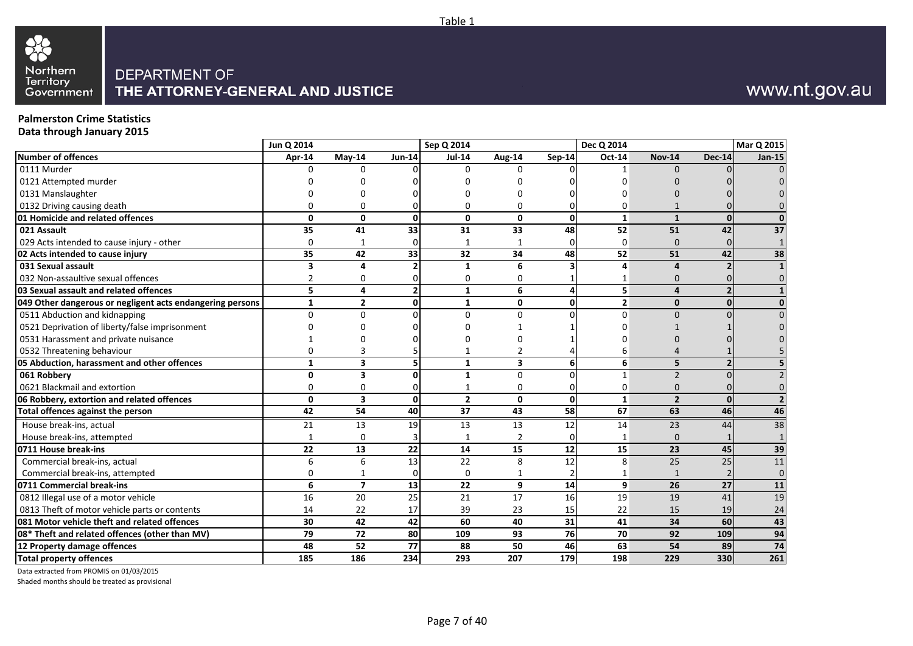# 88 Northern<br>Territory<br>Government

### DEPARTMENT OF THE ATTORNEY-GENERAL AND JUSTICE

## www.nt.gov.au

## **Palmerston Crime Statistics**

**Data through January 2015**

|                                                           | Jun Q 2014   |                         |                 | Sep Q 2014     |                |               | Dec Q 2014     |                |               | <b>Mar Q 2015</b> |
|-----------------------------------------------------------|--------------|-------------------------|-----------------|----------------|----------------|---------------|----------------|----------------|---------------|-------------------|
| <b>Number of offences</b>                                 | Apr-14       | $May-14$                | <b>Jun-14</b>   | <b>Jul-14</b>  | Aug-14         | <b>Sep-14</b> | Oct-14         | <b>Nov-14</b>  | <b>Dec-14</b> | <b>Jan-15</b>     |
| 0111 Murder                                               | n            | n                       |                 | n              | n              |               |                |                |               |                   |
| 0121 Attempted murder                                     |              |                         |                 |                |                |               |                |                |               |                   |
| 0131 Manslaughter                                         |              |                         |                 |                |                |               |                |                |               |                   |
| 0132 Driving causing death                                | 0            | n                       |                 |                | 0              |               | 0              |                |               |                   |
| 01 Homicide and related offences                          | $\mathbf 0$  | $\Omega$                | $\Omega$        | $\Omega$       | $\mathbf{0}$   | $\Omega$      | $\mathbf{1}$   | $\mathbf{1}$   | $\Omega$      |                   |
| 021 Assault                                               | 35           | 41                      | 33              | 31             | 33             | 48            | 52             | 51             | 42            | 37                |
| 029 Acts intended to cause injury - other                 | $\mathbf 0$  |                         | $\Omega$        |                |                |               | $\Omega$       |                |               |                   |
| 02 Acts intended to cause injury                          | 35           | 42                      | 33              | 32             | 34             | 48            | 52             | 51             | 42            | 38                |
| 031 Sexual assault                                        | 3            | Δ                       |                 | 1              | 6              |               |                | Δ              |               |                   |
| 032 Non-assaultive sexual offences                        | 2            | $\Omega$                |                 | 0              | 0              |               |                | 0              |               |                   |
| 03 Sexual assault and related offences                    | 5            | 4                       | $\overline{2}$  | $\mathbf{1}$   | 6              |               | 5              | 4              |               |                   |
| 049 Other dangerous or negligent acts endangering persons | $\mathbf{1}$ | $\overline{2}$          | $\mathbf{0}$    | $\mathbf{1}$   | 0              | ŋ             | $\overline{2}$ | $\mathbf{0}$   | U             |                   |
| 0511 Abduction and kidnapping                             | $\Omega$     | $\Omega$                | $\Omega$        | O              | $\Omega$       |               | $\Omega$       | $\Omega$       |               |                   |
| 0521 Deprivation of liberty/false imprisonment            |              |                         |                 |                |                |               |                |                |               |                   |
| 0531 Harassment and private nuisance                      |              |                         |                 |                |                |               |                |                |               |                   |
| 0532 Threatening behaviour                                | 0            |                         |                 |                |                |               |                |                |               |                   |
| 05 Abduction, harassment and other offences               | $\mathbf{1}$ | 3                       | 5               | $\mathbf{1}$   | 3              |               | 6              | 5              |               |                   |
| 061 Robbery                                               | $\mathbf 0$  | 3                       | $\Omega$        | $\mathbf{1}$   | $\Omega$       |               | $\mathbf{1}$   | $\overline{2}$ |               |                   |
| 0621 Blackmail and extortion                              | 0            | $\Omega$                | $\Omega$        | -1             | 0              |               | $\Omega$       | $\mathbf{0}$   |               |                   |
| 06 Robbery, extortion and related offences                | $\mathbf 0$  | $\overline{\mathbf{3}}$ | $\mathbf{0}$    | $\overline{2}$ | $\mathbf{0}$   | Û             | $\mathbf{1}$   | $\overline{2}$ | $\Omega$      |                   |
| Total offences against the person                         | 42           | 54                      | 40              | 37             | 43             | 58            | 67             | 63             | 46            | 46                |
| House break-ins, actual                                   | 21           | 13                      | 19              | 13             | 13             | 12            | 14             | 23             | 44            | 38                |
| House break-ins, attempted                                | 1            | $\Omega$                |                 | $\mathbf{1}$   | $\overline{2}$ |               |                | $\Omega$       |               |                   |
| 0711 House break-ins                                      | 22           | 13                      | 22              | 14             | 15             | 12            | 15             | 23             | 45            | 39                |
| Commercial break-ins, actual                              | 6            | 6                       | 13              | 22             | 8              | 12            | $\mathsf{R}$   | 25             | 25            | 11                |
| Commercial break-ins, attempted                           | $\Omega$     | $\mathbf{1}$            | $\Omega$        | $\Omega$       | -1             |               |                |                |               | $\Omega$          |
| 0711 Commercial break-ins                                 | 6            | $\overline{7}$          | 13              | 22             | 9              | 14            | 9              | 26             | 27            | 11                |
| 0812 Illegal use of a motor vehicle                       | 16           | 20                      | 25              | 21             | 17             | 16            | 19             | 19             | 41            | 19                |
| 0813 Theft of motor vehicle parts or contents             | 14           | 22                      | 17              | 39             | 23             | 15            | 22             | 15             | 19            | 24                |
| 081 Motor vehicle theft and related offences              | 30           | 42                      | $\overline{42}$ | 60             | 40             | 31            | 41             | 34             | 60            | 43                |
| 08* Theft and related offences (other than MV)            | 79           | 72                      | 80              | 109            | 93             | 76            | 70             | 92             | 109           | 94                |
| 12 Property damage offences                               | 48           | 52                      | 77              | 88             | 50             | 46            | 63             | 54             | 89            | 74                |
| <b>Total property offences</b>                            | 185          | 186                     | 234             | 293            | 207            | 179           | 198            | 229            | 330           | 261               |

Data extracted from PROMIS on 01/03/2015

Shaded months should be treated as provisional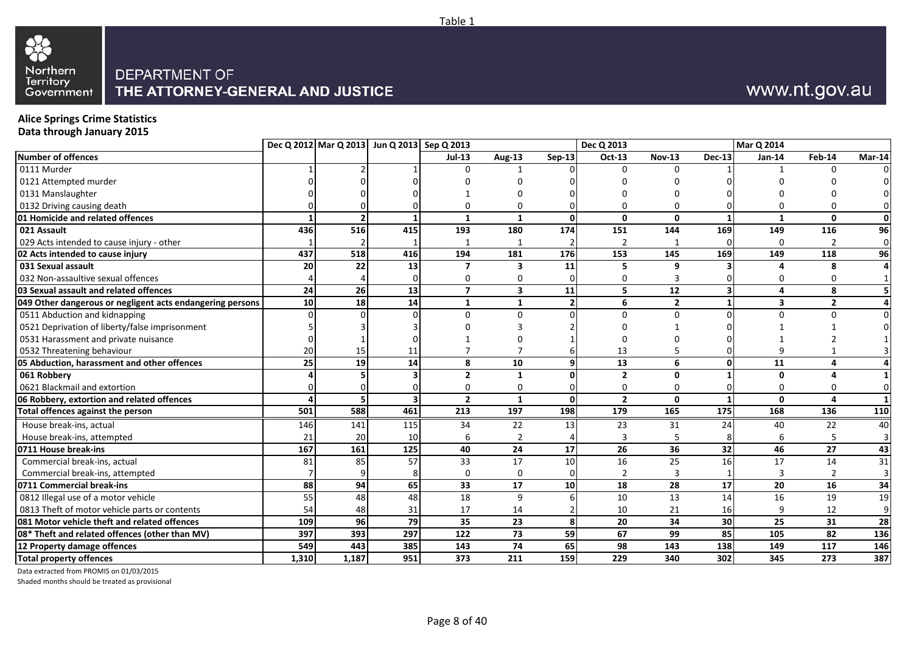

## www.nt.gov.au

**Alice Springs Crime Statistics Data through January 2015**

**Dec Q 2012 Mar Q 2013 Jun Q 2013 Sep Q 2013 Dec Q 2013 Mar Q 2014 Number of offences Jul-13 Aug-13 Sep-13 Oct-13 Nov-13 Dec-13 Jan-14 Feb-14 Mar-14** 0111 Murder 1 2 1 0 1 0 0 0 1 1 0 0 0121 Attempted murder 0 0 0 0 0 0 0 0 0 0 0 0 0131 Manslaughter 0 0 0 1 0 0 0 0 0 0 0 0 0132 Driving causing death 0 0 0 0 0 0 0 0 0 0 0 0 **01 Homicide and related offences 1 2 1 1 1 0 0 0 1 1 0 0 021 Assault 436 516 415 193 180 174 151 144 169 149 116 96** 029 Acts intended to cause injury - other 1 1 1 2 1 1 1 1 1 2 2 2 1 0 0 2 0<br>02 Acts intended to cause injury - other 1 1 437 518 416 194 181 176 153 145 169 149 118 96 **02 Acts intended to cause injury 437 518 416 194 181 176 153 145 169 149 118 96 031 Sexual assault 20 22 13 7 3 11 5 9 3 4 8 4** 032 Non-assaultive sexual offences 4 4 0 0 0 0 0 3 0 0 0 1 **03 Sexual assault and related offences 24 26 13 7 3 11 5 12 3 4 8 5 049 Other dangerous or negligent acts endangering persons 10 18 14 1 1 2 6 2 1 3 2 4** 0511 Abduction and kidnapping and the set of the set of the set of the set of the set of the set of the set of t 0521 Deprivation of liberty/false imprisonment 1 3 3 3 3 0 3 3 3 2 0 1 0 1 1 1 0 0531 Harassment and private nuisance 0 1 0 1 0 1 0 0 0 1 2 1 0532 Threatening behaviour 20 15 11 7 7 6 13 5 0 9 1 3 **05 Abduction, harassment and other offences 25 19 14 8 10 9 13 6 0 11 4 4 061 Robbery 4 5 3 2 1 0 2 0 1 0 4 1** 0621 Blackmail and extortion 0 0 0 0 0 0 0 0 0 0 0 0 **06 Robbery, extortion and related offences 4 5 3 2 1 0 2 0 1 0 4 1 Total offences against the person 501 588 461 213 197 198 179 165 175 168 136 110** House break-ins, actual 145 146 141 115 34 22 13 23 31 24 40 22 40 House break-ins, attempted 1 21 20 10 6 2 4 3 5 8 6 5 3 **0711 House break-ins 167 161 125 40 24 17 26 36 32 46 27 43** Commercial break-ins, actual **81 81 85 61 85 61 85 61 86** 17 8 17 8 17 8 18 18 18 18 18 17 18 17 14 31 Commercial break-ins, attempted 7 9 8 0 0 0 2 3 1 3 2 3 **0711 Commercial break-ins 88 94 65 33 17 10 18 28 17 20 16 34** 0812 Illegal use of a motor vehicle **19** 19 19 55 48 48 18 9 6 10 13 14 16 19 19 0813 Theft of motor vehicle parts or contents 54 48 31 17 14 2 10 21 16 9 12 9 **081 Motor vehicle theft and related offences 109 96 79 35 23 8 20 34 30 25 31 28 08\* Theft and related offences (other than MV) 397 393 297 122 73 59 67 99 85 105 82 136 12 Property damage offences 549 443 385 143 74 65 98 143 138 149 117 146 Total property offences 1,310 1,187 951 373 211 159 229 340 302 345 273 387**

Data extracted from PROMIS on 01/03/2015

Shaded months should be treated as provisional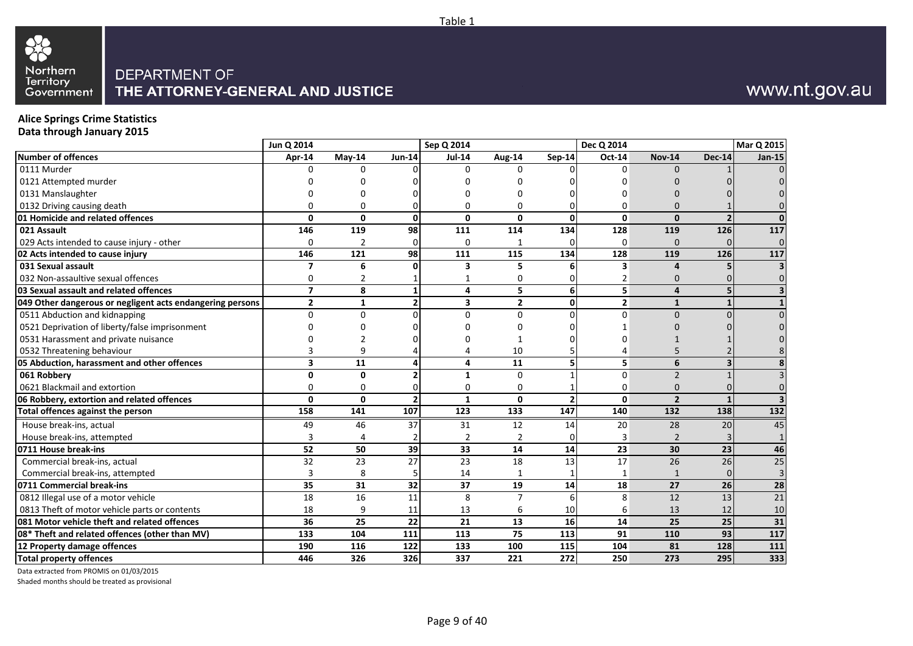# 88 Northern<br>Territory<br>Government

### DEPARTMENT OF THE ATTORNEY-GENERAL AND JUSTICE

## www.nt.gov.au

## **Alice Springs Crime Statistics**

**Data through January 2015**

|                                                           | Jun Q 2014              |               |                          | Sep Q 2014              |                |                          | Dec Q 2014     |                |               | Mar Q 2015      |
|-----------------------------------------------------------|-------------------------|---------------|--------------------------|-------------------------|----------------|--------------------------|----------------|----------------|---------------|-----------------|
| Number of offences                                        | Apr-14                  | $May-14$      | <b>Jun-14</b>            | <b>Jul-14</b>           | <b>Aug-14</b>  | <b>Sep-14</b>            | Oct-14         | <b>Nov-14</b>  | <b>Dec-14</b> | Jan-15          |
| 0111 Murder                                               | O                       | $\Omega$      |                          | $\Omega$                | U              |                          | $\Omega$       |                |               |                 |
| 0121 Attempted murder                                     |                         |               |                          |                         |                |                          |                |                |               |                 |
| 0131 Manslaughter                                         |                         |               |                          |                         |                |                          |                |                |               |                 |
| 0132 Driving causing death                                | ŋ                       |               |                          |                         | n              |                          | ŋ              |                |               |                 |
| 01 Homicide and related offences                          | $\Omega$                | $\Omega$      | $\mathbf 0$              | $\mathbf{0}$            | $\Omega$       | $\Omega$                 | $\Omega$       | $\Omega$       |               |                 |
| 021 Assault                                               | 146                     | 119           | 98                       | 111                     | 114            | 134                      | 128            | 119            | 126           | 117             |
| 029 Acts intended to cause injury - other                 | $\Omega$                | $\mathcal{P}$ | 0                        | $\Omega$                | $\mathbf{1}$   |                          | $\Omega$       |                |               |                 |
| 02 Acts intended to cause injury                          | 146                     | 121           | 98                       | 111                     | 115            | 134                      | 128            | 119            | 126           | 117             |
| 031 Sexual assault                                        | 7                       | 6             | $\Omega$                 | 3                       | 5              |                          | 3              |                |               |                 |
| 032 Non-assaultive sexual offences                        | 0                       | $\mathcal{P}$ |                          |                         | 0              |                          |                |                |               |                 |
| 03 Sexual assault and related offences                    | $\overline{\mathbf{z}}$ | 8             | $\mathbf{1}$             | 4                       | 5              | 6                        | 5              | 4              |               |                 |
| 049 Other dangerous or negligent acts endangering persons | $\overline{2}$          | $\mathbf{1}$  | $\overline{2}$           | $\overline{\mathbf{3}}$ | $\overline{2}$ | $\Omega$                 | $\overline{2}$ | $\mathbf{1}$   |               |                 |
| 0511 Abduction and kidnapping                             | $\Omega$                | $\Omega$      | $\Omega$                 | $\Omega$                | $\Omega$       |                          | $\Omega$       | $\Omega$       |               |                 |
| 0521 Deprivation of liberty/false imprisonment            |                         |               |                          |                         |                |                          |                |                |               |                 |
| 0531 Harassment and private nuisance                      |                         |               |                          |                         |                |                          |                |                |               |                 |
| 0532 Threatening behaviour                                | 3                       | q             |                          |                         | 10             |                          |                |                |               |                 |
| 05 Abduction, harassment and other offences               | 3                       | 11            | 4                        | 4                       | 11             |                          | 5              | 6              |               |                 |
| 061 Robbery                                               | 0                       | $\Omega$      |                          | 1                       | $\Omega$       |                          | $\Omega$       | $\mathcal{P}$  |               |                 |
| 0621 Blackmail and extortion                              | $\Omega$                | O             |                          | $\Omega$                | $\Omega$       |                          | $\Omega$       | $\Omega$       |               |                 |
| 06 Robbery, extortion and related offences                | $\mathbf 0$             | $\Omega$      | $\overline{\phantom{a}}$ | $\mathbf{1}$            | $\mathbf{0}$   | $\overline{\phantom{a}}$ | $\Omega$       | $\overline{2}$ |               |                 |
| Total offences against the person                         | 158                     | 141           | 107                      | 123                     | 133            | 147                      | 140            | 132            | 138           | 132             |
| House break-ins, actual                                   | 49                      | 46            | 37                       | 31                      | 12             | 14                       | 20             | 28             | 20            | 45              |
| House break-ins, attempted                                | 3                       |               |                          | $\overline{2}$          | $\overline{2}$ |                          | 3              |                |               |                 |
| 0711 House break-ins                                      | 52                      | 50            | 39                       | 33                      | 14             | 14                       | 23             | 30             | 23            | 46              |
| Commercial break-ins, actual                              | 32                      | 23            | 27                       | 23                      | 18             | 13                       | 17             | 26             | 26            | 25              |
| Commercial break-ins, attempted                           | 3                       | 8             | 5                        | 14                      | 1              |                          | 1              |                |               |                 |
| 0711 Commercial break-ins                                 | 35                      | 31            | 32                       | 37                      | 19             | 14                       | 18             | 27             | 26            | 28              |
| 0812 Illegal use of a motor vehicle                       | 18                      | 16            | 11                       | 8                       | $\overline{7}$ |                          | 8              | 12             | 13            | 21              |
| 0813 Theft of motor vehicle parts or contents             | 18                      |               | 11                       | 13                      | 6              | 10                       | 6              | 13             | 12            | 10              |
| 081 Motor vehicle theft and related offences              | 36                      | 25            | $\overline{22}$          | 21                      | 13             | 16                       | 14             | 25             | 25            | $\overline{31}$ |
| 08* Theft and related offences (other than MV)            | 133                     | 104           | 111                      | 113                     | 75             | 113                      | 91             | 110            | 93            | 117             |
| 12 Property damage offences                               | 190                     | 116           | 122                      | 133                     | 100            | 115                      | 104            | 81             | 128           | 111             |
| <b>Total property offences</b>                            | 446                     | 326           | 326                      | 337                     | 221            | 272                      | 250            | 273            | 295           | 333             |

Data extracted from PROMIS on 01/03/2015

Shaded months should be treated as provisional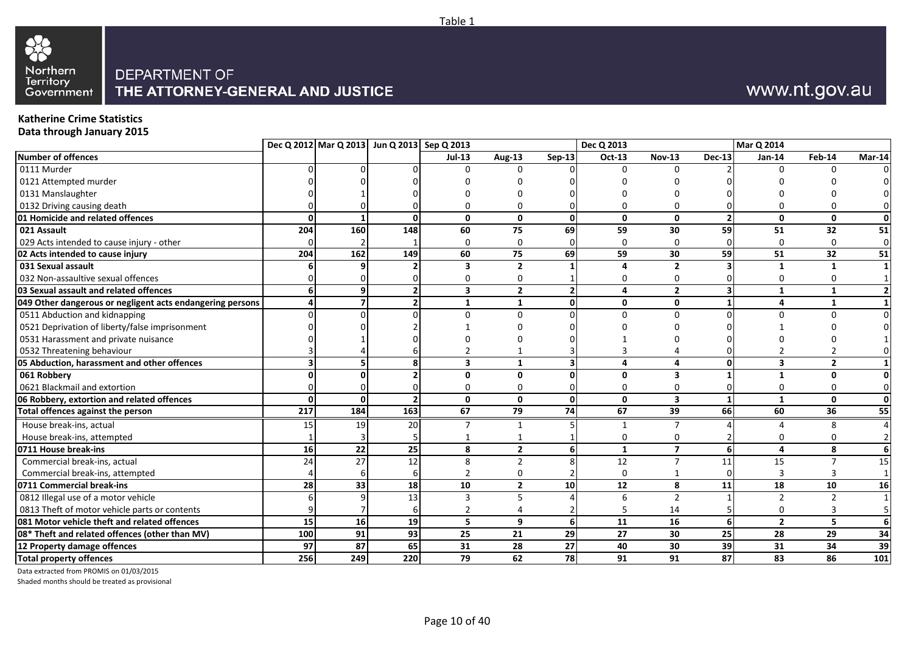

## www.nt.gov.au

## **Katherine Crime Statistics**

**Data through January 2015**

|                                                           |                 | Dec Q 2012 Mar Q 2013 Jun Q 2013 Sep Q 2013 |                          |                         |                |               | Dec Q 2013      |                         |               | <b>Mar Q 2014</b> |                |                         |
|-----------------------------------------------------------|-----------------|---------------------------------------------|--------------------------|-------------------------|----------------|---------------|-----------------|-------------------------|---------------|-------------------|----------------|-------------------------|
| <b>Number of offences</b>                                 |                 |                                             |                          | $Jul-13$                | Aug-13         | <b>Sep-13</b> | Oct-13          | <b>Nov-13</b>           | <b>Dec-13</b> | Jan-14            | Feb-14         | Mar-14                  |
| 0111 Murder                                               |                 |                                             |                          | $\Omega$                | $\Omega$       |               |                 | $\Omega$                |               | U                 |                |                         |
| 0121 Attempted murder                                     |                 |                                             |                          |                         |                |               |                 |                         |               |                   |                |                         |
| 0131 Manslaughter                                         |                 |                                             |                          |                         |                |               |                 |                         |               |                   |                |                         |
| 0132 Driving causing death                                |                 |                                             |                          |                         |                |               |                 | $\Omega$                |               |                   |                |                         |
| 01 Homicide and related offences                          | ΩI              |                                             | $\Omega$                 | $\mathbf{0}$            | $\mathbf{0}$   | $\mathbf{0}$  | $\mathbf 0$     | $\mathbf 0$             |               | 0                 | 0              | $\mathbf 0$             |
| 021 Assault                                               | 204             | 160                                         | 148                      | 60                      | 75             | 69            | 59              | 30                      | 59            | 51                | 32             | 51                      |
| 029 Acts intended to cause injury - other                 |                 |                                             |                          | $\Omega$                | $\Omega$       |               | $\Omega$        | $\mathbf 0$             |               | $\Omega$          | $\Omega$       | $\pmb{0}$               |
| 02 Acts intended to cause injury                          | 204             | 162                                         | 149                      | 60                      | 75             | 69            | 59              | 30                      | 59            | 51                | 32             | 51                      |
| 031 Sexual assault                                        |                 |                                             |                          | $\overline{\mathbf{3}}$ | $\overline{2}$ |               | 4               | $\overline{2}$          |               | 1                 |                | $\mathbf{1}$            |
| 032 Non-assaultive sexual offences                        |                 |                                             |                          | $\Omega$                | $\Omega$       |               | 0               | $\Omega$                |               | 0                 | o              |                         |
| 03 Sexual assault and related offences                    |                 |                                             | $\overline{2}$           | $\overline{\mathbf{3}}$ | $\overline{2}$ |               | 4               | $\overline{2}$          |               | 1                 |                | $\overline{2}$          |
| 049 Other dangerous or negligent acts endangering persons |                 |                                             | $\overline{2}$           | 1                       | 1              | $\Omega$      | 0               | 0                       |               | 4                 | 1              | $\mathbf{1}$            |
| 0511 Abduction and kidnapping                             |                 |                                             |                          | $\Omega$                | $\Omega$       |               | $\Omega$        | $\Omega$                |               | U                 | 0              | $\overline{0}$          |
| 0521 Deprivation of liberty/false imprisonment            |                 |                                             |                          |                         |                |               |                 |                         |               |                   |                |                         |
| 0531 Harassment and private nuisance                      |                 |                                             |                          |                         |                |               |                 |                         |               |                   |                |                         |
| 0532 Threatening behaviour                                |                 |                                             |                          |                         |                |               |                 |                         |               |                   |                |                         |
| 05 Abduction, harassment and other offences               |                 |                                             |                          | $\overline{\mathbf{3}}$ | 1              | 3             | 4               | 4                       | $\Omega$      | 3                 | $\overline{2}$ | 1                       |
| 061 Robbery                                               |                 |                                             |                          | $\Omega$                | $\Omega$       |               | $\mathbf{0}$    | $\overline{\mathbf{3}}$ |               | 1                 | 0              | $\pmb{0}$               |
| 0621 Blackmail and extortion                              |                 |                                             |                          | $\Omega$                | $\Omega$       |               | 0               | 0                       |               |                   | 0              | 0                       |
| 06 Robbery, extortion and related offences                | ΩI              | $\Omega$                                    | $\overline{\phantom{a}}$ | $\mathbf{0}$            | $\mathbf{0}$   | $\Omega$      | $\mathbf{0}$    | $\overline{\mathbf{3}}$ |               | $\mathbf{1}$      | $\mathbf{0}$   | $\overline{\mathbf{0}}$ |
| Total offences against the person                         | 217             | 184                                         | 163                      | 67                      | 79             | 74            | 67              | 39                      | 66            | 60                | 36             | 55                      |
| House break-ins, actual                                   | 15              | 19                                          | 20                       |                         |                |               |                 | 7                       |               |                   | 8              | 4                       |
| House break-ins, attempted                                |                 |                                             |                          |                         |                |               | $\mathbf 0$     | $\mathbf 0$             |               |                   | 0              | 2                       |
| 0711 House break-ins                                      | 16 <sup>1</sup> | 22                                          | 25                       | 8                       | $\overline{2}$ | 6             | $\mathbf{1}$    | $\overline{7}$          | 6             | 4                 | 8              | $\overline{6}$          |
| Commercial break-ins, actual                              | 24              | 27                                          | 12                       | 8                       | $\mathcal{P}$  |               | 12              | $\overline{7}$          | 11            | 15                | $\overline{7}$ | $\overline{15}$         |
| Commercial break-ins, attempted                           |                 |                                             |                          |                         | 0              |               | $\mathbf 0$     | 1                       |               | 3                 | 3              | $\mathbf{1}$            |
| 0711 Commercial break-ins                                 | 28              | 33                                          | 18                       | 10                      | $\overline{2}$ | 10            | $\overline{12}$ | 8                       | 11            | $\overline{18}$   | 10             | 16                      |
| 0812 Illegal use of a motor vehicle                       |                 |                                             | 13                       | 3                       |                |               | 6               | $\overline{2}$          |               | $\overline{2}$    | $\overline{2}$ | 1                       |
| 0813 Theft of motor vehicle parts or contents             |                 |                                             |                          |                         |                |               | .5              | 14                      |               | 0                 |                | 5                       |
| 081 Motor vehicle theft and related offences              | 15 <sup>1</sup> | 16                                          | <b>19</b>                | 5                       | 9              | 6             | 11              | 16                      | 6             | $\overline{2}$    | 5              | 6                       |
| 08* Theft and related offences (other than MV)            | 100             | 91                                          | 93                       | 25                      | 21             | 29            | 27              | 30                      | 25            | 28                | 29             | 34                      |
| 12 Property damage offences                               | 97              | 87                                          | 65                       | 31                      | 28             | 27            | 40              | 30                      | 39            | 31                | 34             | 39                      |
| <b>Total property offences</b>                            | <b>256</b>      | 249                                         | 220                      | 79                      | 62             | 78            | 91              | 91                      | 87            | 83                | 86             | 101                     |

Data extracted from PROMIS on 01/03/2015

Shaded months should be treated as provisional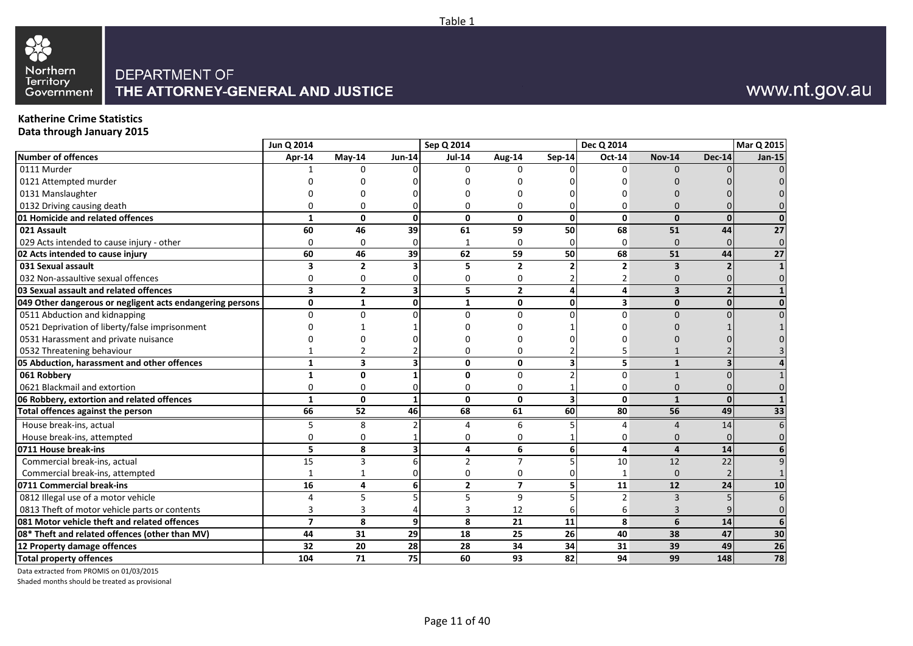# 88 Northern<br>Territory<br>Government

### DEPARTMENT OF THE ATTORNEY-GENERAL AND JUSTICE

## www.nt.gov.au

## **Katherine Crime Statistics**

**Data through January 2015**

|                                                           | Jun Q 2014      |                         |                         | Sep Q 2014     |                         |               | Dec Q 2014              |                         |               | <b>Mar Q 2015</b> |
|-----------------------------------------------------------|-----------------|-------------------------|-------------------------|----------------|-------------------------|---------------|-------------------------|-------------------------|---------------|-------------------|
| Number of offences                                        | Apr-14          | $May-14$                | <b>Jun-14</b>           | <b>Jul-14</b>  | Aug-14                  | <b>Sep-14</b> | Oct-14                  | <b>Nov-14</b>           | <b>Dec-14</b> | <b>Jan-15</b>     |
| 0111 Murder                                               |                 | $\Omega$                |                         | U              | <sup>n</sup>            |               | $\Omega$                |                         |               |                   |
| 0121 Attempted murder                                     |                 |                         |                         |                |                         |               |                         |                         |               |                   |
| 0131 Manslaughter                                         |                 |                         |                         |                | n                       |               |                         |                         |               |                   |
| 0132 Driving causing death                                | 0               | U                       |                         |                | 0                       |               |                         |                         |               |                   |
| 01 Homicide and related offences                          | $\mathbf{1}$    | $\mathbf 0$             | $\Omega$                | $\mathbf{0}$   | 0                       | $\Omega$      | $\Omega$                | $\Omega$                | $\Omega$      |                   |
| 021 Assault                                               | 60              | 46                      | 39                      | 61             | 59                      | 50            | 68                      | 51                      | 44            | 27                |
| 029 Acts intended to cause injury - other                 | $\Omega$        | ∩                       |                         |                | $\Omega$                |               | $\Omega$                |                         |               |                   |
| 02 Acts intended to cause injury                          | 60              | 46                      | 39                      | 62             | 59                      | 50            | 68                      | 51                      | 44            | 27                |
| 031 Sexual assault                                        | 3               | $\overline{2}$          |                         | 5              | $\overline{2}$          |               | $\overline{2}$          | 3                       |               |                   |
| 032 Non-assaultive sexual offences                        | 0               | $\Omega$                |                         | 0              | 0                       |               |                         | O                       |               |                   |
| 03 Sexual assault and related offences                    | 3               | $\overline{2}$          | $\overline{\mathbf{3}}$ | 5              | $\overline{\mathbf{c}}$ |               | 4                       | $\overline{\mathbf{3}}$ |               |                   |
| 049 Other dangerous or negligent acts endangering persons | $\mathbf 0$     | $\mathbf{1}$            | $\mathbf{0}$            | $\mathbf{1}$   | $\mathbf{0}$            | ŋ             | $\overline{\mathbf{3}}$ | $\mathbf{0}$            | U             |                   |
| 0511 Abduction and kidnapping                             | $\Omega$        | $\Omega$                | $\Omega$                | O              | $\Omega$                |               | $\Omega$                | $\Omega$                |               |                   |
| 0521 Deprivation of liberty/false imprisonment            |                 |                         |                         |                |                         |               |                         |                         |               |                   |
| 0531 Harassment and private nuisance                      |                 |                         |                         |                |                         |               |                         |                         |               |                   |
| 0532 Threatening behaviour                                |                 |                         |                         |                | 0                       |               |                         |                         |               |                   |
| 05 Abduction, harassment and other offences               | 1               | $\overline{\mathbf{3}}$ | $\overline{\mathbf{3}}$ | 0              | $\mathbf{0}$            |               | 5                       | $\mathbf{1}$            |               |                   |
| 061 Robbery                                               | $\mathbf{1}$    | $\mathbf 0$             |                         | $\Omega$       | $\Omega$                |               | $\Omega$                | $\mathbf{1}$            |               |                   |
| 0621 Blackmail and extortion                              | 0               | $\Omega$                | n                       | 0              | 0                       |               | $\Omega$                | $\Omega$                |               |                   |
| 06 Robbery, extortion and related offences                | $\mathbf{1}$    | $\mathbf{0}$            | 1                       | $\mathbf 0$    | $\mathbf{0}$            |               | $\Omega$                | $\mathbf{1}$            | $\Omega$      |                   |
| Total offences against the person                         | 66              | 52                      | 46                      | 68             | 61                      | 60            | 80                      | 56                      | 49            | 33                |
| House break-ins, actual                                   | 5               | 8                       |                         | 4              | 6                       |               |                         | 4                       | 14            |                   |
| House break-ins, attempted                                | $\mathbf 0$     | $\Omega$                |                         | 0              | 0                       |               |                         | $\Omega$                |               |                   |
| 0711 House break-ins                                      | 5               | 8                       | 3                       | 4              | 6                       |               | 4                       | 4                       | 14            |                   |
| Commercial break-ins, actual                              | $\overline{15}$ | $\overline{3}$          | 6                       | $\overline{2}$ | $\overline{7}$          |               | 10                      | 12                      | 22            |                   |
| Commercial break-ins, attempted                           | $\mathbf{1}$    | $\mathbf{1}$            |                         | $\Omega$       | $\Omega$                |               | 1                       | $\Omega$                |               |                   |
| 0711 Commercial break-ins                                 | 16              | 4                       | $6 \mid$                | $\overline{2}$ | $\overline{7}$          |               | 11                      | 12                      | 24            | 10                |
| 0812 Illegal use of a motor vehicle                       | 4               | 5                       |                         | 5              | 9                       |               | $\overline{2}$          | $\overline{3}$          |               |                   |
| 0813 Theft of motor vehicle parts or contents             | 3               | 3                       |                         | 3              | 12                      |               | 6                       |                         |               |                   |
| 081 Motor vehicle theft and related offences              | $\overline{7}$  | 8                       | $\mathbf{9}$            | 8              | 21                      | 11            | 8                       | 6                       | 14            |                   |
| 08* Theft and related offences (other than MV)            | 44              | 31                      | 29                      | 18             | 25                      | 26            | 40                      | 38                      | 47            | 30                |
| 12 Property damage offences                               | 32              | 20                      | 28                      | 28             | 34                      | 34            | 31                      | 39                      | 49            | 26                |
| <b>Total property offences</b>                            | 104             | 71                      | 75                      | 60             | 93                      | 82            | 94                      | 99                      | 148           | 78                |

Data extracted from PROMIS on 01/03/2015

Shaded months should be treated as provisional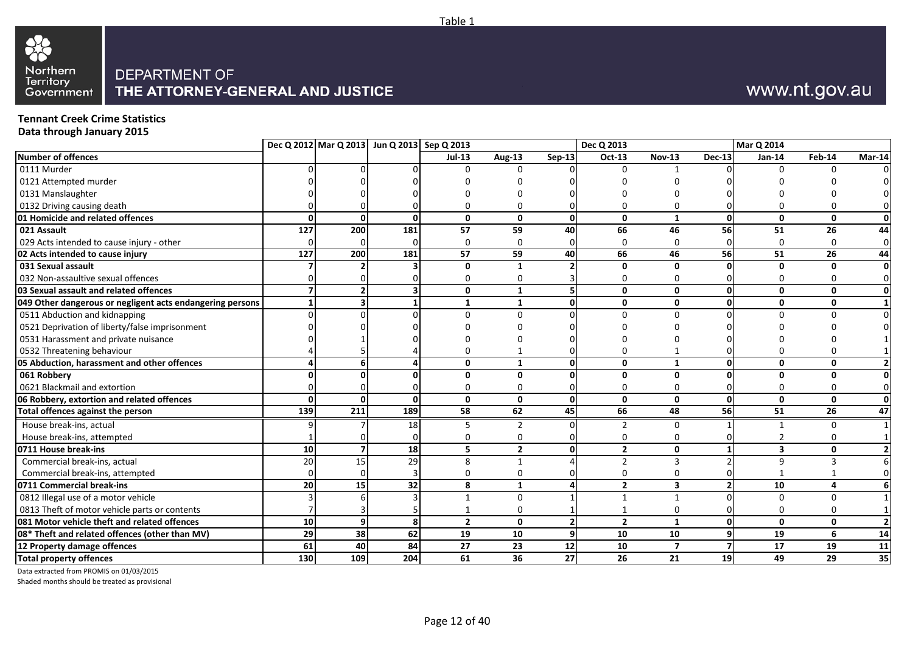

## www.nt.gov.au

#### **Tennant Creek Crime Statistics Data through January 2015**

|                                                           |     | Dec Q 2012 Mar Q 2013 Jun Q 2013 Sep Q 2013 |     |                         |                |                | Dec Q 2013     |                         |                 | Mar Q 2014    |              |                |
|-----------------------------------------------------------|-----|---------------------------------------------|-----|-------------------------|----------------|----------------|----------------|-------------------------|-----------------|---------------|--------------|----------------|
| <b>Number of offences</b>                                 |     |                                             |     | $Jul-13$                | <b>Aug-13</b>  | Sep-13         | Oct-13         | <b>Nov-13</b>           | <b>Dec-13</b>   | <b>Jan-14</b> | Feb-14       | Mar-14         |
| 0111 Murder                                               |     |                                             |     | ŋ                       |                |                |                |                         |                 |               |              |                |
| 0121 Attempted murder                                     |     |                                             |     |                         |                |                |                |                         |                 |               |              |                |
| 0131 Manslaughter                                         |     |                                             |     |                         |                |                |                |                         |                 |               |              |                |
| 0132 Driving causing death                                |     |                                             |     |                         |                |                |                |                         |                 |               |              |                |
| 01 Homicide and related offences                          |     |                                             |     | $\mathbf{0}$            | $\mathbf{0}$   | $\Omega$       | 0              | $\mathbf{1}$            |                 | $\mathbf{0}$  | $\Omega$     | $\mathbf 0$    |
| 021 Assault                                               | 127 | 200                                         | 181 | 57                      | 59             | 40             | 66             | 46                      | 56              | 51            | 26           | 44             |
| 029 Acts intended to cause injury - other                 |     |                                             |     | $\Omega$                |                |                |                | $\Omega$                |                 |               |              | $\mathbf 0$    |
| 02 Acts intended to cause injury                          | 127 | 200                                         | 181 | 57                      | 59             | 40             | 66             | 46                      | 56              | 51            | 26           | 44             |
| 031 Sexual assault                                        |     |                                             |     | $\mathbf{0}$            |                |                |                | $\mathbf 0$             |                 |               |              | $\mathbf 0$    |
| 032 Non-assaultive sexual offences                        |     |                                             |     |                         |                |                |                |                         |                 |               |              | $\mathbf 0$    |
| 03 Sexual assault and related offences                    |     |                                             |     | 0                       | 1              |                | 0              | $\mathbf{0}$            |                 | $\Omega$      | $\mathbf{0}$ | $\mathbf 0$    |
| 049 Other dangerous or negligent acts endangering persons |     |                                             |     | $\mathbf{1}$            | $\mathbf{1}$   | U              | $\mathbf{0}$   | $\mathbf 0$             |                 | $\mathbf 0$   | $\Omega$     | $\mathbf{1}$   |
| 0511 Abduction and kidnapping                             |     |                                             |     | $\Omega$                |                |                | U              | $\Omega$                |                 |               |              | $\Omega$       |
| 0521 Deprivation of liberty/false imprisonment            |     |                                             |     |                         |                |                |                |                         |                 |               |              |                |
| 0531 Harassment and private nuisance                      |     |                                             |     |                         |                |                |                |                         |                 |               |              |                |
| 0532 Threatening behaviour                                |     |                                             |     |                         |                |                |                |                         |                 |               |              |                |
| 05 Abduction, harassment and other offences               |     |                                             |     | $\mathbf 0$             | 1              | $\Omega$       | 0              | 1                       | n               | $\Omega$      | 0            | 2 <sub>l</sub> |
| 061 Robbery                                               |     |                                             |     | 0                       | n              |                | U              | $\Omega$                |                 |               |              | $\mathbf 0$    |
| 0621 Blackmail and extortion                              |     |                                             |     | 0                       |                |                |                | $\Omega$                |                 |               |              | $\mathbf 0$    |
| 06 Robbery, extortion and related offences                |     | U                                           | U   | $\mathbf{0}$            | $\mathbf{0}$   | Οl             | 0              | $\mathbf{0}$            |                 | $\mathbf{0}$  | $\Omega$     | $\mathbf{0}$   |
| Total offences against the person                         | 139 | 211                                         | 189 | 58                      | 62             | 45             | 66             | 48                      | 56              | 51            | 26           | 47             |
| House break-ins, actual                                   |     |                                             | 18  | 5.                      | 2              |                | $\mathcal{P}$  | $\mathbf 0$             |                 |               |              | $\mathbf{1}$   |
| House break-ins, attempted                                |     |                                             |     |                         |                |                |                | $\Omega$                |                 |               |              |                |
| 0711 House break-ins                                      | 10  |                                             | 18  | 5                       | $\overline{2}$ | U              | $\overline{2}$ | $\mathbf 0$             |                 | 3             | 0            | $\overline{2}$ |
| Commercial break-ins, actual                              | 20  | 15                                          | 29  | $\mathsf{\overline{8}}$ |                |                | $\mathfrak z$  | $\mathbf{3}$            |                 | Q             |              |                |
| Commercial break-ins, attempted                           |     |                                             |     |                         |                |                |                |                         |                 |               |              |                |
| 0711 Commercial break-ins                                 | 20  | 15                                          | 32  | 8                       |                |                | $\overline{2}$ | $\overline{\mathbf{3}}$ |                 | 10            |              |                |
| 0812 Illegal use of a motor vehicle                       |     |                                             |     |                         | U              |                |                |                         |                 |               |              |                |
| 0813 Theft of motor vehicle parts or contents             |     |                                             |     |                         |                |                |                | $\Omega$                |                 |               |              |                |
| 081 Motor vehicle theft and related offences              | 10  | 9                                           | я   | $\overline{2}$          | $\Omega$       | $\overline{2}$ | $\overline{2}$ | $\mathbf{1}$            | ΩI              | $\mathbf{0}$  | $\mathbf{0}$ | $\mathbf{2}$   |
| 08* Theft and related offences (other than MV)            | 29  | 38                                          | 62  | 19                      | 10             | q              | 10             | 10                      |                 | 19            | 6            | 14             |
| 12 Property damage offences                               | 61  | 40                                          | 84  | 27                      | 23             | 12             | 10             | $\overline{\mathbf{z}}$ |                 | 17            | 19           | 11             |
| <b>Total property offences</b>                            | 130 | 109                                         | 204 | 61                      | 36             | 27             | 26             | 21                      | 19 <sup>1</sup> | 49            | 29           | 35             |

Data extracted from PROMIS on 01/03/2015

Shaded months should be treated as provisional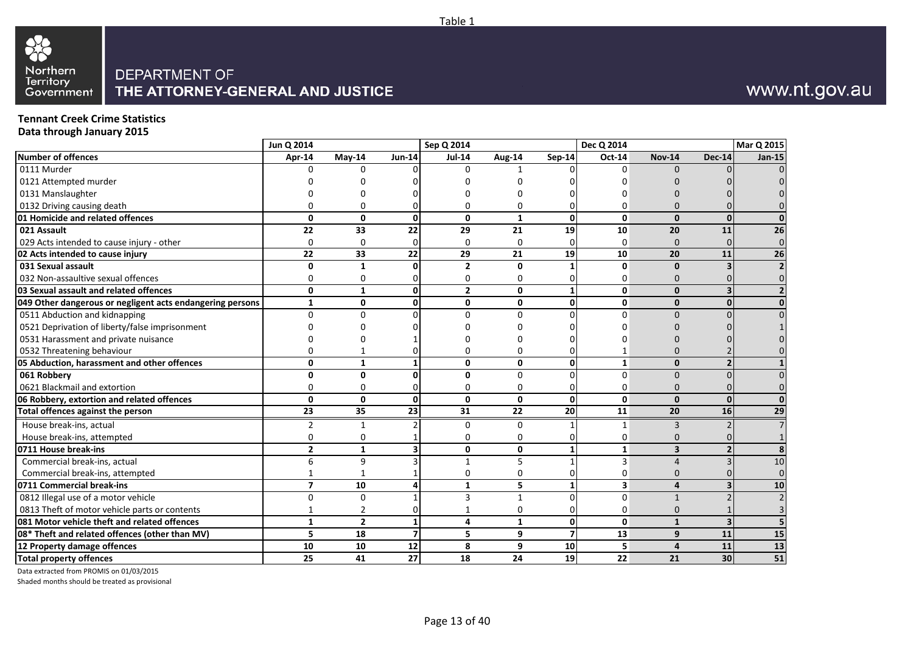

## www.nt.gov.au

## **Tennant Creek Crime Statistics**

**Data through January 2015**

|                                                           | Jun Q 2014     |                |                         | Sep Q 2014     |               |               | Dec Q 2014              |               |               | Mar Q 2015 |
|-----------------------------------------------------------|----------------|----------------|-------------------------|----------------|---------------|---------------|-------------------------|---------------|---------------|------------|
| <b>Number of offences</b>                                 | Apr-14         | $May-14$       | <b>Jun-14</b>           | <b>Jul-14</b>  | <b>Aug-14</b> | <b>Sep-14</b> | Oct-14                  | <b>Nov-14</b> | <b>Dec-14</b> | Jan-15     |
| 0111 Murder                                               |                |                |                         | C              |               |               | U                       |               |               |            |
| 0121 Attempted murder                                     |                |                |                         |                |               |               |                         |               |               |            |
| 0131 Manslaughter                                         |                |                |                         |                |               |               |                         |               |               |            |
| 0132 Driving causing death                                |                |                |                         |                | 0             |               | ŋ                       |               |               |            |
| 01 Homicide and related offences                          | 0              | $\mathbf{0}$   | $\mathbf{0}$            | 0              | $\mathbf{1}$  | $\Omega$      | 0                       | $\mathbf{0}$  | $\Omega$      |            |
| 021 Assault                                               | 22             | 33             | 22                      | 29             | 21            | 19            | 10                      | 20            | 11            | 26         |
| 029 Acts intended to cause injury - other                 | 0              | $\Omega$       | $\Omega$                | $\Omega$       | $\Omega$      |               | $\Omega$                | $\Omega$      |               |            |
| 02 Acts intended to cause injury                          | 22             | 33             | $\overline{22}$         | 29             | 21            | 19            | 10                      | 20            | 11            | 26         |
| 031 Sexual assault                                        | 0              | $\mathbf{1}$   | $\Omega$                | $\overline{2}$ | $\mathbf{0}$  |               | $\Omega$                | $\Omega$      |               |            |
| 032 Non-assaultive sexual offences                        | 0              | n              |                         | O              | $\Omega$      |               | ŋ                       |               |               |            |
| 03 Sexual assault and related offences                    | 0              | $\mathbf{1}$   | $\mathbf 0$             | $\overline{2}$ | 0             |               | 0                       | $\Omega$      |               |            |
| 049 Other dangerous or negligent acts endangering persons | $\mathbf{1}$   | $\mathbf{0}$   | $\Omega$                | 0              | $\mathbf{0}$  | $\mathbf{0}$  | 0                       | $\Omega$      | <sup>0</sup>  |            |
| 0511 Abduction and kidnapping                             | $\Omega$       | $\Omega$       | ∩                       | $\Omega$       | $\Omega$      |               | $\Omega$                | $\Omega$      |               |            |
| 0521 Deprivation of liberty/false imprisonment            |                |                |                         |                |               |               |                         |               |               |            |
| 0531 Harassment and private nuisance                      |                |                |                         |                |               |               |                         |               |               |            |
| 0532 Threatening behaviour                                | 0              |                |                         |                | $\Omega$      |               |                         |               |               |            |
| 05 Abduction, harassment and other offences               | 0              | $\mathbf{1}$   |                         | $\mathbf 0$    | $\mathbf 0$   | U             | $\mathbf{1}$            | $\Omega$      |               |            |
| 061 Robbery                                               | 0              | <sup>0</sup>   | O                       | $\Omega$       | $\Omega$      |               | $\Omega$                | $\Omega$      |               |            |
| 0621 Blackmail and extortion                              | 0              | n              |                         | $\Omega$       | $\Omega$      |               | 0                       | $\Omega$      |               |            |
| 06 Robbery, extortion and related offences                | 0              | $\mathbf{0}$   | $\mathbf{0}$            | $\mathbf{0}$   | $\mathbf{0}$  | $\Omega$      | $\Omega$                | $\Omega$      |               |            |
| Total offences against the person                         | 23             | 35             | 23                      | 31             | 22            | 20            | 11                      | 20            | 16            | 29         |
| House break-ins, actual                                   | $\overline{2}$ | 1              |                         | 0              | 0             |               | 1                       |               |               |            |
| House break-ins, attempted                                | $\mathbf 0$    | $\Omega$       |                         | $\Omega$       | $\Omega$      |               | ŋ                       | $\Omega$      |               |            |
| 0711 House break-ins                                      | $\overline{2}$ | $\mathbf{1}$   | $\overline{\mathbf{3}}$ | $\mathbf 0$    | $\mathbf 0$   |               | $\mathbf{1}$            | 3             |               |            |
| Commercial break-ins, actual                              | 6              | 9              |                         | $\mathbf{1}$   | 5             |               | ς                       | 4             |               | 10         |
| Commercial break-ins, attempted                           | 1              | $\mathbf{1}$   |                         | $\mathbf 0$    | 0             |               | 0                       | $\Omega$      |               |            |
| 0711 Commercial break-ins                                 | $\overline{7}$ | 10             | 4                       | $\mathbf{1}$   | 5             | 1             | $\overline{\mathbf{3}}$ | 4             |               | 10         |
| 0812 Illegal use of a motor vehicle                       | 0              | $\Omega$       |                         | 3              | $\mathbf{1}$  |               | $\Omega$                |               |               |            |
| 0813 Theft of motor vehicle parts or contents             | 1              | $\overline{2}$ |                         |                | 0             |               | $\mathbf 0$             | $\Omega$      |               |            |
| 081 Motor vehicle theft and related offences              | $\mathbf{1}$   | $\overline{2}$ | $\mathbf{1}$            | 4              | $\mathbf{1}$  | $\mathbf{0}$  | $\mathbf{0}$            | $\mathbf{1}$  |               |            |
| 08* Theft and related offences (other than MV)            | 5              | 18             | $\overline{7}$          | 5              | 9             | 7             | 13                      | 9             | 11            | 15         |
| 12 Property damage offences                               | 10             | 10             | 12                      | 8              | 9             | 10            | 5                       | 4             | 11            | 13         |
| <b>Total property offences</b>                            | 25             | 41             | 27                      | 18             | 24            | 19            | 22                      | 21            | 30            | 51         |

Data extracted from PROMIS on 01/03/2015

Shaded months should be treated as provisional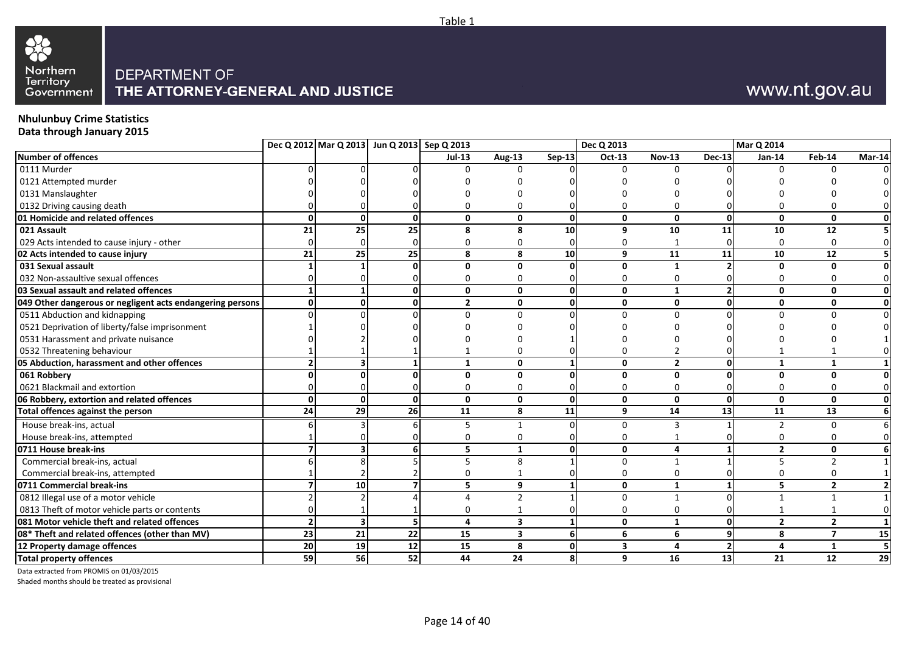

## www.nt.gov.au

## **Nhulunbuy Crime Statistics**

**Data through January 2015**

|                                                           |           | Dec Q 2012 Mar Q 2013 Jun Q 2013 Sep Q 2013 |                          |                |                          |               | Dec Q 2013              |                |                | <b>Mar Q 2014</b> |                |                         |
|-----------------------------------------------------------|-----------|---------------------------------------------|--------------------------|----------------|--------------------------|---------------|-------------------------|----------------|----------------|-------------------|----------------|-------------------------|
| <b>Number of offences</b>                                 |           |                                             |                          | $Jul-13$       | Aug-13                   | <b>Sep-13</b> | Oct-13                  | <b>Nov-13</b>  | <b>Dec-13</b>  | <b>Jan-14</b>     | Feb-14         | Mar-14                  |
| 0111 Murder                                               |           |                                             |                          | ŋ              | $\Omega$                 |               |                         | $\Omega$       |                | O                 |                |                         |
| 0121 Attempted murder                                     |           |                                             |                          |                |                          |               |                         |                |                |                   |                |                         |
| 0131 Manslaughter                                         |           |                                             |                          |                |                          |               |                         |                |                |                   |                |                         |
| 0132 Driving causing death                                |           |                                             |                          |                |                          |               |                         | $\Omega$       |                |                   |                |                         |
| 01 Homicide and related offences                          | ΩI        | $\Omega$                                    | $\mathbf{0}$             | $\mathbf{0}$   | $\mathbf{0}$             | $\mathbf{0}$  | $\mathbf 0$             | $\mathbf 0$    | $\Omega$       | 0                 | 0              | 0                       |
| 021 Assault                                               | 21        | 25                                          | 25                       | 8              | 8                        | 10            | 9                       | 10             | 11             | 10                | 12             | 5                       |
| 029 Acts intended to cause injury - other                 |           |                                             |                          | $\Omega$       | $\Omega$                 |               | $\mathbf 0$             | $\mathbf{1}$   |                | $\Omega$          | $\Omega$       | 0                       |
| 02 Acts intended to cause injury                          | 21        | 25                                          | $\overline{25}$          | 8              | 8                        | 10            | 9                       | 11             | 11             | 10                | 12             | $\overline{\mathbf{5}}$ |
| 031 Sexual assault                                        |           |                                             | ŋ                        | $\mathbf{0}$   | $\Omega$                 |               | $\mathbf 0$             | 1              |                | 0                 | U              | $\pmb{0}$               |
| 032 Non-assaultive sexual offences                        |           |                                             |                          | n              | n                        |               | $\Omega$                | $\Omega$       |                |                   |                | 0                       |
| 03 Sexual assault and related offences                    |           |                                             | 0                        | $\mathbf 0$    | $\mathbf{0}$             | $\Omega$      | $\mathbf 0$             | $\mathbf{1}$   |                | 0                 | 0              | $\mathbf{0}$            |
| 049 Other dangerous or negligent acts endangering persons | 0         | ŋ                                           | $\Omega$                 | $\overline{2}$ | $\mathbf{0}$             | $\Omega$      | 0                       | 0              | $\Omega$       | 0                 | 0              | $\mathbf 0$             |
| 0511 Abduction and kidnapping                             |           |                                             |                          | $\Omega$       | $\Omega$                 |               | $\Omega$                | $\Omega$       |                |                   | U              | $\Omega$                |
| 0521 Deprivation of liberty/false imprisonment            |           |                                             |                          |                |                          |               |                         |                |                |                   |                |                         |
| 0531 Harassment and private nuisance                      |           |                                             |                          |                |                          |               |                         |                |                |                   |                |                         |
| 0532 Threatening behaviour                                |           |                                             |                          |                |                          |               |                         |                |                |                   |                |                         |
| 05 Abduction, harassment and other offences               |           |                                             |                          | $\mathbf{1}$   | 0                        |               | $\mathbf 0$             | $\overline{2}$ | $\mathbf{0}$   | 1                 | 1              | 1                       |
| 061 Robbery                                               |           |                                             |                          | $\Omega$       | $\Omega$                 |               | $\mathbf{0}$            | $\mathbf{0}$   |                | 0                 | 0              | $\pmb{0}$               |
| 0621 Blackmail and extortion                              |           |                                             |                          | $\Omega$       | <sup>0</sup>             |               | 0                       | 0              |                |                   | 0              | 0                       |
| 06 Robbery, extortion and related offences                | ΩI        | $\Omega$                                    | $\Omega$                 | $\mathbf{0}$   | $\mathbf{0}$             | $\Omega$      | $\mathbf 0$             | $\mathbf{0}$   | $\Omega$       | $\mathbf{0}$      | $\mathbf{0}$   | $\mathbf 0$             |
| Total offences against the person                         | 24        | 29                                          | 26                       | 11             | 8                        | 11            | 9                       | 14             | 13             | 11                | 13             | 6                       |
| House break-ins, actual                                   |           |                                             |                          | 5              |                          |               | $\mathbf 0$             | 3              |                | 2                 | 0              | 6                       |
| House break-ins, attempted                                |           |                                             |                          | $\Omega$       | $\Omega$                 |               | $\Omega$                |                |                |                   | U              | 0                       |
| 0711 House break-ins                                      |           |                                             | 6                        | 5              | 1                        | $\Omega$      | $\mathbf 0$             | 4              |                | $\overline{2}$    | 0              | 6                       |
| Commercial break-ins, actual                              |           |                                             |                          | 5              | $\mathbf{R}$             |               | $\Omega$                | $\mathbf{1}$   |                | 5                 | $\overline{2}$ |                         |
| Commercial break-ins, attempted                           |           |                                             |                          | 0              |                          |               | $\mathbf 0$             | $\mathbf 0$    |                | 0                 | 0              | 1                       |
| 0711 Commercial break-ins                                 |           | 10                                          | $\overline{\phantom{a}}$ | 5              | $\overline{9}$           |               | $\mathbf 0$             | $\mathbf{1}$   |                | 5                 | $\overline{2}$ | $\overline{2}$          |
| 0812 Illegal use of a motor vehicle                       |           |                                             |                          | $\Lambda$      | $\overline{\phantom{0}}$ |               | $\Omega$                | $\mathbf{1}$   |                | $\mathbf{1}$      |                |                         |
| 0813 Theft of motor vehicle parts or contents             |           |                                             |                          | $\Omega$       |                          |               | 0                       | $\Omega$       |                |                   |                | 0                       |
| 081 Motor vehicle theft and related offences              |           |                                             |                          | $\overline{a}$ | $\overline{\mathbf{3}}$  |               | $\mathbf 0$             | $\mathbf{1}$   | $\mathbf{0}$   | $\overline{2}$    | $\overline{2}$ | $\mathbf{1}$            |
| 08* Theft and related offences (other than MV)            | 23        | 21                                          | 22                       | 15             | $\overline{\mathbf{3}}$  | 6             | 6                       | 6              | $\overline{9}$ | 8                 | $\overline{7}$ | 15                      |
| 12 Property damage offences                               | 20        | 19                                          | 12                       | 15             | 8                        | $\mathbf{0}$  | $\overline{\mathbf{3}}$ | 4              |                | 4                 | 1              | 5                       |
| <b>Total property offences</b>                            | <b>59</b> | 56                                          | 52                       | 44             | 24                       | 8             | 9                       | 16             | 13             | 21                | 12             | 29                      |

Data extracted from PROMIS on 01/03/2015

Shaded months should be treated as provisional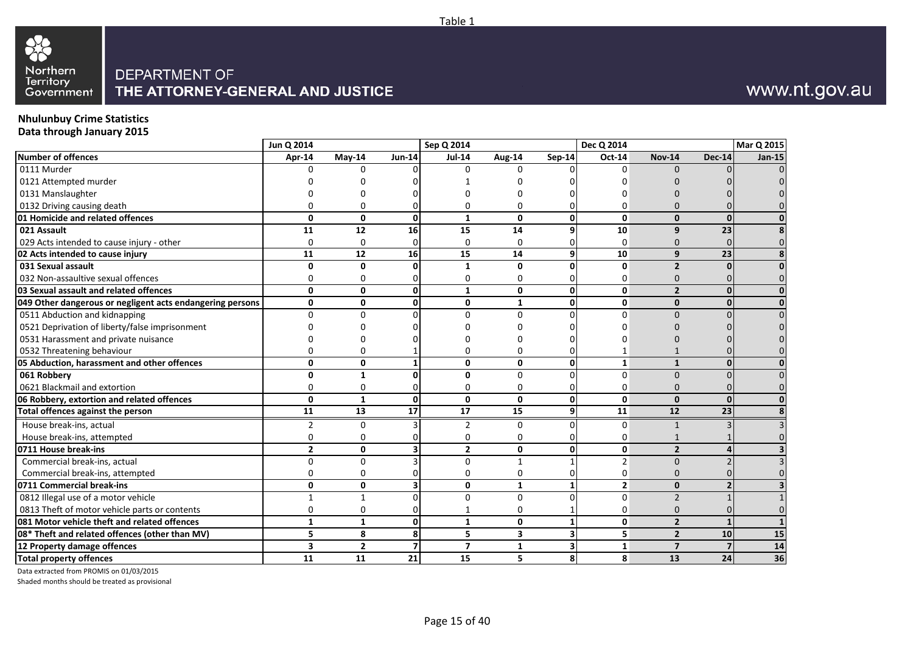# 88 Northern<br>Territory<br>Government

### DEPARTMENT OF THE ATTORNEY-GENERAL AND JUSTICE

## www.nt.gov.au

## **Nhulunbuy Crime Statistics**

**Data through January 2015**

|                                                           | Jun Q 2014     |                |                         | Sep Q 2014     |                         |               | Dec Q 2014     |                |               | <b>Mar Q 2015</b> |
|-----------------------------------------------------------|----------------|----------------|-------------------------|----------------|-------------------------|---------------|----------------|----------------|---------------|-------------------|
| <b>Number of offences</b>                                 | Apr-14         | $May-14$       | <b>Jun-14</b>           | <b>Jul-14</b>  | Aug-14                  | <b>Sep-14</b> | Oct-14         | <b>Nov-14</b>  | <b>Dec-14</b> | <b>Jan-15</b>     |
| 0111 Murder                                               |                | n              |                         |                | n                       |               | n              |                |               |                   |
| 0121 Attempted murder                                     |                |                |                         |                |                         |               |                |                |               |                   |
| 0131 Manslaughter                                         |                |                |                         |                |                         |               |                |                |               |                   |
| 0132 Driving causing death                                | 0              |                |                         |                | 0                       |               |                |                |               |                   |
| 01 Homicide and related offences                          | $\mathbf{0}$   | $\mathbf 0$    | $\mathbf{0}$            | $\mathbf{1}$   | $\mathbf{0}$            | U             | $\Omega$       | $\Omega$       | $\Omega$      |                   |
| 021 Assault                                               | 11             | 12             | 16                      | 15             | 14                      |               | 10             | 9              | 23            |                   |
| 029 Acts intended to cause injury - other                 | $\mathbf{0}$   | $\Omega$       | $\Omega$                | $\Omega$       | $\Omega$                |               | $\Omega$       | $\Omega$       |               |                   |
| 02 Acts intended to cause injury                          | 11             | 12             | 16                      | 15             | 14                      |               | 10             | 9              | 23            |                   |
| 031 Sexual assault                                        | $\mathbf 0$    | $\Omega$       | $\Omega$                | $\mathbf{1}$   | $\Omega$                |               | <sup>n</sup>   | $\overline{2}$ |               |                   |
| 032 Non-assaultive sexual offences                        | 0              | $\Omega$       |                         | 0              | 0                       |               |                | $\Omega$       |               |                   |
| 03 Sexual assault and related offences                    | $\mathbf 0$    | $\mathbf 0$    | $\mathbf{0}$            | $\mathbf{1}$   | $\mathbf{0}$            | ŋ             | $\Omega$       | $\overline{2}$ | U             |                   |
| 049 Other dangerous or negligent acts endangering persons | 0              | $\mathbf{0}$   | $\mathbf{0}$            | $\mathbf{0}$   | $\mathbf{1}$            | ŋ             | $\Omega$       | $\mathbf{0}$   | U             |                   |
| 0511 Abduction and kidnapping                             | $\Omega$       | $\Omega$       | $\Omega$                | O              | 0                       |               | $\Omega$       | $\Omega$       |               |                   |
| 0521 Deprivation of liberty/false imprisonment            |                |                |                         |                |                         |               |                |                |               |                   |
| 0531 Harassment and private nuisance                      |                |                |                         |                |                         |               |                |                |               |                   |
| 0532 Threatening behaviour                                | ŋ              |                |                         |                | U                       |               |                |                |               |                   |
| 05 Abduction, harassment and other offences               | $\mathbf 0$    | 0              | 1                       | 0              | 0                       |               | $\mathbf{1}$   | $\mathbf{1}$   | ŋ             |                   |
| 061 Robbery                                               | $\Omega$       | $\mathbf{1}$   | $\Omega$                | $\Omega$       | $\Omega$                |               | $\Omega$       | $\Omega$       |               |                   |
| 0621 Blackmail and extortion                              | 0              | $\Omega$       | C                       | 0              | $\Omega$                |               | $\Omega$       | $\Omega$       |               |                   |
| 06 Robbery, extortion and related offences                | $\mathbf 0$    | $\mathbf{1}$   | $\mathbf 0$             | $\mathbf 0$    | $\mathbf{0}$            | ŋ             | $\Omega$       | $\Omega$       | $\Omega$      |                   |
| Total offences against the person                         | 11             | 13             | 17                      | 17             | 15                      | q             | 11             | 12             | 23            |                   |
| House break-ins, actual                                   | $\overline{2}$ | $\Omega$       | з                       | 2              | $\Omega$                |               | $\Omega$       | $\mathbf{1}$   |               |                   |
| House break-ins, attempted                                | 0              | 0              |                         | 0              | 0                       |               | $\Omega$       |                |               |                   |
| 0711 House break-ins                                      | $\overline{2}$ | $\mathbf 0$    | $\overline{\mathbf{3}}$ | $\overline{2}$ | 0                       | ŋ             | 0              | $\overline{2}$ |               |                   |
| Commercial break-ins, actual                              | $\Omega$       | $\Omega$       |                         | $\Omega$       | $\mathbf{1}$            |               | $\mathfrak{p}$ | $\Omega$       |               |                   |
| Commercial break-ins, attempted                           | 0              | $\Omega$       |                         | $\Omega$       | 0                       |               | $\Omega$       | 0              |               |                   |
| 0711 Commercial break-ins                                 | $\mathbf 0$    | $\mathbf{0}$   | $\overline{\mathbf{3}}$ | $\mathbf{0}$   | $\mathbf{1}$            |               | $\overline{2}$ | $\mathbf{0}$   |               |                   |
| 0812 Illegal use of a motor vehicle                       | 1              | $\mathbf{1}$   | $\Omega$                | $\Omega$       | $\Omega$                |               | $\Omega$       | $\overline{2}$ |               |                   |
| 0813 Theft of motor vehicle parts or contents             | 0              | $\Omega$       | O                       |                | 0                       |               |                | $\Omega$       |               |                   |
| 081 Motor vehicle theft and related offences              | $\mathbf{1}$   | $\mathbf{1}$   | $\Omega$                | $\mathbf{1}$   | 0                       |               | $\Omega$       | $\overline{2}$ |               |                   |
| 08* Theft and related offences (other than MV)            | 5              | 8              | 8                       | 5              | $\overline{\mathbf{3}}$ |               | 5              | $\overline{2}$ | 10            | 15                |
| 12 Property damage offences                               | 3              | $\overline{2}$ | 7                       | 7              | 1                       |               | 1              | $\overline{7}$ |               | 14                |
| <b>Total property offences</b>                            | 11             | 11             | 21                      | 15             | 5                       | 8             | 8              | 13             | 24            | 36                |

Data extracted from PROMIS on 01/03/2015

Shaded months should be treated as provisional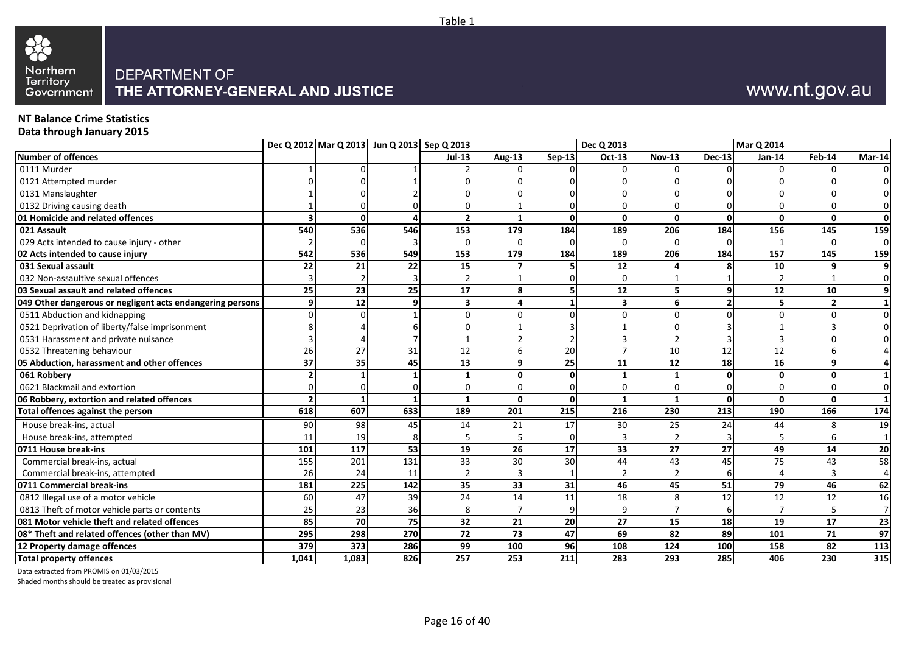

## www.nt.gov.au

## **NT Balance Crime Statistics**

**Data through January 2015**

| <b>Number of offences</b>                                 |                          |          |                  |                |                         |               |                |                |                 |              |              |                 |
|-----------------------------------------------------------|--------------------------|----------|------------------|----------------|-------------------------|---------------|----------------|----------------|-----------------|--------------|--------------|-----------------|
|                                                           |                          |          |                  | $Jul-13$       | <b>Aug-13</b>           | <b>Sep-13</b> | Oct-13         | <b>Nov-13</b>  | <b>Dec-13</b>   | Jan-14       | Feb-14       | Mar-14          |
| 0111 Murder                                               |                          |          |                  | $\mathcal{P}$  | $\Omega$                |               |                | $\Omega$       |                 | U            |              |                 |
| 0121 Attempted murder                                     |                          |          |                  |                |                         |               |                |                |                 |              |              |                 |
| 0131 Manslaughter                                         |                          |          |                  |                |                         |               |                |                |                 |              |              |                 |
| 0132 Driving causing death                                |                          |          |                  |                |                         |               |                | $\Omega$       |                 |              |              | 0               |
| 01 Homicide and related offences                          |                          | $\Omega$ |                  | $\overline{2}$ | 1                       | $\Omega$      | $\Omega$       | $\mathbf{0}$   | $\Omega$        | $\mathbf{0}$ | $\Omega$     | $\mathbf{0}$    |
| 021 Assault                                               | 540                      | 536      | 546              | 153            | 179                     | 184           | 189            | 206            | 184             | 156          | 145          | 159             |
| 029 Acts intended to cause injury - other                 |                          |          |                  | $\Omega$       | $\Omega$                |               | $\Omega$       | $\Omega$       | U               |              | $\Omega$     | 0               |
| 02 Acts intended to cause injury                          | 542                      | 536      | 549              | 153            | 179                     | 184           | 189            | 206            | 184             | 157          | 145          | 159             |
| 031 Sexual assault                                        | 22                       | 21       | 22               | 15             | $\overline{\mathbf{z}}$ |               | 12             | 4              |                 | 10           | 9            | 9               |
| 032 Non-assaultive sexual offences                        |                          |          |                  | $\overline{2}$ |                         |               | $\Omega$       |                |                 |              |              | 0               |
| 03 Sexual assault and related offences                    | 25                       | 23       | 25               | 17             | 8                       | 5             | 12             | 5              | 9               | 12           | 10           | 9               |
| 049 Other dangerous or negligent acts endangering persons |                          | 12       | 9                | 3              | 4                       |               | 3              | 6              |                 | 5            | $\mathbf{2}$ | $\mathbf 1$     |
| 0511 Abduction and kidnapping                             |                          |          |                  | $\Omega$       | $\Omega$                |               | $\Omega$       | $\Omega$       |                 | $\Omega$     | 0            | $\pmb{0}$       |
| 0521 Deprivation of liberty/false imprisonment            |                          |          |                  |                |                         |               |                |                |                 |              |              |                 |
| 0531 Harassment and private nuisance                      |                          |          |                  |                |                         |               |                |                |                 |              |              |                 |
| 0532 Threatening behaviour                                | 26                       | 27       | 31               | 12             | 6                       | 20            | $\overline{7}$ | 10             | 12              | 12           |              |                 |
| 05 Abduction, harassment and other offences               | 37                       | 35       | 45               | 13             | 9                       | 25            | 11             | 12             | 18              | 16           | 9            | 4               |
| 061 Robbery                                               |                          |          |                  | 1              | $\mathbf{0}$            |               | 1              | 1              |                 | 0            | 0            | 1               |
| 0621 Blackmail and extortion                              |                          |          |                  | 0              | $\Omega$                |               | $\Omega$       | $\Omega$       |                 | 0            |              | 0               |
| 06 Robbery, extortion and related offences                | $\overline{\phantom{a}}$ |          |                  | $\mathbf{1}$   | $\mathbf{0}$            | $\Omega$      | $\mathbf{1}$   | $\mathbf{1}$   | $\Omega$        | $\mathbf{0}$ | $\Omega$     | $\mathbf{1}$    |
| Total offences against the person                         | 618                      | 607      | 633              | 189            | 201                     | 215           | 216            | 230            | 213             | 190          | 166          | 174             |
| House break-ins, actual                                   | 90 <sup>1</sup>          | 98       | 45               | 14             | 21                      | 17            | 30             | 25             | 24              | 44           | 8            | 19              |
| House break-ins, attempted                                | 11                       | 19       |                  | -5             | 5                       |               | 3              | 2              |                 | 5            |              | 1               |
| 0711 House break-ins                                      | 101                      | 117      | 53               | 19             | 26                      | 17            | 33             | 27             | 27              | 49           | 14           | 20              |
| Commercial break-ins, actual                              | 155                      | 201      | $\overline{131}$ | 33             | 30                      | 30            | 44             | 43             | 45              | 75           | 43           | $\overline{58}$ |
| Commercial break-ins, attempted                           | 26                       | 24       | 11               | $\overline{2}$ | $\overline{3}$          |               | $\overline{2}$ | $\overline{2}$ | 6               | 4            |              | 4               |
| 0711 Commercial break-ins                                 | 181                      | 225      | 142              | 35             | 33                      | 31            | 46             | 45             | 51              | 79           | 46           | 62              |
| 0812 Illegal use of a motor vehicle                       | 60                       | 47       | 39               | 24             | 14                      | 11            | 18             | 8              | 12              | 12           | 12           | 16              |
| 0813 Theft of motor vehicle parts or contents             | 25                       | 23       | 36               | 8              |                         |               | $\mathbf{q}$   | $\overline{7}$ | 61              |              |              | $\overline{7}$  |
| 081 Motor vehicle theft and related offences              | 85                       | 70       | 75               | 32             | 21                      | 20            | 27             | 15             | 18 <sup>l</sup> | 19           | 17           | 23              |
| 08* Theft and related offences (other than MV)            | 295                      | 298      | 270              | 72             | 73                      | 47            | 69             | 82             | 89              | 101          | 71           | 97              |
| 12 Property damage offences                               | 379                      | 373      | 286              | 99             | 100                     | 96            | 108            | 124            | 100             | 158          | 82           | 113             |
| <b>Total property offences</b>                            | 1,041                    | 1,083    | 826              | 257            | 253                     | 211           | 283            | 293            | 285             | 406          | 230          | 315             |

Data extracted from PROMIS on 01/03/2015

Shaded months should be treated as provisional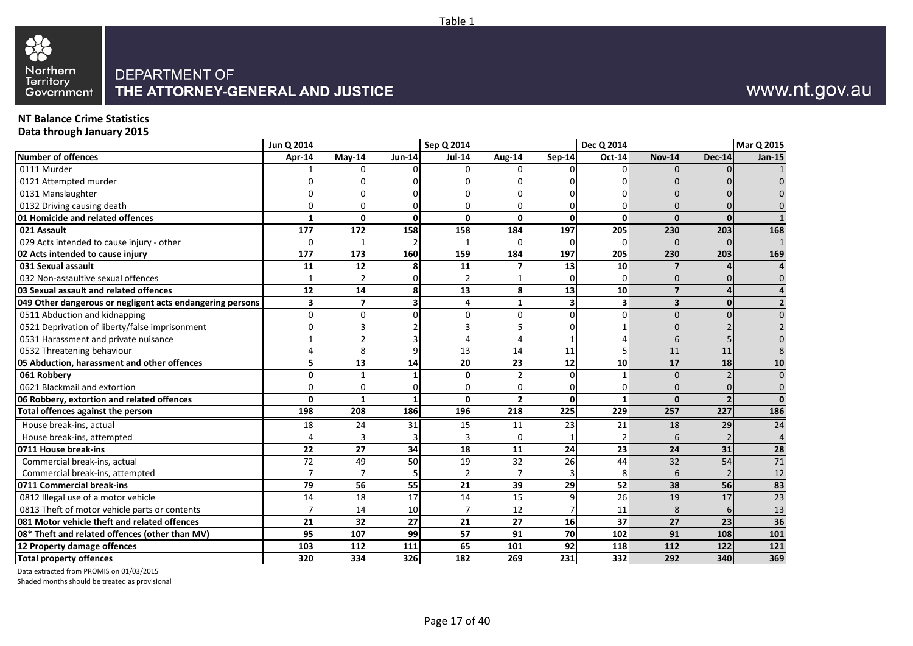# 88 Northern<br>Territory<br>Government

### DEPARTMENT OF THE ATTORNEY-GENERAL AND JUSTICE

## www.nt.gov.au

## **NT Balance Crime Statistics**

**Data through January 2015**

|                                                           | Jun Q 2014     |                |                         | Sep Q 2014     |                |               | Dec Q 2014              |                |               | <b>Mar Q 2015</b> |
|-----------------------------------------------------------|----------------|----------------|-------------------------|----------------|----------------|---------------|-------------------------|----------------|---------------|-------------------|
| Number of offences                                        | Apr-14         | $May-14$       | <b>Jun-14</b>           | <b>Jul-14</b>  | Aug-14         | <b>Sep-14</b> | Oct-14                  | <b>Nov-14</b>  | <b>Dec-14</b> | <b>Jan-15</b>     |
| 0111 Murder                                               |                | $\Omega$       |                         | <sup>0</sup>   | <sup>0</sup>   |               | $\Omega$                | <sup>0</sup>   |               |                   |
| 0121 Attempted murder                                     |                |                |                         |                |                |               |                         |                |               |                   |
| 0131 Manslaughter                                         |                |                |                         |                | U              |               |                         |                |               |                   |
| 0132 Driving causing death                                | $\Omega$       | $\Omega$       |                         |                | 0              |               |                         |                |               |                   |
| 01 Homicide and related offences                          | $\mathbf{1}$   | $\Omega$       | $\Omega$                | $\Omega$       | $\mathbf{0}$   | $\Omega$      | $\Omega$                | $\Omega$       | $\Omega$      |                   |
| 021 Assault                                               | 177            | 172            | 158                     | 158            | 184            | 197           | 205                     | 230            | 203           | 168               |
| 029 Acts intended to cause injury - other                 | $\Omega$       |                |                         |                | $\Omega$       |               | n                       |                |               |                   |
| 02 Acts intended to cause injury                          | 177            | 173            | 160                     | 159            | 184            | 197           | 205                     | 230            | 203           | 169               |
| 031 Sexual assault                                        | 11             | 12             | 8                       | 11             | 7              | 13            | 10                      | $\overline{7}$ |               |                   |
| 032 Non-assaultive sexual offences                        | 1              | $\overline{2}$ | O                       | $\overline{2}$ | -1             |               | $\Omega$                | $\Omega$       |               |                   |
| 03 Sexual assault and related offences                    | 12             | 14             | 8                       | 13             | 8              | 13            | 10                      | $\overline{7}$ | Δ             |                   |
| 049 Other dangerous or negligent acts endangering persons | 3              | $\overline{7}$ | $\overline{\mathbf{3}}$ | 4              | $\mathbf{1}$   |               | $\overline{\mathbf{3}}$ | 3              | $\Omega$      |                   |
| 0511 Abduction and kidnapping                             | $\Omega$       | $\Omega$       | $\Omega$                | U              | $\Omega$       |               | $\Omega$                | $\Omega$       |               |                   |
| 0521 Deprivation of liberty/false imprisonment            |                |                |                         |                |                |               |                         |                |               |                   |
| 0531 Harassment and private nuisance                      |                |                |                         |                |                |               |                         |                |               |                   |
| 0532 Threatening behaviour                                |                | 8              | q                       | 13             | 14             | 11            |                         | 11             | 11            |                   |
| 05 Abduction, harassment and other offences               | 5              | 13             | 14                      | 20             | 23             | 12            | 10                      | 17             | 18            | 10                |
| 061 Robbery                                               | $\mathbf 0$    | $\mathbf{1}$   |                         | $\Omega$       | $\overline{2}$ |               | $\mathbf{1}$            | $\Omega$       |               |                   |
| 0621 Blackmail and extortion                              | 0              | $\Omega$       | n                       | 0              | 0              |               | 0                       | 0              |               |                   |
| 06 Robbery, extortion and related offences                | $\mathbf 0$    | $\mathbf{1}$   | 1                       | $\mathbf 0$    | $\overline{2}$ | ŋ             | $\mathbf{1}$            | $\mathbf{0}$   |               |                   |
| Total offences against the person                         | 198            | 208            | 186                     | 196            | 218            | 225           | 229                     | 257            | 227           | 186               |
| House break-ins, actual                                   | 18             | 24             | 31                      | 15             | 11             | 23            | 21                      | 18             | 29            | 24                |
| House break-ins, attempted                                | 4              | 3              | 3                       | 3              | 0              |               | $\overline{2}$          |                |               |                   |
| 0711 House break-ins                                      | 22             | 27             | 34                      | 18             | 11             | 24            | 23                      | 24             | 31            | 28                |
| Commercial break-ins, actual                              | 72             | 49             | 50                      | 19             | 32             | 26            | 44                      | 32             | 54            | $\overline{71}$   |
| Commercial break-ins, attempted                           | $\overline{7}$ | 7              |                         | $\overline{2}$ | $\overline{7}$ |               | 8                       |                |               | 12                |
| 0711 Commercial break-ins                                 | 79             | 56             | 55                      | 21             | 39             | 29            | 52                      | 38             | 56            | 83                |
| 0812 Illegal use of a motor vehicle                       | 14             | 18             | 17                      | 14             | 15             |               | 26                      | 19             | 17            | 23                |
| 0813 Theft of motor vehicle parts or contents             | 7              | 14             | 10                      | 7              | 12             |               | 11                      |                |               | 13                |
| 081 Motor vehicle theft and related offences              | 21             | 32             | 27                      | 21             | 27             | 16            | 37                      | 27             | 23            | 36                |
| 08* Theft and related offences (other than MV)            | 95             | 107            | 99                      | 57             | 91             | 70            | 102                     | 91             | 108           | 101               |
| 12 Property damage offences                               | 103            | 112            | 111                     | 65             | 101            | 92            | 118                     | 112            | 122           | 121               |
| <b>Total property offences</b>                            | 320            | 334            | <b>326</b>              | 182            | 269            | 231           | 332                     | 292            | 340           | 369               |

Data extracted from PROMIS on 01/03/2015

Shaded months should be treated as provisional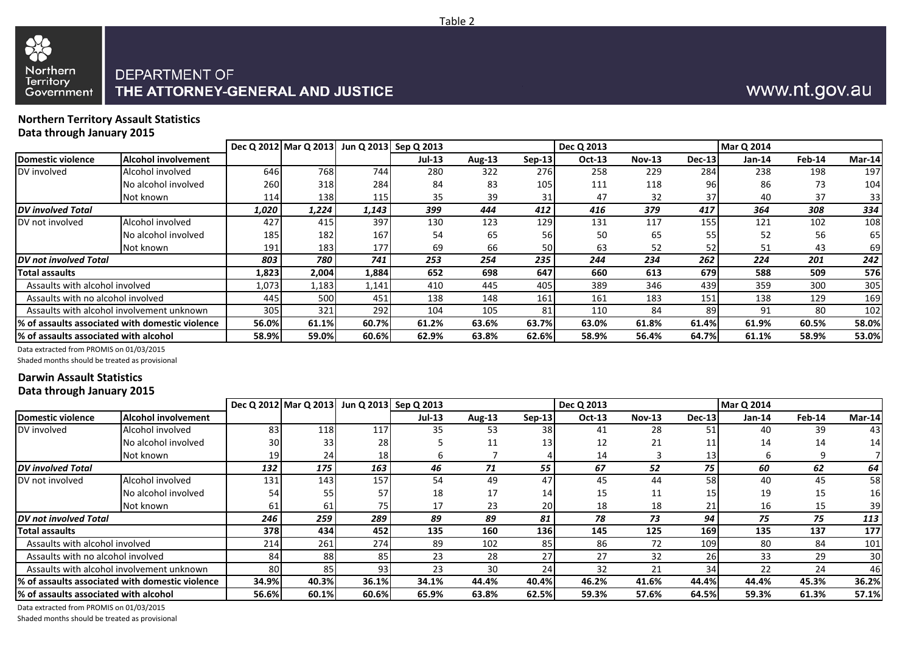

## www.nt.gov.au

#### **Northern Territory Assault Statistics Data through January 2015**

|                                       |                                                  |                  | Dec Q 2012 Mar Q 2013 Jun Q 2013 Sep Q 2013 |       |               |               |          | Dec Q 2013 |          |             | <b>Mar Q 2014</b> |        |        |
|---------------------------------------|--------------------------------------------------|------------------|---------------------------------------------|-------|---------------|---------------|----------|------------|----------|-------------|-------------------|--------|--------|
| Domestic violence                     | <b>IAIcohol involvement</b>                      |                  |                                             |       | <b>Jul-13</b> | <b>Aug-13</b> | $Sep-13$ | Oct-13     | $Nov-13$ | $Dec-13$    | $Jan-14$          | Feb-14 | Mar-14 |
| DV involved                           | Alcohol involved                                 | 646              | 768                                         | 744   | 280           | 322           | 276      | 258        | 229      | 284         | 238               | 198    | 197    |
|                                       | No alcohol involved                              | 260              | 318                                         | 284   | 84            | 83            | 105      | 111        | 118      | 961         | 86                | 73     | 104    |
|                                       | Not known                                        | 114 <sub>1</sub> | 138                                         | 115   | 35            | 39            | 31       | 47         | 32       | 37          | 40                | 37     | 33     |
| <b>DV</b> involved Total              |                                                  | 1,020            | 1,224                                       | 1,143 | 399           | 444           | 412      | 416        | 379      | 417         | 364               | 308    | 334    |
| DV not involved                       | Alcohol involved                                 | 427              | 415                                         | 397   | 130           | 123           | 129      | 131        | 117      | 155         | 121               | 102    | 108    |
|                                       | No alcohol involved                              | 185              | 182                                         | 167   | 54            | 65            | 56       | 50         | 65       | 55          | 52                | 56     | 65     |
|                                       | Not known                                        | 191              | 183                                         | 177   | 69            | 66            |          | 63         | 52       | 52          | 51                | 43     | 69     |
| <b>DV</b> not involved Total          |                                                  | 803              | 780                                         | 741   | 253           | 254           | 235      | 244        | 234      | 262         | 224               | 201    | 242    |
| Total assaults                        |                                                  | 1,823            | 2,004                                       | 1,884 | 652           | 698           | 647      | 660        | 613      | <b>6791</b> | 588               | 509    | 576    |
| Assaults with alcohol involved        |                                                  | 1,073            | 1,183                                       | 1,141 | 410           | 445           | 405      | 389        | 346      | 4391        | 359               | 300    | 305    |
| Assaults with no alcohol involved     |                                                  | 445              | 500                                         | 451   | 138           | 148           | 161      | 161        | 183      | 151         | 138               | 129    | 169    |
|                                       | Assaults with alcohol involvement unknown        | 305              | 321                                         | 292   | 104           | 105           | 81       | 110        | 84       | 89          | 91                | 80     | 102    |
|                                       | l% of assaults associated with domestic violence | 56.0%            | 61.1%                                       | 60.7% | 61.2%         | 63.6%         | 63.7%    | 63.0%      | 61.8%    | 61.4%       | 61.9%             | 60.5%  | 58.0%  |
| % of assaults associated with alcohol |                                                  | 58.9%            | 59.0%                                       | 60.6% | 62.9%         | 63.8%         | 62.6%    | 58.9%      | 56.4%    | 64.7%l      | 61.1%             | 58.9%  | 53.0%  |

Data extracted from PROMIS on 01/03/2015

Shaded months should be treated as provisional

#### **Darwin Assault Statistics Data through January 2015**

|                                        |                                                  |                 | Dec Q 2012 Mar Q 2013 |       | Jun Q 2013 Sep Q 2013 |               |          | Dec Q 2013 |          |                 | <b>Mar Q 2014</b> |        |                 |
|----------------------------------------|--------------------------------------------------|-----------------|-----------------------|-------|-----------------------|---------------|----------|------------|----------|-----------------|-------------------|--------|-----------------|
| Domestic violence                      | <b>Alcohol involvement</b>                       |                 |                       |       | <b>Jul-13</b>         | <b>Aug-13</b> | $Sep-13$ | Oct-13     | $Nov-13$ | Dec-13          | Jan-14            | Feb-14 | Mar-14          |
| DV involved                            | Alcohol involved                                 | 83              | 118                   | 117   | 35                    | 53            | 38       | 41         | 28       | 51              | 40                | 39     | 43 <sub>l</sub> |
|                                        | No alcohol involved                              | 30 <sup>1</sup> | 33                    | 28    |                       | 11            | 13       | 12         | 21       |                 | 14                | 14     | 14 <sup>1</sup> |
|                                        | Not known                                        | 19 <sup>1</sup> | 24                    | 181   | h                     |               |          | 14         |          | 13 <sub>1</sub> |                   |        |                 |
| <b>DV</b> involved Total               |                                                  | 132             | 175                   | 163   | 46                    | 71            | 55       | 67         | 52       | 75              | 60                | 62     | 64              |
| DV not involved                        | Alcohol involved                                 | 131             | 143                   | 157   | 54                    | 49            | 47       | 45         | 44       | 58              | 40                | 45     | 58              |
|                                        | No alcohol involved                              | 54              |                       |       | 18                    | 17            | 14       | 15         |          | 15              | 19                | 15     | 16              |
|                                        | Not known                                        | 61              | 61                    |       | 17                    | 23            | 20       | 18         | 18       | 21              | 16                | 15     | 39              |
| <b>DV</b> not involved Total           |                                                  | 246             | 259                   | 289   | 89                    | 89            | 81       | 78         | 73       | 94              | 75                | 75     | 113             |
| <b>Total assaults</b>                  |                                                  | <b>378</b>      | 434                   | 452   | 135                   | 160           | 136      | 145        | 125      | <b>169</b>      | 135               | 137    | 177             |
| Assaults with alcohol involved         |                                                  | 214             | 261                   | 274   | 89                    | 102           | 85       | 86         | 72       | 109             | 80                | 84     | 101             |
| Assaults with no alcohol involved      |                                                  | 84              | 88                    | 85    | 23                    | 28            | 27       | 27         | 32       | <b>26</b>       | 33                | 29     | 30 <sup>°</sup> |
|                                        | Assaults with alcohol involvement unknown        | 80              | 85                    | 931   | 23                    | 30            | 24       | 32         | 21       | 34              | 22                | 24     | 46              |
|                                        | 1% of assaults associated with domestic violence | 34.9%           | 40.3%                 | 36.1% | 34.1%                 | 44.4%         | 40.4%    | 46.2%      | 41.6%    | 44.4%           | 44.4%             | 45.3%  | 36.2%           |
| 1% of assaults associated with alcohol |                                                  | 56.6%           | 60.1%                 | 60.6% | 65.9%                 | 63.8%         | 62.5%    | 59.3%      | 57.6%    | 64.5%           | 59.3%             | 61.3%  | 57.1%           |

Data extracted from PROMIS on 01/03/2015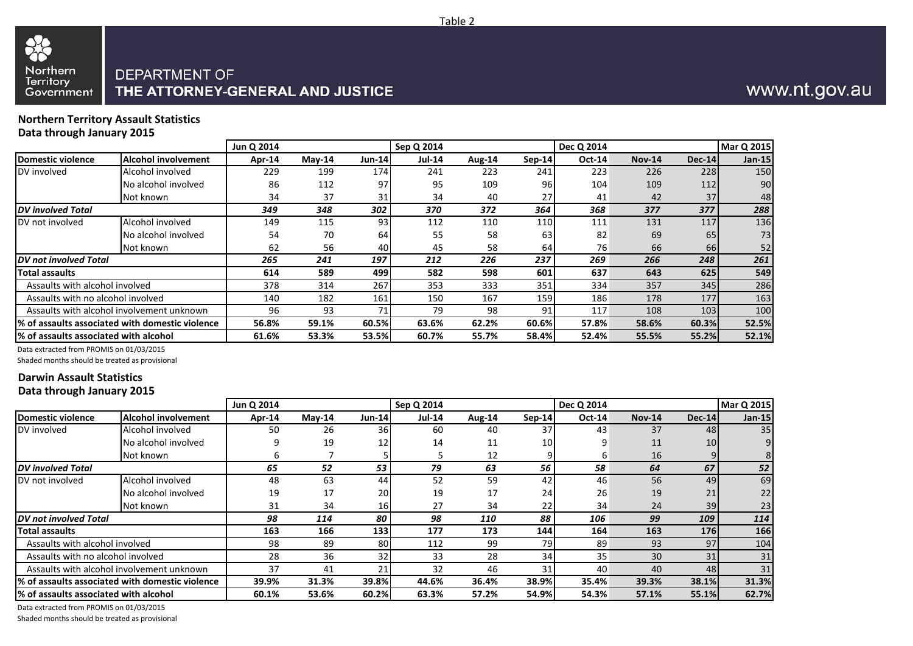

#### **Northern Territory Assault Statistics Data through January 2015**

|                                       |                                                                                                                | Jun Q 2014 |           |                | Sep Q 2014    |        |          | Dec Q 2014 |               |               | <b>Mar Q 2015</b> |
|---------------------------------------|----------------------------------------------------------------------------------------------------------------|------------|-----------|----------------|---------------|--------|----------|------------|---------------|---------------|-------------------|
| <b>Domestic violence</b>              | Alcohol involvement                                                                                            | Apr-14     | $M$ ay-14 | <b>Jun-141</b> | <b>Jul-14</b> | Aug-14 | $Sen-14$ | Oct-14     | <b>Nov-14</b> | <b>Dec-14</b> | $Jan-15$          |
| DV involved                           | Alcohol involved                                                                                               | 229        | 199       | 174            | 241           | 223    | 241      | 223        | 226           | 228           | 150               |
|                                       | No alcohol involved                                                                                            | 86         | 112       | 97             | 95            | 109    | 96       | 104        | 109           | 112           | 90                |
|                                       | Not known                                                                                                      | 34         | 37        | 31             | 34            | 40     | 27       | 41         | 42            | 37            | 48                |
| <b>DV</b> involved Total              |                                                                                                                | 349        | 348       | 302            | 370           | 372    | 364      | 368        | 377           | 377           | 288               |
| DV not involved                       | Alcohol involved                                                                                               | 149        | 115       | 93             | 112           | 110    | 110      | 111        | 131           | 117           | 136               |
|                                       | No alcohol involved                                                                                            | 54         | 70        | 64             | 55            | 58     | 63       | 82         | 69            | 65            | 73                |
|                                       | Not known                                                                                                      | 62         | 56        | 40             | 45            | 58     | 64       | 76         | 66            | 66            | 52                |
| DV not involved Total                 |                                                                                                                | 265        | 241       | 197            | 212           | 226    | 237      | 269        | 266           | 248           | 261               |
| <b>Total assaults</b>                 |                                                                                                                | 614        | 589       | 499            | 582           | 598    | 601      | 637        | 643           | 625           | 549               |
| Assaults with alcohol involved        |                                                                                                                | 378        | 314       | 267            | 353           | 333    | 351      | 334        | 357           | 345           | 286               |
| Assaults with no alcohol involved     |                                                                                                                | 140        | 182       | 161            | 150           | 167    | 159      | 186        | 178           | 177           | 163               |
|                                       | Assaults with alcohol involvement unknown                                                                      | 96         | 93        | 71             | 79            | 98     | 91       | 117        | 108           | 103           | 100               |
|                                       | % of assaults associated with domestic violence<br>60.5%<br>60.6%<br>56.8%<br>59.1%<br>63.6%<br>62.2%<br>57.8% |            | 58.6%     | 60.3%          | 52.5%         |        |          |            |               |               |                   |
| % of assaults associated with alcohol |                                                                                                                | 61.6%      | 53.3%     | 53.5%          | 60.7%         | 55.7%  | 58.4%    | 52.4%      | 55.5%         | 55.2%         | 52.1%             |

Data extracted from PROMIS on 01/03/2015

Shaded months should be treated as provisional

#### **Darwin Assault Statistics Data through January 2015**

|                                        |                                                  | Jun Q 2014 |           |                 | Sep Q 2014    |        |        | Dec Q 2014 |               |          | <b>Mar Q 2015</b> |
|----------------------------------------|--------------------------------------------------|------------|-----------|-----------------|---------------|--------|--------|------------|---------------|----------|-------------------|
| Domestic violence                      | <b>IAIcohol involvement</b>                      | Apr-14     | $M$ ay-14 | <b>Jun-141</b>  | <b>Jul-14</b> | Aug-14 | Sep-14 | $Oct-14$   | <b>Nov-14</b> | $Dec-14$ | $Jan-15$          |
| DV involved                            | Alcohol involved                                 | 50         | 26        | 36              | 60            | 40     | 37     | 43         | 37            | 48       | 35                |
|                                        | No alcohol involved                              |            | 19        | 12              | 14            | 11     | 10     | q          | 11            | 10       |                   |
|                                        | Not known                                        | h          |           |                 |               | 12     |        | h          | 16            |          |                   |
| <b>DV</b> involved Total               |                                                  | 65         | 52        | 53              | 79            | 63     | 56     | 58         | 64            | 67       | 52                |
| DV not involved                        | Alcohol involved                                 | 48         | 63        | 44              | 52            | 59     | 42     | 46         | 56            | 49       | 69                |
|                                        | No alcohol involved                              | 19         | 17        | 20              | 19            | 17     | 24     | 26         | 19            | 21       | 22                |
|                                        | Not known                                        | 31         | 34        | 16              | 27            | 34     | 22     | 34         | 24            | 39       | 23                |
| DV not involved Total                  |                                                  | 98         | 114       | 80              | 98            | 110    | 88     | 106        | 99            | 109      | 114               |
| <b>Total assaults</b>                  |                                                  | 163        | 166       | 133             | 177           | 173    | 144    | 164        | 163           | 176      | 166               |
| Assaults with alcohol involved         |                                                  | 98         | 89        | 80              | 112           | 99     | 79     | 89         | 93            | 97       | 104               |
| Assaults with no alcohol involved      |                                                  | 28         | 36        | 32 <sub>1</sub> | 33            | 28     | 34     | 35         | 30            | 31       | 31                |
|                                        | Assaults with alcohol involvement unknown        | 37         | 41        | 21              | 32            | 46     | 31     | 40         | 40            | 48       | 31                |
|                                        | 1% of assaults associated with domestic violence | 39.9%      | 31.3%     | 39.8%           | 44.6%         | 36.4%  | 38.9%  | 35.4%      | 39.3%         | 38.1%    | 31.3%             |
| 1% of assaults associated with alcohol |                                                  | 60.1%      | 53.6%     | 60.2%           | 63.3%         | 57.2%  | 54.9%  | 54.3%      | 57.1%         | 55.1%    | 62.7%             |

Data extracted from PROMIS on 01/03/2015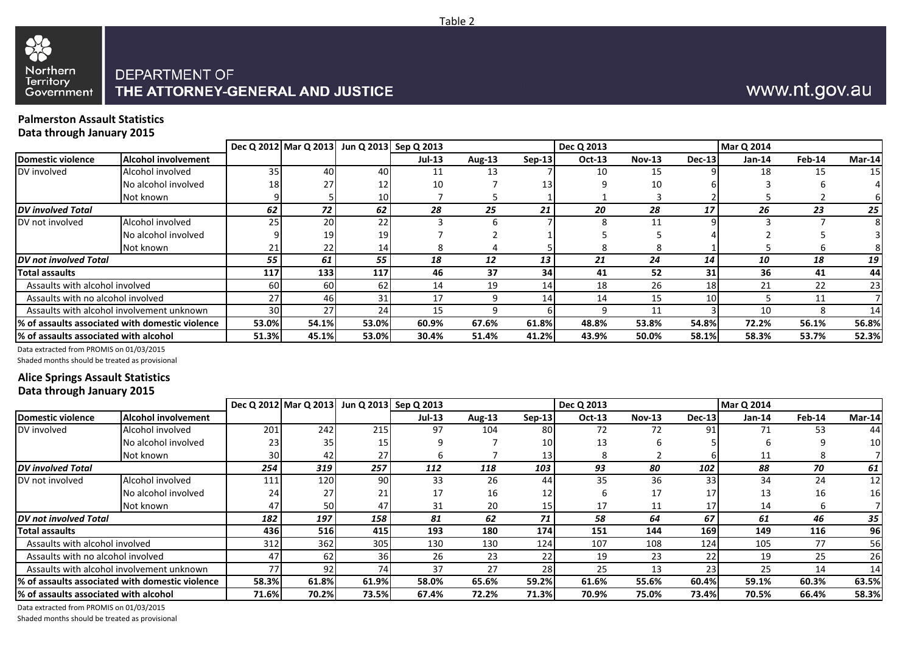

## www.nt.gov.au

#### **Palmerston Assault Statistics Data through January 2015**

|                                       |                                                  |                 | Dec Q 2012 Mar Q 2013 Jun Q 2013 Sep Q 2013 |                 |               |        |                 | Dec Q 2013 |               |                 | <b>Mar Q 2014</b> |        |        |
|---------------------------------------|--------------------------------------------------|-----------------|---------------------------------------------|-----------------|---------------|--------|-----------------|------------|---------------|-----------------|-------------------|--------|--------|
| Domestic violence                     | <b>Alcohol involvement</b>                       |                 |                                             |                 | <b>Jul-13</b> | Aug-13 | $Sen-13$        | Oct-13     | <b>Nov-13</b> | <b>Dec-13</b>   | $Jan-14$          | Feb-14 | Mar-14 |
| DV involved                           | Alcohol involved                                 | 35 <sub>1</sub> | 40                                          | 40              | 11            | 13     |                 | 10         | 15            |                 | 18                | 15     | 15     |
|                                       | No alcohol involved                              | 18              | 27                                          |                 | 10            |        |                 |            | 10            |                 |                   |        |        |
|                                       | Not known                                        |                 |                                             | 10 <sup>1</sup> |               |        |                 |            |               |                 |                   |        |        |
| <b>DV</b> involved Total              |                                                  | 62              | 72 <sub>1</sub>                             | 62              | 28            | 25     | 21              | 20         | 28            | 17              | 26                | 23     | 25     |
| DV not involved                       | Alcohol involved                                 | 25              | 20                                          | 22              |               |        |                 |            | 11            |                 |                   |        |        |
|                                       | No alcohol involved                              |                 | 19                                          | 19              |               |        |                 |            |               |                 |                   |        |        |
|                                       | Not known                                        |                 | 22                                          | 14              |               |        |                 |            |               |                 |                   |        |        |
| <b>DV</b> not involved Total          |                                                  | 55              | 61                                          | 55              | 18            | 12     | 13              | 21         | 24            | 14              | 10                | 18     | 19     |
| Total assaults                        |                                                  | 117             | 133                                         | 117             | 46            | 37     | 34              | 41         | 52            | 31              | 36                | 41     | 44     |
| Assaults with alcohol involved        |                                                  | 60              | 60                                          | 62              | 14            | 19     | 14              | 18         | 26            | 18              | 21                | 22     | 23     |
| Assaults with no alcohol involved     |                                                  | 27 <sup>1</sup> | 46                                          | 31              | 17            |        | 14 <sub>1</sub> | 14         | 15            | 10 <sup>1</sup> |                   | 11     |        |
|                                       | Assaults with alcohol involvement unknown        | 30 <sub>l</sub> | 27                                          | 24              | 15            |        |                 |            | 11            |                 | 10                |        | 14     |
|                                       | l% of assaults associated with domestic violence | 53.0%           | 54.1%                                       | 53.0%           | 60.9%         | 67.6%  | 61.8%           | 48.8%      | 53.8%         | 54.8%           | 72.2%             | 56.1%  | 56.8%  |
| % of assaults associated with alcohol |                                                  | 51.3%           | 45.1%                                       | 53.0%           | 30.4%         | 51.4%  | 41.2%           | 43.9%      | 50.0%         | 58.1%           | 58.3%             | 53.7%  | 52.3%  |

Data extracted from PROMIS on 01/03/2015

Shaded months should be treated as provisional

#### **Alice Springs Assault Statistics Data through January 2015**

|                                        |                                                  |                 | Dec Q 2012 Mar Q 2013 |       | Jun Q 2013 Sep Q 2013 |               |              | Dec Q 2013 |               |                 | <b>Mar Q 2014</b> |        |        |
|----------------------------------------|--------------------------------------------------|-----------------|-----------------------|-------|-----------------------|---------------|--------------|------------|---------------|-----------------|-------------------|--------|--------|
| Domestic violence                      | Alcohol involvement                              |                 |                       |       | <b>Jul-13</b>         | <b>Aug-13</b> | $Sep-13$     | Oct-13     | <b>Nov-13</b> | <b>Dec-13</b>   | $Jan-14$          | Feb-14 | Mar-14 |
| DV involved                            | Alcohol involved                                 | 201             | 242                   | 215   | 97                    | 104           | 80           | 72         | 72            | 91              | 71                | 53     | 44     |
|                                        | No alcohol involved                              | 23              | 35                    |       |                       |               | 10           | 13         |               |                 |                   |        | 10     |
|                                        | Not known                                        | 30 <sup>1</sup> | 42                    |       |                       |               |              |            |               |                 |                   |        |        |
| <b>DV</b> involved Total               |                                                  | 254             | 319                   | 257   | 112                   | 118           | 103          | 93         | 80            | 102             | 88                | 70     | 61     |
| DV not involved                        | Alcohol involved                                 | 111             | 120                   | 90    | 33                    | 26            | 44           | 35         | 36            | 33              | 34                | 24     | 12     |
|                                        | No alcohol involved                              | 24              | 27                    |       | 17                    | 16            |              |            | 17            | 17              |                   | 16     | 161    |
|                                        | Not known                                        | 47              | 50                    |       | 31                    | 20            |              | 17         | 11            | 17 <sub>1</sub> | 14                |        |        |
| <b>DV</b> not involved Total           |                                                  | 182             | 197                   | 158   | 81                    | 62            | 71           | 58         | 64            | 67              | 61                | 46     | 35     |
| <b>Total assaults</b>                  |                                                  | 436 I           | <b>516</b>            | 415   | 193                   | 180           | 174          | 151        | 144           | 169             | 149               | 116    | 96     |
| Assaults with alcohol involved         |                                                  | 312             | 362                   | 305   | 130                   | 130           | 124          | 107        | 108           | 124             | 105               | 77     | 56     |
| Assaults with no alcohol involved      |                                                  | 47              | 62                    | 36    | 26                    | 23            |              | 19         | 23            | 22              | 19                | 25     | 26     |
|                                        | Assaults with alcohol involvement unknown        | 77              | 92                    | 74 I  | 37                    | 27            | 28           | 25         | 13            | 23              | 25                | 14     | 14     |
|                                        | 1% of assaults associated with domestic violence | 58.3%           | 61.8%                 | 61.9% | 58.0%                 | 65.6%         | 59.2%        | 61.6%      | 55.6%         | 60.4%           | 59.1%             | 60.3%  | 63.5%  |
| I% of assaults associated with alcohol |                                                  | <b>71.6%</b>    | 70.2%                 | 73.5% | 67.4%                 | 72.2%         | <b>71.3%</b> | 70.9%      | 75.0%         | 73.4%l          | 70.5%             | 66.4%  | 58.3%  |

Data extracted from PROMIS on 01/03/2015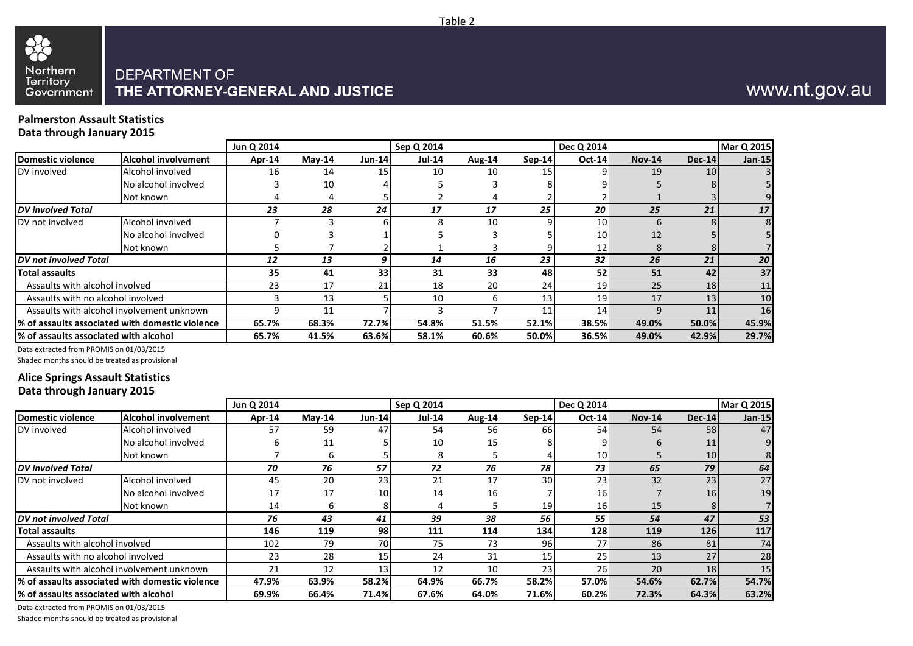

## www.nt.gov.au

#### **Palmerston Assault Statistics Data through January 2015**

|                                           |                                                 | Jun Q 2014 |           |          | Sep Q 2014    |        |                 | Dec Q 2014 |               |          | <b>Mar Q 2015</b> |
|-------------------------------------------|-------------------------------------------------|------------|-----------|----------|---------------|--------|-----------------|------------|---------------|----------|-------------------|
| Domestic violence                         | Alcohol involvement                             | Apr-14     | $M$ ay-14 | $Jun-14$ | <b>Jul-14</b> | Aug-14 | $Sen-14$        | $Oct-14$   | <b>Nov-14</b> | $Dec-14$ | $Jan-15$          |
| DV involved                               | Alcohol involved                                | 16         | 14        | 15       | 10            | 10     | 15              |            | 19            | 10       |                   |
|                                           | No alcohol involved                             |            | 10        |          |               |        |                 |            |               |          | 51                |
|                                           | Not known                                       |            | 4         |          |               |        |                 |            |               |          |                   |
| <b>DV</b> involved Total                  |                                                 | 23         | 28        | 24       | 17            | 17     | 25              | 20         | 25            | 21       | 17 <sup>1</sup>   |
| DV not involved                           | Alcohol involved                                |            |           |          |               | 10     |                 | 10         | 6             |          | 8                 |
|                                           | No alcohol involved                             |            |           |          |               |        |                 | 10         | 12            |          | 51                |
|                                           | Not known                                       |            |           |          |               |        |                 | 12         |               |          |                   |
| DV not involved Total                     |                                                 | 12         | 13        | 9        | 14            | 16     | 23              | 32         | 26            | 21       | 20 <sub>1</sub>   |
| Total assaults                            |                                                 | 35         | 41        | 33       | 31            | 33     | 48              | 52         | 51            | 42       | 37                |
| Assaults with alcohol involved            |                                                 | 23         | 17        | 21       | 18            | 20     | 24              | 19         | 25            | 18       | 11                |
| Assaults with no alcohol involved         |                                                 |            | 13        |          | 10            | h.     | 13 <sub>l</sub> | 19         | 17            | 13       | 10 <sup>1</sup>   |
| Assaults with alcohol involvement unknown |                                                 |            | 11        |          |               |        | 11              | 14         | q             | 11       | 16                |
|                                           | % of assaults associated with domestic violence | 65.7%      | 68.3%     | 72.7%    | 54.8%         | 51.5%  | 52.1%           | 38.5%      | 49.0%         | 50.0%    | 45.9%             |
| % of assaults associated with alcohol     |                                                 | 65.7%      | 41.5%     | 63.6%    | 58.1%         | 60.6%  | 50.0%           | 36.5%      | 49.0%         | 42.9%    | 29.7%             |

Data extracted from PROMIS on 01/03/2015

Shaded months should be treated as provisional

#### **Alice Springs Assault Statistics Data through January 2015**

|                                        |                                                  | Jun Q 2014 |           |                 | Sep Q 2014    |        |        | Dec Q 2014      |               |               | <b>Mar Q 2015</b> |
|----------------------------------------|--------------------------------------------------|------------|-----------|-----------------|---------------|--------|--------|-----------------|---------------|---------------|-------------------|
| Domestic violence                      | <b>Alcohol involvement</b>                       | Apr-14     | $M$ ay-14 | <b>Jun-14</b>   | <b>Jul-14</b> | Aug-14 | Sep-14 | Oct-14          | <b>Nov-14</b> | <b>Dec-14</b> | $Jan-15$          |
| DV involved                            | Alcohol involved                                 | 57         | 59        | 47              | 54            | 56     | 66     | 54              | 54            | 58            | 47                |
|                                        | No alcohol involved                              |            | 11        |                 | 10            | 15     |        |                 | h             | 11            |                   |
|                                        | Not known                                        |            | b         |                 | 8             |        |        | 10              |               | 10            |                   |
| <b>DV</b> involved Total               |                                                  | 70         | 76        | 57              | 72            | 76     | 78     | 73              | 65            | 79            | 64                |
| DV not involved                        | Alcohol involved                                 | 45         | 20        | 23              | 21            | 17     | 30     | 23              | 32            | 23            | 27                |
|                                        | No alcohol involved                              | 17         | 17        | 10 <sup>1</sup> | 14            | 16     |        | 16              |               | 16            | 19                |
|                                        | Not known                                        | 14         | b         |                 |               |        | 19     | 16 <sub>1</sub> | 15            |               |                   |
| <b>DV</b> not involved Total           |                                                  | 76         | 43        | 41              | 39            | 38     | 56     | 55              | 54            | 47            | 53                |
| Total assaults                         |                                                  | 146        | 119       | 98I             | 111           | 114    | 134 I  | 128             | 119           | 126           | 117               |
| Assaults with alcohol involved         |                                                  | 102        | 79        | 70              | 75            | 73     | 96     | 77              | 86            | 81            | 74                |
| Assaults with no alcohol involved      |                                                  | 23         | 28        | 15              | 24            | 31     | 15     | 25              | 13            | 27            | 28                |
|                                        | Assaults with alcohol involvement unknown        | 21         | 12        | 13 <sup>1</sup> | 12            | 10     | 23     | 26              | 20            | 18            | 15                |
|                                        | 1% of assaults associated with domestic violence | 47.9%      | 63.9%     | 58.2%           | 64.9%         | 66.7%  | 58.2%  | 57.0%           | 54.6%         | 62.7%         | 54.7%             |
| l% of assaults associated with alcohol |                                                  | 69.9%      | 66.4%     | <b>71.4%</b>    | 67.6%         | 64.0%  | 71.6%  | 60.2%           | 72.3%         | 64.3%         | 63.2%             |

Data extracted from PROMIS on 01/03/2015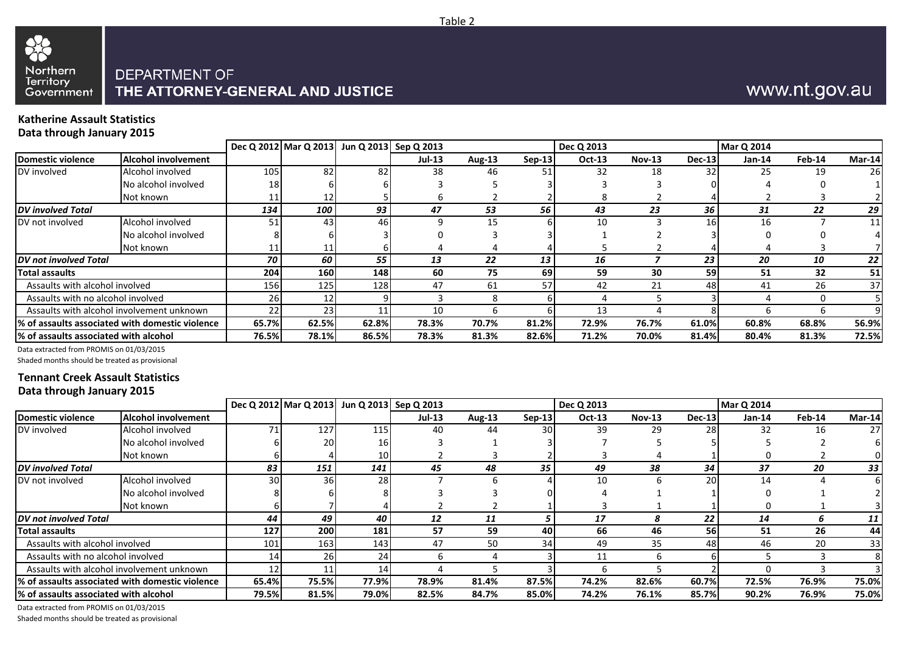

## www.nt.gov.au

#### **Katherine Assault Statistics Data through January 2015**

|                                       |                                                 |           | Dec Q 2012 Mar Q 2013 Jun Q 2013 Sep Q 2013 |       |               |        |          | Dec Q 2013 |               |        | <b>Mar Q 2014</b> |        |        |
|---------------------------------------|-------------------------------------------------|-----------|---------------------------------------------|-------|---------------|--------|----------|------------|---------------|--------|-------------------|--------|--------|
| Domestic violence                     | <b>Alcohol involvement</b>                      |           |                                             |       | <b>Jul-13</b> | Aug-13 | $Sep-13$ | Oct-13     | <b>Nov-13</b> | Dec-13 | $Jan-14$          | Feb-14 | Mar-14 |
| DV involved                           | Alcohol involved                                | 105       | 82                                          | 82    | 38            | 46     |          | 32         | 18            | 32     | 25                | 19     | 26     |
|                                       | No alcohol involved                             | 18        |                                             |       |               |        |          |            |               |        |                   |        |        |
|                                       | Not known                                       |           | 12                                          |       |               |        |          |            |               |        |                   |        |        |
| <b>DV</b> involved Total              |                                                 | 134       | 100                                         | 93    | 47            | 53     | 56       | 43         | 23            | 36     | 31                | 22     | 29     |
| DV not involved                       | Alcohol involved                                |           | 43                                          | 461   |               | 15     |          | 10         |               | 161    | 16                |        | 11     |
|                                       | No alcohol involved                             |           |                                             |       |               |        |          |            |               |        |                   |        |        |
|                                       | Not known                                       |           |                                             |       |               |        |          |            |               |        |                   |        |        |
| <b>DV</b> not involved Total          |                                                 | 70        | 60 I                                        | 55    | 13            | 22     | 13       | 16         |               | 23     | 20                | 10     | 22     |
| Total assaults                        |                                                 | 204       | 160                                         | 1481  | 60            | 75     | 69       | 59         | 30            | 591    | 51                | 32     | 51     |
| Assaults with alcohol involved        |                                                 | 156       | 125                                         | 128   | 47            | 61     | 57       | 42         | 21            | 48     | 41                | 26     | 37     |
| Assaults with no alcohol involved     |                                                 | <b>26</b> | 12                                          |       |               |        |          |            |               |        |                   |        |        |
|                                       | Assaults with alcohol involvement unknown       | 22        | 23                                          |       | 10            |        |          | 13         |               |        |                   |        |        |
|                                       | % of assaults associated with domestic violence | 65.7%     | 62.5%                                       | 62.8% | 78.3%         | 70.7%  | 81.2%    | 72.9%      | 76.7%         | 61.0%  | 60.8%             | 68.8%  | 56.9%  |
| % of assaults associated with alcohol |                                                 | 76.5%     | 78.1%                                       | 86.5% | 78.3%         | 81.3%  | 82.6%    | 71.2%      | 70.0%         | 81.4%  | 80.4%             | 81.3%  | 72.5%  |

Data extracted from PROMIS on 01/03/2015

Shaded months should be treated as provisional

#### **Tennant Creek Assault Statistics Data through January 2015**

|                                                  |                                           |        |                 | Dec Q 2012 Mar Q 2013 Jun Q 2013 Sep Q 2013 |        |        |                 | Dec Q 2013 |               |               | <b>Mar Q 2014</b> |          |        |
|--------------------------------------------------|-------------------------------------------|--------|-----------------|---------------------------------------------|--------|--------|-----------------|------------|---------------|---------------|-------------------|----------|--------|
| Domestic violence                                | <b>Alcohol involvement</b>                |        |                 |                                             | Jul-13 | Aug-13 | $Sep-13$        | Oct-13     | <b>Nov-13</b> | <b>Dec-13</b> | $Jan-14$          | $Feb-14$ | Mar-14 |
| DV involved                                      | Alcohol involved                          | 71.    | 127             | 115                                         | 40     | 44     | 30              | 39         | 29            | 28            | 32                | 16       | 27     |
|                                                  | No alcohol involved                       |        | 20              | 16                                          |        |        |                 |            |               |               |                   |          |        |
|                                                  | Not known                                 |        |                 | 10                                          |        |        |                 |            |               |               |                   |          |        |
| <b>DV</b> involved Total                         |                                           | 83     | 151             | 141                                         | 45     | 48     | 35              | 49         | 38            | 34            | 37                | 20       | 33     |
| DV not involved                                  | Alcohol involved                          | 30     | 36 <sup>1</sup> | 28                                          |        |        |                 | 10         |               | 20            | 14                |          |        |
|                                                  | No alcohol involved                       |        |                 |                                             |        |        |                 |            |               |               |                   |          |        |
|                                                  | Not known                                 |        |                 |                                             |        |        |                 |            |               |               |                   |          |        |
| <b>IDV</b> not involved Total                    |                                           | 44     | 49              | 40                                          | 12     | 11     |                 | 17         | 8             | 22            | 14                |          | 11     |
| <b>Total assaults</b>                            |                                           | 127    | 200             | 181                                         | 57     | 59     | 40              | 66         | 46            | 56            | 51                | 26       | 44     |
| Assaults with alcohol involved                   |                                           | 101    | 163             | 143                                         | 47     | 50     | 34 <sub>1</sub> | 49         | 35            | 48            | 46                | 20       | 33     |
| Assaults with no alcohol involved                |                                           | 14     | 26              |                                             |        |        |                 | 11         |               |               |                   |          |        |
|                                                  | Assaults with alcohol involvement unknown | 12     |                 | 14                                          |        |        |                 |            |               |               |                   |          |        |
| 1% of assaults associated with domestic violence |                                           | 65.4%  | 75.5%           | 77.9%                                       | 78.9%  | 81.4%  | 87.5%           | 74.2%      | 82.6%         | 60.7%         | 72.5%             | 76.9%    | 75.0%  |
| % of assaults associated with alcohol            |                                           | 79.5%l | 81.5%           | 79.0%                                       | 82.5%  | 84.7%  | 85.0%           | 74.2%      | 76.1%         | 85.7%l        | 90.2%             | 76.9%    | 75.0%  |

Data extracted from PROMIS on 01/03/2015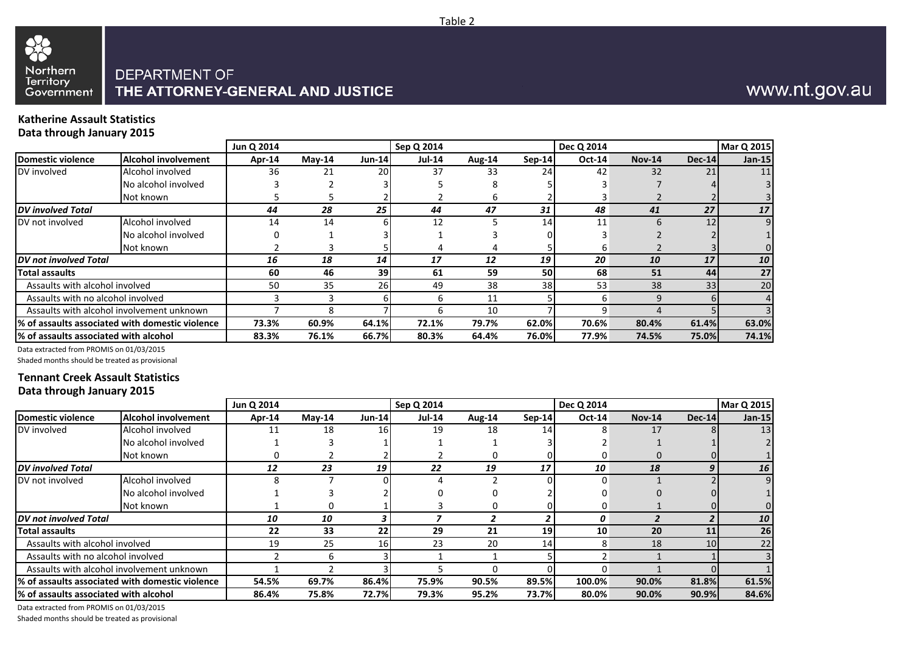

## www.nt.gov.au

#### **Katherine Assault Statistics Data through January 2015**

|                                       |                                                 | Jun Q 2014 |           |                | Sep Q 2014    |        |        | Dec Q 2014    |          |        | <b>Mar Q 2015</b> |
|---------------------------------------|-------------------------------------------------|------------|-----------|----------------|---------------|--------|--------|---------------|----------|--------|-------------------|
| <b>Domestic violence</b>              | <b>IAIcohol involvement</b>                     | Apr-14     | $M$ ay-14 | <b>Jun-141</b> | <b>Jul-14</b> | Aug-14 | Sep-14 | <b>Oct-14</b> | $Nov-14$ | Dec-14 | $Jan-15$          |
| DV involved                           | Alcohol involved                                | 36         | 21        | <b>20</b>      | 37            | 33     | 24     | 42            | 32       | 21     | 11                |
|                                       | No alcohol involved                             |            |           |                |               |        |        |               |          |        |                   |
|                                       | Not known                                       |            |           |                |               | h      |        |               |          |        |                   |
| <b>DV</b> involved Total              |                                                 | 44         | 28        | 25             | 44            | 47     | 31     | 48            | 41       | 27     | 17 <sup>1</sup>   |
| DV not involved                       | Alcohol involved                                | 14         | 14        | h              | 12            |        | 14     | 11            | 6        | 12     | 9 <sub>l</sub>    |
|                                       | No alcohol involved                             |            |           |                |               |        |        |               |          |        |                   |
|                                       | Not known                                       |            |           |                |               |        |        | b             |          |        |                   |
| <b>DV</b> not involved Total          |                                                 | 16         | 18        | 14             | 17            | 12     | 19     | 20            | 10       | 17     | 10 <sup>1</sup>   |
| <b>Total assaults</b>                 |                                                 | 60         | 46        | 39             | 61            | 59     | 50     | 68            | 51       | 44     | 27                |
| Assaults with alcohol involved        |                                                 | 50         | 35        | <b>26</b>      | 49            | 38     | 38     | 53            | 38       | 33     | 20                |
| Assaults with no alcohol involved     |                                                 |            |           | 6              |               | 11     |        | 6             | 9        |        | 4                 |
|                                       | Assaults with alcohol involvement unknown       |            |           |                |               | 10     |        | 9             |          |        |                   |
|                                       | % of assaults associated with domestic violence | 73.3%      | 60.9%     | 64.1%          | 72.1%         | 79.7%  | 62.0%  | 70.6%         | 80.4%    | 61.4%  | 63.0%             |
| % of assaults associated with alcohol |                                                 | 83.3%      | 76.1%     | 66.7%          | 80.3%         | 64.4%  | 76.0%  | 77.9%         | 74.5%    | 75.0%  | 74.1%             |

Data extracted from PROMIS on 01/03/2015

Shaded months should be treated as provisional

#### **Tennant Creek Assault Statistics Data through January 2015**

|                                        |                                                  | Jun Q 2014 |          |                 | Sep Q 2014    |        |           | Dec Q 2014    |          |               | <b>Mar Q 2015</b> |
|----------------------------------------|--------------------------------------------------|------------|----------|-----------------|---------------|--------|-----------|---------------|----------|---------------|-------------------|
| Domestic violence                      | <b>Alcohol involvement</b>                       | Apr-14     | $May-14$ | $Jun-14$        | <b>Jul-14</b> | Aug-14 | Sep-14    | <b>Oct-14</b> | $Nov-14$ | <b>Dec-14</b> | $Jan-15$          |
| DV involved                            | Alcohol involved                                 |            | 18       | 16 <sup> </sup> | 19            | 18     | 14        |               | 17       |               | 13                |
|                                        | No alcohol involved                              |            |          |                 |               |        |           |               |          |               |                   |
|                                        | Not known                                        |            |          |                 |               |        |           |               |          |               |                   |
| <b>DV</b> involved Total               |                                                  | 12         | 23       | 19              | 22            | 19     | 17        | 10            | 18       | 9             | 16                |
| DV not involved                        | Alcohol involved                                 |            |          |                 |               |        |           | U             |          |               |                   |
|                                        | No alcohol involved                              |            |          |                 |               |        |           |               |          |               |                   |
|                                        | Not known                                        |            |          |                 |               |        |           |               |          |               |                   |
| <b>DV</b> not involved Total           |                                                  | 10         | 10       |                 |               |        |           | 0             |          |               | 10                |
| <b>Total assaults</b>                  |                                                  | 22         | 33       | 22              | 29            | 21     | <b>19</b> | 10            | 20       | 11            | 26                |
| Assaults with alcohol involved         |                                                  | 19         | 25       | 16 I            | 23            | 20     | 14        | 8             | 18       | 10            | 22                |
| Assaults with no alcohol involved      |                                                  |            | h        |                 |               |        |           |               |          |               |                   |
|                                        | Assaults with alcohol involvement unknown        |            |          |                 |               |        |           | U             |          |               |                   |
|                                        | 1% of assaults associated with domestic violence | 54.5%      | 69.7%    | 86.4%           | 75.9%         | 90.5%  | 89.5%     | 100.0%        | 90.0%    | 81.8%         | 61.5%             |
| 1% of assaults associated with alcohol |                                                  | 86.4%      | 75.8%    | <b>72.7%</b>    | 79.3%         | 95.2%  | 73.7%     | 80.0%         | 90.0%    | 90.9%         | 84.6%             |

Data extracted from PROMIS on 01/03/2015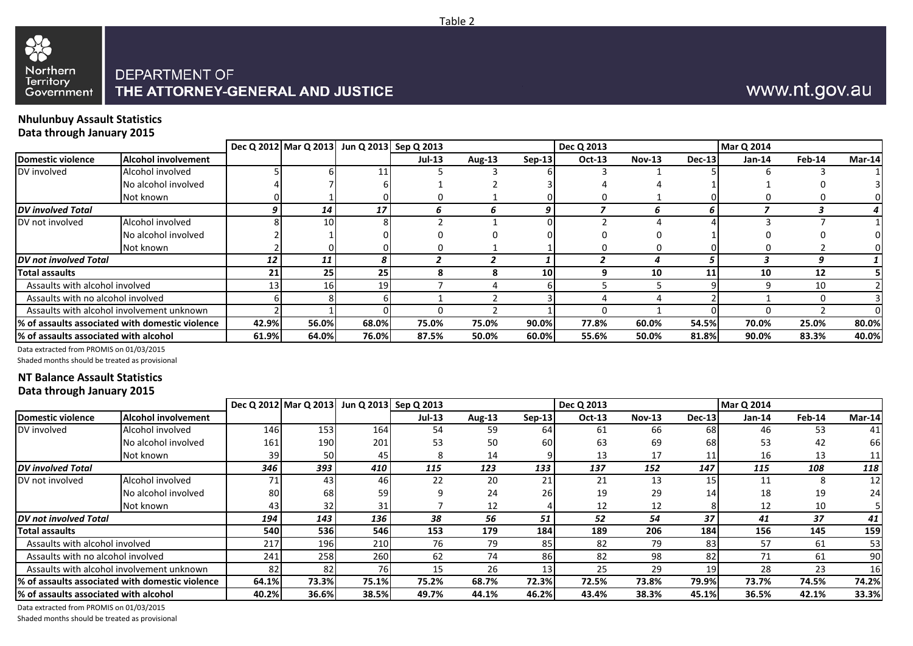

## www.nt.gov.au

#### **Nhulunbuy Assault Statistics Data through January 2015**

|                                       |                                                 |       | Dec Q 2012 Mar Q 2013 Jun Q 2013 Sep Q 2013 |                 |               |        |          | Dec Q 2013 |          |               | <b>Mar Q 2014</b> |        |        |
|---------------------------------------|-------------------------------------------------|-------|---------------------------------------------|-----------------|---------------|--------|----------|------------|----------|---------------|-------------------|--------|--------|
| Domestic violence                     | <b>Alcohol involvement</b>                      |       |                                             |                 | <b>Jul-13</b> | Aug-13 | $Sep-13$ | Oct-13     | $Nov-13$ | <b>Dec-13</b> | $Jan-14$          | Feb-14 | Mar-14 |
| DV involved                           | Alcohol involved                                |       |                                             |                 |               |        |          |            |          |               |                   |        |        |
|                                       | No alcohol involved                             |       |                                             |                 |               |        |          |            |          |               |                   |        |        |
|                                       | Not known                                       |       |                                             |                 |               |        |          |            |          |               |                   |        |        |
| <b>DV</b> involved Total              |                                                 |       | 14                                          | 17              | n             |        |          |            |          |               |                   |        |        |
| DV not involved                       | Alcohol involved                                |       | 10                                          |                 |               |        |          |            |          |               |                   |        |        |
|                                       | No alcohol involved                             |       |                                             |                 |               |        |          |            |          |               |                   |        |        |
|                                       | Not known                                       |       |                                             |                 |               |        |          |            |          |               |                   |        |        |
| <b>DV</b> not involved Total          |                                                 | 12    | 11                                          |                 |               |        |          |            |          |               |                   |        |        |
| Total assaults                        |                                                 | 21    | 25                                          | <b>25</b>       | я             |        | 10       |            | 10       | 11            | 10                | 12     |        |
| Assaults with alcohol involved        |                                                 | 13    | 16                                          | 19 <sup>1</sup> |               |        |          |            |          |               |                   | 10     |        |
| Assaults with no alcohol involved     |                                                 |       |                                             |                 |               |        |          |            |          |               |                   |        |        |
|                                       | Assaults with alcohol involvement unknown       |       |                                             |                 |               |        |          |            |          |               |                   |        |        |
|                                       | % of assaults associated with domestic violence | 42.9% | 56.0%                                       | 68.0%           | 75.0%         | 75.0%  | 90.0%    | 77.8%      | 60.0%    | 54.5%         | 70.0%             | 25.0%  | 80.0%  |
| % of assaults associated with alcohol |                                                 | 61.9% | 64.0%                                       | 76.0%           | 87.5%         | 50.0%  | 60.0%    | 55.6%      | 50.0%    | 81.8%         | 90.0%             | 83.3%  | 40.0%  |

Data extracted from PROMIS on 01/03/2015

Shaded months should be treated as provisional

#### **NT Balance Assault Statistics Data through January 2015**

|                                        |                                                  |       | Dec Q 2012 Mar Q 2013 |       | Jun Q 2013 Sep Q 2013 |        |          | Dec Q 2013 |               |                 | <b>Mar Q 2014</b> |        |        |
|----------------------------------------|--------------------------------------------------|-------|-----------------------|-------|-----------------------|--------|----------|------------|---------------|-----------------|-------------------|--------|--------|
| Domestic violence                      | <b>Alcohol involvement</b>                       |       |                       |       | <b>Jul-13</b>         | Aug-13 | $Sep-13$ | Oct-13     | <b>Nov-13</b> | $Dec-13$        | $Jan-14$          | Feb-14 | Mar-14 |
| DV involved                            | Alcohol involved                                 | 146   | 153                   | 164   | 54                    | 59     | 64       | 61         | 66            | 68              | 46                | 53     | 41     |
|                                        | No alcohol involved                              | 161   | 190                   | 201   | 53                    | 50     | 60       | 63         | 69            | 68              | 53                | 42     | 66 I   |
|                                        | Not known                                        | 39    | 50                    | 45    | 8                     | 14     |          | 13         | 17            | 11              | 16                | 13     | 11     |
| <b>DV</b> involved Total               |                                                  | 346   | 393                   | 410   | 115                   | 123    | 133      | 137        | 152           | 147             | 115               | 108    | 118    |
| DV not involved                        | Alcohol involved                                 | 71    | 43                    | 46    | 22                    | 20     | 21       | 21         | 13            | 151             | 11                |        | 12     |
|                                        | No alcohol involved                              | 80    | 68                    | 59    | q                     | 24     | 26       | 19         | 29            | 14              | 18                | 19     | 24     |
|                                        | Not known                                        | 43    | 32                    |       |                       | 12     |          | 12         | 12            |                 | 12                | 10     |        |
| <b>IDV</b> not involved Total          |                                                  | 194   | 143                   | 136   | 38                    | 56     | 51       | 52         | 54            | 37              | 41                | 37     | 41     |
| Total assaults                         |                                                  | 540   | 536                   | 546   | 153                   | 179    | 184      | 189        | 206           | 184             | 156               | 145    | 159    |
| Assaults with alcohol involved         |                                                  | 217   | 196                   | 210   | 76                    | 79     | 85       | 82         | 79            | 83              | 57                | 61     | 53     |
| Assaults with no alcohol involved      |                                                  | 241   | 258                   | 260   | 62                    | 74     | 86       | 82         | 98            | 82              | 71                | 61     | 90     |
|                                        | Assaults with alcohol involvement unknown        | 82    | 82                    | 76    | 15                    | 26     | 13       | 25         | 29            | 19 <sup>l</sup> | 28                | 23     | 16     |
|                                        | 1% of assaults associated with domestic violence | 64.1% | 73.3%                 | 75.1% | 75.2%                 | 68.7%  | 72.3%    | 72.5%      | 73.8%         | 79.9%           | 73.7%             | 74.5%  | 74.2%  |
| 1% of assaults associated with alcohol |                                                  | 40.2% | 36.6%                 | 38.5% | 49.7%                 | 44.1%  | 46.2%    | 43.4%      | 38.3%         | 45.1%           | 36.5%             | 42.1%  | 33.3%  |

Data extracted from PROMIS on 01/03/2015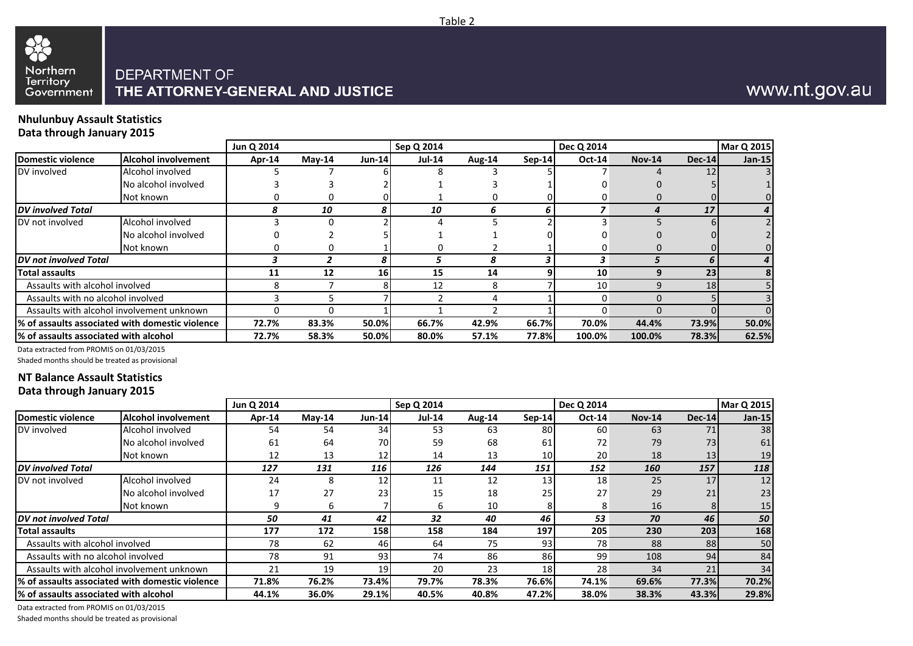

## www.nt.gov.au

#### **Nhulunbuy Assault Statistics Data through January 2015**

|                                       |                                                 | Jun Q 2014 |           |                | Sep Q 2014    |        |        | Dec Q 2014 |               |          | Mar Q 2015 |
|---------------------------------------|-------------------------------------------------|------------|-----------|----------------|---------------|--------|--------|------------|---------------|----------|------------|
| Domestic violence                     | <b>Alcohol involvement</b>                      | Apr-14     | $M$ ay-14 | <b>Jun-141</b> | <b>Jul-14</b> | Aug-14 | Sep-14 | $Oct-14$   | <b>Nov-14</b> | $Dec-14$ | $Jan-15$   |
| DV involved                           | Alcohol involved                                |            |           |                |               |        |        |            |               | 12       |            |
|                                       | No alcohol involved                             |            |           |                |               |        |        |            |               |          |            |
|                                       | Not known                                       |            |           |                |               |        |        |            |               |          |            |
| <b>DV</b> involved Total              |                                                 |            | 10        | Я              | 10            | n      | 6      |            |               | 17       |            |
| DV not involved                       | Alcohol involved                                |            |           |                |               |        |        |            |               |          |            |
|                                       | No alcohol involved                             |            |           |                |               |        |        |            |               |          |            |
|                                       | Not known                                       |            |           |                |               |        |        |            |               |          |            |
| DV not involved Total                 |                                                 |            |           | 8              |               |        | 3      |            |               |          |            |
| Total assaults                        |                                                 | 11         | 12        | <b>16</b>      | 15            | 14     |        | 10         |               | 23       |            |
| Assaults with alcohol involved        |                                                 |            |           |                | 12            |        |        | 10         |               | 18       |            |
| Assaults with no alcohol involved     |                                                 |            |           |                |               |        |        | 0          |               |          |            |
|                                       | Assaults with alcohol involvement unknown       |            |           |                |               |        |        |            |               |          |            |
|                                       | % of assaults associated with domestic violence | 72.7%      | 83.3%     | 50.0%l         | 66.7%         | 42.9%  | 66.7%  | 70.0%      | 44.4%         | 73.9%    | 50.0%      |
| % of assaults associated with alcohol |                                                 | 72.7%      | 58.3%     | 50.0%          | 80.0%         | 57.1%  | 77.8%  | 100.0%     | 100.0%        | 78.3%    | 62.5%      |

Data extracted from PROMIS on 01/03/2015

Shaded months should be treated as provisional

#### **NT Balance Assault Statistics Data through January 2015**

|                                        |                                                  | Jun Q 2014 |           |                 | Sep Q 2014    |        |               | Dec Q 2014      |               |                 | <b>Mar Q 2015</b> |
|----------------------------------------|--------------------------------------------------|------------|-----------|-----------------|---------------|--------|---------------|-----------------|---------------|-----------------|-------------------|
| Domestic violence                      | Alcohol involvement                              | Apr-14     | $M$ ay-14 | <b>Jun-14</b>   | <b>Jul-14</b> | Aug-14 | <b>Sep-14</b> | <b>Oct-14</b>   | <b>Nov-14</b> | <b>Dec-14</b>   | Jan-15            |
| DV involved                            | Alcohol involved                                 | 54         | 54        | 34              | 53            | 63     | 80            | 60              | 63            | 71              | 38                |
|                                        | No alcohol involved                              | 61         | 64        | 70              | 59            | 68     | 61            | 72              | 79            | 73              | 61                |
|                                        | Not known                                        | 12         | 13        | 12              | 14            | 13     | 10            | 20 <sub>1</sub> | 18            | 13 <sub>1</sub> | 19                |
| <b>DV</b> involved Total               |                                                  | 127        | 131       | 116             | 126           | 144    | 151           | 152             | 160           | 157             | 118               |
| DV not involved                        | Alcohol involved                                 | 24         | 8         | 12              | 11            | 12     | 13            | 18              | 25            | 17              | 12                |
|                                        | No alcohol involved                              | 17         | 27        | 23              | 15            | 18     | 25            | 27              | 29            | 21              | 23                |
|                                        | Not known                                        |            | b         |                 | 6             | 10     |               | 8               | 16            |                 | 15                |
| DV not involved Total                  |                                                  | 50         | 41        | 42              | 32            | 40     | 46            | 53              | 70            | 46              | 50                |
| Total assaults                         |                                                  | 177        | 172       | 158             | 158           | 184    | 197           | 205             | 230           | 203             | 168               |
| Assaults with alcohol involved         |                                                  | 78         | 62        | 46              | 64            | 75     | 93            | 78              | 88            | 88              | 50                |
| Assaults with no alcohol involved      |                                                  | 78         | 91        | 93              | 74            | 86     | 86            | 99              | 108           | 94              | 84                |
|                                        | Assaults with alcohol involvement unknown        | 21         | 19        | 19 <sup> </sup> | 20            | 23     | 18            | 28              | 34            | 21              | 34                |
|                                        | 1% of assaults associated with domestic violence | 71.8%      | 76.2%     | 73.4%           | 79.7%         | 78.3%  | 76.6%         | 74.1%           | 69.6%         | 77.3%           | 70.2%             |
| 1% of assaults associated with alcohol |                                                  | 44.1%      | 36.0%     | 29.1%           | 40.5%         | 40.8%  | 47.2%         | 38.0%           | 38.3%         | 43.3%           | 29.8%             |

Data extracted from PROMIS on 01/03/2015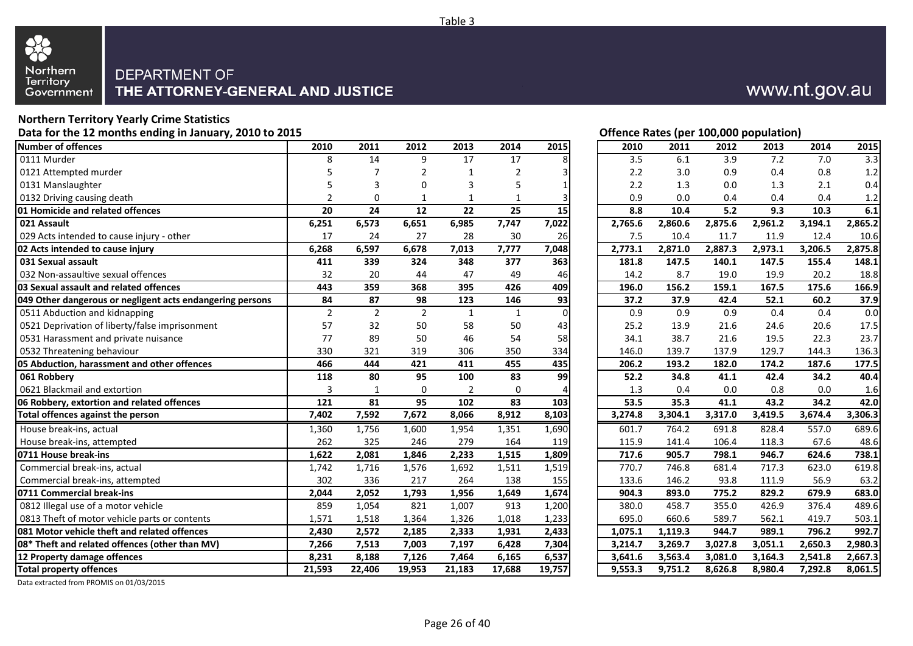

#### **Northern Territory Yearly Crime Statistics** Data for the 12 months ending in January, 2010 to 2015 **Data for the 12 months ending in January, 2010 to 2015**

| bata for the 12 months enamy in sanaary, 2010 to 2015     |                |                 |                 |                |                 |                 |         |         |         | onence nates (per 100,000 population) |         |         |
|-----------------------------------------------------------|----------------|-----------------|-----------------|----------------|-----------------|-----------------|---------|---------|---------|---------------------------------------|---------|---------|
| Number of offences                                        | 2010           | 2011            | 2012            | 2013           | 2014            | 2015            | 2010    | 2011    | 2012    | 2013                                  | 2014    | 2015    |
| 0111 Murder                                               | 8              | 14              | 9               | 17             | 17              |                 | 3.5     | 6.1     | 3.9     | 7.2                                   | 7.0     | 3.3     |
| 0121 Attempted murder                                     |                |                 | 2               | $\mathbf{1}$   | 2               |                 | 2.2     | 3.0     | 0.9     | 0.4                                   | 0.8     | 1.2     |
| 0131 Manslaughter                                         |                |                 | O               | 3              | 5               |                 | 2.2     | 1.3     | 0.0     | 1.3                                   | 2.1     | 0.4     |
| 0132 Driving causing death                                | 2              | $\Omega$        |                 | 1              | $\mathbf 1$     |                 | 0.9     | 0.0     | 0.4     | 0.4                                   | 0.4     | 1.2     |
| 01 Homicide and related offences                          | 20             | 24              | 12              | 22             | 25              | 15              | 8.8     | 10.4    | 5.2     | 9.3                                   | 10.3    | 6.1     |
| 021 Assault                                               | 6,251          | 6,573           | 6,651           | 6,985          | 7,747           | 7,022           | 2,765.6 | 2,860.6 | 2,875.6 | 2,961.2                               | 3,194.1 | 2,865.2 |
| 029 Acts intended to cause injury - other                 | 17             | 24              | 27              | 28             | 30              | 26              | 7.5     | 10.4    | 11.7    | 11.9                                  | 12.4    | 10.6    |
| 02 Acts intended to cause injury                          | 6,268          | 6,597           | 6,678           | 7,013          | 7,777           | 7,048           | 2,773.1 | 2,871.0 | 2,887.3 | 2,973.1                               | 3,206.5 | 2,875.8 |
| 031 Sexual assault                                        | 411            | 339             | 324             | 348            | 377             | 363             | 181.8   | 147.5   | 140.1   | 147.5                                 | 155.4   | 148.1   |
| 032 Non-assaultive sexual offences                        | 32             | 20              | 44              | 47             | 49              | 46              | 14.2    | 8.7     | 19.0    | 19.9                                  | 20.2    | 18.8    |
| 03 Sexual assault and related offences                    | 443            | 359             | 368             | 395            | 426             | 409             | 196.0   | 156.2   | 159.1   | 167.5                                 | 175.6   | 166.9   |
| 049 Other dangerous or negligent acts endangering persons | 84             | 87              | 98              | 123            | 146             | $\overline{93}$ | 37.2    | 37.9    | 42.4    | 52.1                                  | 60.2    | 37.9    |
| 0511 Abduction and kidnapping                             | $\overline{2}$ | $\overline{2}$  | $\overline{2}$  | $\mathbf{1}$   | 1               | $\Omega$        | 0.9     | 0.9     | 0.9     | 0.4                                   | 0.4     | 0.0     |
| 0521 Deprivation of liberty/false imprisonment            | 57             | 32              | 50              | 58             | 50              | 43              | 25.2    | 13.9    | 21.6    | 24.6                                  | 20.6    | 17.5    |
| 0531 Harassment and private nuisance                      | 77             | 89              | 50              | 46             | 54              | 58              | 34.1    | 38.7    | 21.6    | 19.5                                  | 22.3    | 23.7    |
| 0532 Threatening behaviour                                | 330            | 321             | 319             | 306            | 350             | 334             | 146.0   | 139.7   | 137.9   | 129.7                                 | 144.3   | 136.3   |
| 05 Abduction, harassment and other offences               | 466            | 444             | 421             | 411            | 455             | 435             | 206.2   | 193.2   | 182.0   | 174.2                                 | 187.6   | 177.5   |
| 061 Robbery                                               | 118            | 80              | 95              | 100            | 83              | 99              | 52.2    | 34.8    | 41.1    | 42.4                                  | 34.2    | 40.4    |
| 0621 Blackmail and extortion                              | 3              | $\mathbf{1}$    | $\mathbf 0$     | $\overline{2}$ | $\Omega$        |                 | 1.3     | 0.4     | 0.0     | 0.8                                   | 0.0     | 1.6     |
| 06 Robbery, extortion and related offences                | 121            | $\overline{81}$ | $\overline{95}$ | 102            | $\overline{83}$ | 103             | 53.5    | 35.3    | 41.1    | 43.2                                  | 34.2    | 42.0    |
| Total offences against the person                         | 7,402          | 7,592           | 7,672           | 8,066          | 8,912           | 8,103           | 3,274.8 | 3,304.1 | 3,317.0 | 3,419.5                               | 3,674.4 | 3,306.3 |
| House break-ins, actual                                   | 1,360          | 1,756           | 1,600           | 1,954          | 1,351           | 1,690           | 601.7   | 764.2   | 691.8   | 828.4                                 | 557.0   | 689.6   |
| House break-ins, attempted                                | 262            | 325             | 246             | 279            | 164             | 119             | 115.9   | 141.4   | 106.4   | 118.3                                 | 67.6    | 48.6    |
| 0711 House break-ins                                      | 1,622          | 2,081           | 1,846           | 2,233          | 1,515           | 1,809           | 717.6   | 905.7   | 798.1   | 946.7                                 | 624.6   | 738.1   |
| Commercial break-ins, actual                              | 1,742          | 1,716           | 1,576           | 1,692          | 1,511           | 1,519           | 770.7   | 746.8   | 681.4   | 717.3                                 | 623.0   | 619.8   |
| Commercial break-ins, attempted                           | 302            | 336             | 217             | 264            | 138             | 155             | 133.6   | 146.2   | 93.8    | 111.9                                 | 56.9    | 63.2    |
| 0711 Commercial break-ins                                 | 2,044          | 2,052           | 1,793           | 1,956          | 1,649           | 1,674           | 904.3   | 893.0   | 775.2   | 829.2                                 | 679.9   | 683.0   |
| 0812 Illegal use of a motor vehicle                       | 859            | 1,054           | 821             | 1,007          | 913             | 1,200           | 380.0   | 458.7   | 355.0   | 426.9                                 | 376.4   | 489.6   |
| 0813 Theft of motor vehicle parts or contents             | 1,571          | 1,518           | 1,364           | 1,326          | 1,018           | 1,233           | 695.0   | 660.6   | 589.7   | 562.1                                 | 419.7   | 503.1   |
| 081 Motor vehicle theft and related offences              | 2,430          | 2,572           | 2,185           | 2,333          | 1,931           | 2,433           | 1,075.1 | 1,119.3 | 944.7   | 989.1                                 | 796.2   | 992.7   |
| 08* Theft and related offences (other than MV)            | 7,266          | 7,513           | 7,003           | 7,197          | 6,428           | 7,304           | 3,214.7 | 3,269.7 | 3,027.8 | 3,051.1                               | 2,650.3 | 2,980.3 |
| 12 Property damage offences                               | 8,231          | 8,188           | 7,126           | 7,464          | 6,165           | 6,537           | 3,641.6 | 3,563.4 | 3,081.0 | 3,164.3                               | 2,541.8 | 2,667.3 |
| <b>Total property offences</b>                            | 21,593         | 22,406          | 19,953          | 21,183         | 17,688          | 19,757          | 9,553.3 | 9,751.2 | 8,626.8 | 8,980.4                               | 7,292.8 | 8,061.5 |
|                                                           |                |                 |                 |                |                 |                 |         |         |         |                                       |         |         |

|    | 60.2    | 52.1    | 42.4    | 37.9    | 37.2    |
|----|---------|---------|---------|---------|---------|
|    | 0.4     | 0.4     | 0.9     | 0.9     | 0.9     |
|    | 20.6    | 24.6    | 21.6    | 13.9    | 25.2    |
|    | 22.3    | 19.5    | 21.6    | 38.7    | 34.1    |
|    | 144.3   | 129.7   | 137.9   | 139.7   | 146.0   |
|    | 187.6   | 174.2   | 182.0   | 193.2   | 206.2   |
|    | 34.2    | 42.4    | 41.1    | 34.8    | 52.2    |
|    | 0.0     | 0.8     | 0.0     | 0.4     | 1.3     |
|    | 34.2    | 43.2    | 41.1    | 35.3    | 53.5    |
| 3, | 3,674.4 | 3,419.5 | 3,317.0 | 3,304.1 | 3,274.8 |
|    | 557.0   | 828.4   | 691.8   | 764.2   | 601.7   |
|    | 67.6    | 118.3   | 106.4   | 141.4   | 115.9   |
|    | 624.6   | 946.7   | 798.1   | 905.7   | 717.6   |
|    | 623.0   | 717.3   | 681.4   | 746.8   | 770.7   |
|    | 56.9    | 111.9   | 93.8    | 146.2   | 133.6   |
|    | 679.9   | 829.2   | 775.2   | 893.0   | 904.3   |
|    | 376.4   | 426.9   | 355.0   | 458.7   | 380.0   |
|    | 419.7   | 562.1   | 589.7   | 660.6   | 695.0   |
|    | 796.2   | 989.1   | 944.7   | 1,119.3 | 1,075.1 |
| 2, | 2,650.3 | 3,051.1 | 3,027.8 | 3,269.7 | 3,214.7 |
|    |         | 3,164.3 | 3,081.0 | 3,563.4 | 3,641.6 |
| 2, | 2,541.8 |         |         |         |         |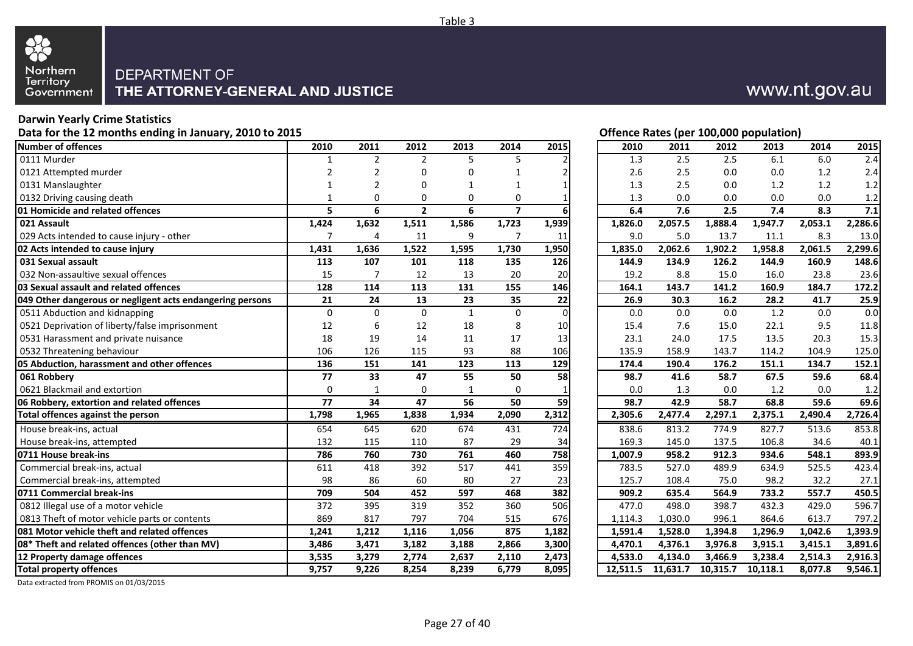

## **Darwin Yearly Crime Statistics**

Data for the 12 months ending in January, 2010 to 2015 **Data in the U.S. Concrete Active Concrete Active Concrete Active Concrete Active Concrete Actes (per 100,000 population)** 

| <b>Number of offences</b>                                 | 2010            | 2011           | 2012           | 2013           | 2014           | 2015             | 2010     | 2011     | 2012     | 2013     | 2014    | 2015    |
|-----------------------------------------------------------|-----------------|----------------|----------------|----------------|----------------|------------------|----------|----------|----------|----------|---------|---------|
| 0111 Murder                                               | $\mathbf{1}$    | $\overline{2}$ | $\overline{2}$ | 5              | 5              |                  | 1.3      | 2.5      | 2.5      | 6.1      | 6.0     | 2.4     |
| 0121 Attempted murder                                     |                 | 2              | 0              |                |                |                  | 2.6      | 2.5      | 0.0      | 0.0      | 1.2     | 2.4     |
| 0131 Manslaughter                                         |                 | $\overline{2}$ | 0              |                | $\mathbf 1$    |                  | 1.3      | 2.5      | 0.0      | 1.2      | 1.2     | 1.2     |
| 0132 Driving causing death                                |                 | 0              | 0              | 0              | 0              |                  | 1.3      | 0.0      | 0.0      | $0.0\,$  | $0.0\,$ | 1.2     |
| 01 Homicide and related offences                          | 5               | 6              | $\overline{2}$ | 6              | $\overline{7}$ | 6                | 6.4      | 7.6      | 2.5      | 7.4      | 8.3     | 7.1     |
| 021 Assault                                               | 1,424           | 1,632          | 1,511          | 1,586          | 1,723          | 1,939            | 1,826.0  | 2,057.5  | 1,888.4  | 1,947.7  | 2,053.1 | 2,286.6 |
| 029 Acts intended to cause injury - other                 | $\overline{7}$  | $\overline{4}$ | 11             | 9              | $\overline{7}$ | 11               | 9.0      | 5.0      | 13.7     | 11.1     | 8.3     | 13.0    |
| 02 Acts intended to cause injury                          | 1,431           | 1,636          | 1,522          | 1,595          | 1,730          | 1,950            | 1,835.0  | 2,062.6  | 1,902.2  | 1,958.8  | 2,061.5 | 2,299.6 |
| 031 Sexual assault                                        | 113             | 107            | 101            | 118            | 135            | 126              | 144.9    | 134.9    | 126.2    | 144.9    | 160.9   | 148.6   |
| 032 Non-assaultive sexual offences                        | 15              | 7              | 12             | 13             | 20             | 20               | 19.2     | 8.8      | 15.0     | 16.0     | 23.8    | 23.6    |
| 03 Sexual assault and related offences                    | 128             | 114            | 113            | 131            | 155            | 146              | 164.1    | 143.7    | 141.2    | 160.9    | 184.7   | 172.2   |
| 049 Other dangerous or negligent acts endangering persons | 21              | 24             | 13             | 23             | 35             | 22               | 26.9     | 30.3     | 16.2     | 28.2     | 41.7    | 25.9    |
| 0511 Abduction and kidnapping                             | $\mathbf 0$     | $\Omega$       | $\mathbf 0$    | 1              | $\mathbf 0$    | $\Omega$         | 0.0      | 0.0      | 0.0      | 1.2      | 0.0     | 0.0     |
| 0521 Deprivation of liberty/false imprisonment            | 12              | 6              | 12             | 18             | 8              | 10               | 15.4     | 7.6      | 15.0     | 22.1     | 9.5     | 11.8    |
| 0531 Harassment and private nuisance                      | 18              | 19             | 14             | 11             | 17             | 13               | 23.1     | 24.0     | 17.5     | 13.5     | 20.3    | 15.3    |
| 0532 Threatening behaviour                                | 106             | 126            | 115            | 93             | 88             | 106              | 135.9    | 158.9    | 143.7    | 114.2    | 104.9   | 125.0   |
| 05 Abduction, harassment and other offences               | $\frac{136}{ }$ | 151            | 141            | $\frac{1}{23}$ | 113            | $\overline{129}$ | 174.4    | 190.4    | 176.2    | 151.1    | 134.7   | 152.1   |
| 061 Robbery                                               | 77              | 33             | 47             | 55             | 50             | 58               | 98.7     | 41.6     | 58.7     | 67.5     | 59.6    | 68.4    |
| 0621 Blackmail and extortion                              | $\mathbf 0$     |                | $\mathbf 0$    | $\mathbf 1$    | $\Omega$       |                  | 0.0      | 1.3      | 0.0      | 1.2      | 0.0     | 1.2     |
| 06 Robbery, extortion and related offences                | 77              | 34             | 47             | 56             | 50             | 59               | 98.7     | 42.9     | 58.7     | 68.8     | 59.6    | 69.6    |
| Total offences against the person                         | 1,798           | 1,965          | 1,838          | 1,934          | 2,090          | 2,312            | 2,305.6  | 2,477.4  | 2,297.1  | 2,375.1  | 2,490.4 | 2,726.4 |
| House break-ins, actual                                   | 654             | 645            | 620            | 674            | 431            | 724              | 838.6    | 813.2    | 774.9    | 827.7    | 513.6   | 853.8   |
| House break-ins, attempted                                | 132             | 115            | 110            | 87             | 29             | 34               | 169.3    | 145.0    | 137.5    | 106.8    | 34.6    | 40.1    |
| 0711 House break-ins                                      | 786             | 760            | 730            | 761            | 460            | 758              | 1,007.9  | 958.2    | 912.3    | 934.6    | 548.1   | 893.9   |
| Commercial break-ins, actual                              | 611             | 418            | 392            | 517            | 441            | 359              | 783.5    | 527.0    | 489.9    | 634.9    | 525.5   | 423.4   |
| Commercial break-ins, attempted                           | 98              | 86             | 60             | 80             | 27             | 23               | 125.7    | 108.4    | 75.0     | 98.2     | 32.2    | 27.1    |
| 0711 Commercial break-ins                                 | 709             | 504            | 452            | 597            | 468            | 382              | 909.2    | 635.4    | 564.9    | 733.2    | 557.7   | 450.5   |
| 0812 Illegal use of a motor vehicle                       | 372             | 395            | 319            | 352            | 360            | 506              | 477.0    | 498.0    | 398.7    | 432.3    | 429.0   | 596.7   |
| 0813 Theft of motor vehicle parts or contents             | 869             | 817            | 797            | 704            | 515            | 676              | 1,114.3  | 1,030.0  | 996.1    | 864.6    | 613.7   | 797.2   |
| 081 Motor vehicle theft and related offences              | 1,241           | 1,212          | 1,116          | 1,056          | 875            | 1,182            | 1,591.4  | 1,528.0  | 1,394.8  | 1,296.9  | 1,042.6 | 1,393.9 |
| 08* Theft and related offences (other than MV)            | 3,486           | 3,471          | 3,182          | 3,188          | 2,866          | 3,300            | 4,470.1  | 4,376.1  | 3,976.8  | 3,915.1  | 3,415.1 | 3,891.6 |
| 12 Property damage offences                               | 3,535           | 3,279          | 2,774          | 2,637          | 2,110          | 2,473            | 4,533.0  | 4,134.0  | 3,466.9  | 3,238.4  | 2,514.3 | 2,916.3 |
| <b>Total property offences</b>                            | 9,757           | 9,226          | 8,254          | 8,239          | 6,779          | 8,095            | 12.511.5 | 11,631.7 | 10,315.7 | 10,118.1 | 8.077.8 | 9,546.1 |

www.nt.gov.au

|          |          |          | Offence Rates (per 100,000 population) |         |         |
|----------|----------|----------|----------------------------------------|---------|---------|
| 2010     | 2011     | 2012     | 2013                                   | 2014    | 2015    |
| 1.3      | 2.5      | 2.5      | 6.1                                    | 6.0     | 2.4     |
| 2.6      | 2.5      | 0.0      | 0.0                                    | 1.2     | 2.4     |
| 1.3      | 2.5      | 0.0      | 1.2                                    | 1.2     | 1.2     |
| 1.3      | 0.0      | 0.0      | 0.0                                    | 0.0     | 1.2     |
| 6.4      | 7.6      | 2.5      | 7.4                                    | 8.3     | 7.1     |
| 1,826.0  | 2,057.5  | 1,888.4  | 1,947.7                                | 2,053.1 | 2,286.6 |
| 9.0      | 5.0      | 13.7     | 11.1                                   | 8.3     | 13.0    |
| 1,835.0  | 2,062.6  | 1,902.2  | 1,958.8                                | 2,061.5 | 2,299.6 |
| 144.9    | 134.9    | 126.2    | 144.9                                  | 160.9   | 148.6   |
| 19.2     | 8.8      | 15.0     | 16.0                                   | 23.8    | 23.6    |
| 164.1    | 143.7    | 141.2    | 160.9                                  | 184.7   | 172.2   |
| 26.9     | 30.3     | 16.2     | 28.2                                   | 41.7    | 25.9    |
| 0.0      | 0.0      | 0.0      | 1.2                                    | 0.0     | 0.0     |
| 15.4     | 7.6      | 15.0     | 22.1                                   | 9.5     | 11.8    |
| 23.1     | 24.0     | 17.5     | 13.5                                   | 20.3    | 15.3    |
| 135.9    | 158.9    | 143.7    | 114.2                                  | 104.9   | 125.0   |
| 174.4    | 190.4    | 176.2    | 151.1                                  | 134.7   | 152.1   |
| 98.7     | 41.6     | 58.7     | 67.5                                   | 59.6    | 68.4    |
| 0.0      | 1.3      | 0.0      | 1.2                                    | 0.0     | 1.2     |
| 98.7     | 42.9     | 58.7     | 68.8                                   | 59.6    | 69.6    |
| 2,305.6  | 2,477.4  | 2,297.1  | 2,375.1                                | 2,490.4 | 2,726.4 |
| 838.6    | 813.2    | 774.9    | 827.7                                  | 513.6   | 853.8   |
| 169.3    | 145.0    | 137.5    | 106.8                                  | 34.6    | 40.1    |
| 1,007.9  | 958.2    | 912.3    | 934.6                                  | 548.1   | 893.9   |
| 783.5    | 527.0    | 489.9    | 634.9                                  | 525.5   | 423.4   |
| 125.7    | 108.4    | 75.0     | 98.2                                   | 32.2    | 27.1    |
| 909.2    | 635.4    | 564.9    | 733.2                                  | 557.7   | 450.5   |
| 477.0    | 498.0    | 398.7    | 432.3                                  | 429.0   | 596.7   |
| 1,114.3  | 1,030.0  | 996.1    | 864.6                                  | 613.7   | 797.2   |
| 1,591.4  | 1,528.0  | 1,394.8  | 1,296.9                                | 1,042.6 | 1,393.9 |
| 4,470.1  | 4,376.1  | 3,976.8  | 3,915.1                                | 3,415.1 | 3,891.6 |
| 4,533.0  | 4,134.0  | 3,466.9  | 3,238.4                                | 2,514.3 | 2,916.3 |
| 12,511.5 | 11,631.7 | 10,315.7 | 10,118.1                               | 8,077.8 | 9,546.1 |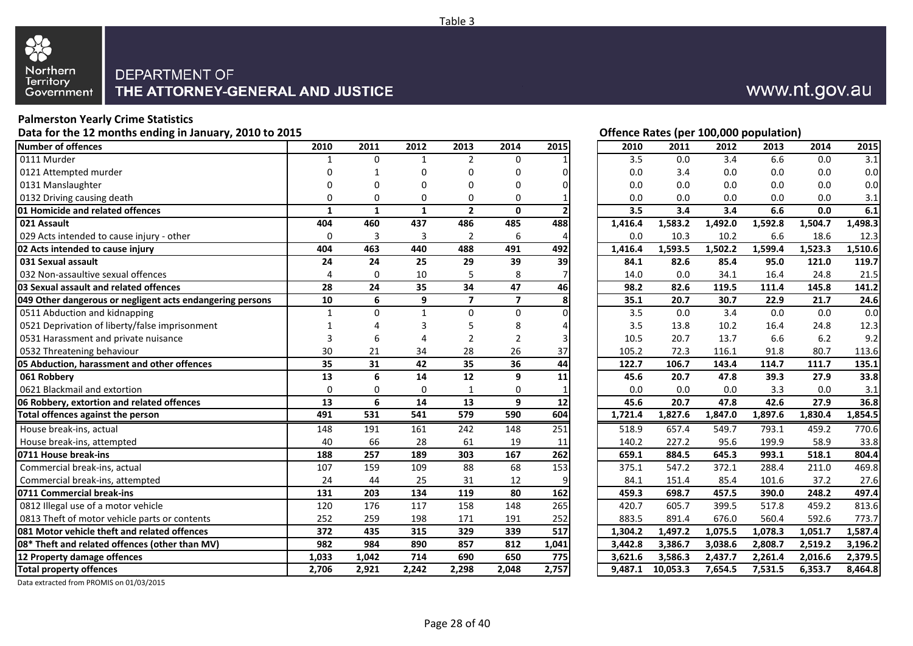

## **Palmerston Yearly Crime Statistics**

Data for the 12 months ending in January, 2010 to 2015 **Data in the U.S. Concrete Concrete Active Concrete Active Concrete Actes (per 100,000 population)** 

| <b>Number of offences</b>                                 | 2010         | 2011         | 2012         | 2013            | 2014                    | 2015            | 2010    | 2011     | 2012    | 2013    | 2014    | 2015    |
|-----------------------------------------------------------|--------------|--------------|--------------|-----------------|-------------------------|-----------------|---------|----------|---------|---------|---------|---------|
| 0111 Murder                                               |              | $\Omega$     | 1            | 2               | 0                       |                 | 3.5     | 0.0      | 3.4     | 6.6     | 0.0     | 3.1     |
| 0121 Attempted murder                                     |              |              | 0            | 0               | 0                       |                 | 0.0     | 3.4      | 0.0     | 0.0     | 0.0     | 0.0     |
| 0131 Manslaughter                                         | U            | O            | 0            | $\Omega$        | $\Omega$                |                 | 0.0     | 0.0      | 0.0     | 0.0     | 0.0     | 0.0     |
| 0132 Driving causing death                                | $\Omega$     | $\Omega$     | 0            | $\Omega$        | 0                       |                 | 0.0     | 0.0      | 0.0     | 0.0     | 0.0     | 3.1     |
| 01 Homicide and related offences                          | $\mathbf{1}$ | $\mathbf{1}$ | $\mathbf{1}$ | $\overline{2}$  | $\mathbf{0}$            | $\overline{2}$  | 3.5     | 3.4      | 3.4     | 6.6     | 0.0     | 6.1     |
| 021 Assault                                               | 404          | 460          | 437          | 486             | 485                     | 488             | 1,416.4 | 1,583.2  | 1,492.0 | 1,592.8 | 1,504.7 | 1,498.3 |
| 029 Acts intended to cause injury - other                 | 0            | 3            | 3            | $\overline{2}$  | 6                       |                 | 0.0     | 10.3     | 10.2    | 6.6     | 18.6    | 12.3    |
| 02 Acts intended to cause injury                          | 404          | 463          | 440          | 488             | 491                     | 492             | 1,416.4 | 1,593.5  | 1,502.2 | 1,599.4 | 1,523.3 | 1,510.6 |
| 031 Sexual assault                                        | 24           | 24           | 25           | 29              | 39                      | 39              | 84.1    | 82.6     | 85.4    | 95.0    | 121.0   | 119.7   |
| 032 Non-assaultive sexual offences                        | 4            | $\Omega$     | 10           | 5               | 8                       |                 | 14.0    | 0.0      | 34.1    | 16.4    | 24.8    | 21.5    |
| 03 Sexual assault and related offences                    | 28           | 24           | 35           | 34              | 47                      | 46              | 98.2    | 82.6     | 119.5   | 111.4   | 145.8   | 141.2   |
| 049 Other dangerous or negligent acts endangering persons | 10           | 6            | 9            | $\overline{7}$  | $\overline{\mathbf{z}}$ | 8               | 35.1    | 20.7     | 30.7    | 22.9    | 21.7    | 24.6    |
| 0511 Abduction and kidnapping                             | $\mathbf{1}$ | $\Omega$     | $\mathbf{1}$ | $\Omega$        | $\mathbf 0$             |                 | 3.5     | 0.0      | 3.4     | 0.0     | 0.0     | 0.0     |
| 0521 Deprivation of liberty/false imprisonment            |              |              | 3            | 5               | 8                       |                 | 3.5     | 13.8     | 10.2    | 16.4    | 24.8    | 12.3    |
| 0531 Harassment and private nuisance                      | 3            | 6            | 4            | $\overline{2}$  | $\overline{2}$          | 3               | 10.5    | 20.7     | 13.7    | 6.6     | $6.2$   | 9.2     |
| 0532 Threatening behaviour                                | 30           | 21           | 34           | 28              | 26                      | 37              | 105.2   | 72.3     | 116.1   | 91.8    | 80.7    | 113.6   |
| 05 Abduction, harassment and other offences               | 35           | 31           | 42           | 35              | 36                      | 44              | 122.7   | 106.7    | 143.4   | 114.7   | 111.7   | 135.1   |
| 061 Robbery                                               | 13           | 6            | 14           | 12              | 9                       | 11              | 45.6    | 20.7     | 47.8    | 39.3    | 27.9    | 33.8    |
| 0621 Blackmail and extortion                              | $\mathbf 0$  | 0            | 0            | $\mathbf{1}$    | 0                       |                 | 0.0     | 0.0      | 0.0     | 3.3     | 0.0     | 3.1     |
| 06 Robbery, extortion and related offences                | 13           | 6            | 14           | $\overline{13}$ | 9                       | $\overline{12}$ | 45.6    | 20.7     | 47.8    | 42.6    | 27.9    | 36.8    |
| Total offences against the person                         | 491          | 531          | 541          | 579             | 590                     | 604             | 1,721.4 | 1,827.6  | 1,847.0 | 1,897.6 | 1,830.4 | 1,854.5 |
| House break-ins, actual                                   | 148          | 191          | 161          | 242             | 148                     | 251             | 518.9   | 657.4    | 549.7   | 793.1   | 459.2   | 770.6   |
| House break-ins, attempted                                | 40           | 66           | 28           | 61              | 19                      | 11              | 140.2   | 227.2    | 95.6    | 199.9   | 58.9    | 33.8    |
| 0711 House break-ins                                      | 188          | 257          | 189          | 303             | $\frac{167}{167}$       | 262             | 659.1   | 884.5    | 645.3   | 993.1   | 518.1   | 804.4   |
| Commercial break-ins, actual                              | 107          | 159          | 109          | 88              | 68                      | 153             | 375.1   | 547.2    | 372.1   | 288.4   | 211.0   | 469.8   |
| Commercial break-ins, attempted                           | 24           | 44           | 25           | 31              | 12                      | q               | 84.1    | 151.4    | 85.4    | 101.6   | 37.2    | 27.6    |
| 0711 Commercial break-ins                                 | 131          | 203          | 134          | 119             | 80                      | 162             | 459.3   | 698.7    | 457.5   | 390.0   | 248.2   | 497.4   |
| 0812 Illegal use of a motor vehicle                       | 120          | 176          | 117          | 158             | 148                     | 265             | 420.7   | 605.7    | 399.5   | 517.8   | 459.2   | 813.6   |
| 0813 Theft of motor vehicle parts or contents             | 252          | 259          | 198          | 171             | 191                     | 252             | 883.5   | 891.4    | 676.0   | 560.4   | 592.6   | 773.7   |
| 081 Motor vehicle theft and related offences              | 372          | 435          | 315          | 329             | 339                     | 517             | 1,304.2 | 1,497.2  | 1,075.5 | 1,078.3 | 1,051.7 | 1,587.4 |
| 08* Theft and related offences (other than MV)            | 982          | 984          | 890          | 857             | 812                     | 1,041           | 3,442.8 | 3,386.7  | 3,038.6 | 2,808.7 | 2,519.2 | 3,196.2 |
| 12 Property damage offences                               | 1,033        | 1,042        | 714          | 690             | 650                     | 775             | 3,621.6 | 3,586.3  | 2,437.7 | 2,261.4 | 2,016.6 | 2,379.5 |
| <b>Total property offences</b>                            | 2,706        | 2,921        | 2,242        | 2,298           | 2.048                   | 2,757           | 9.487.1 | 10.053.3 | 7,654.5 | 7,531.5 | 6,353.7 | 8,464.8 |

Data extracted from PROMIS on 01/03/2015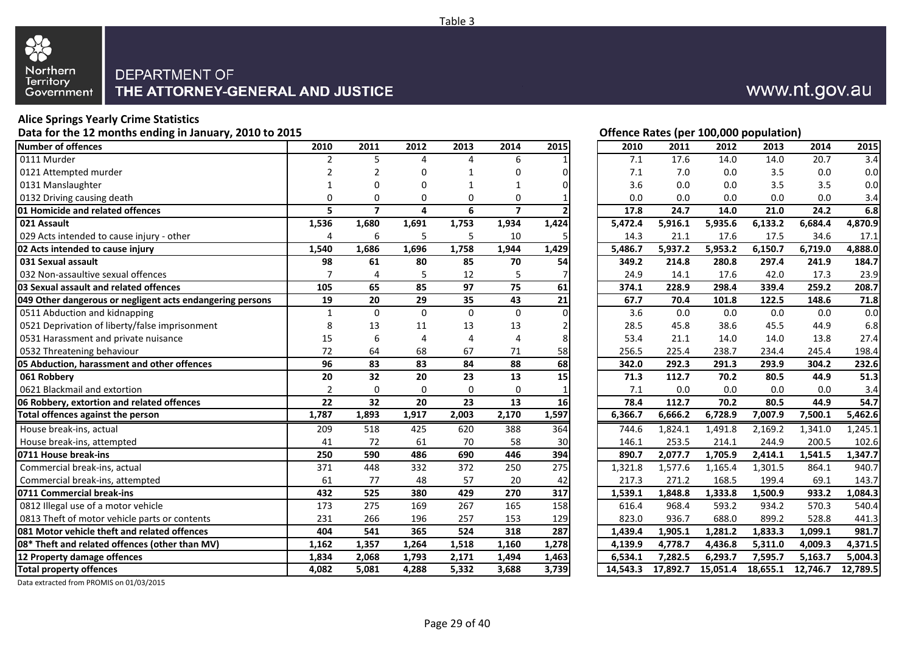

## **Alice Springs Yearly Crime Statistics**

Data for the 12 months ending in January, 2010 to 2015 **Data for the 12 months ending in January, 2010 to 2015** 

| <b>Number of offences</b>                                 | 2010            | 2011           | 2012     | 2013            | 2014                  | 2015            | 2010     | 2011     | 2012     | 2013     | 2014     | 2015     |
|-----------------------------------------------------------|-----------------|----------------|----------|-----------------|-----------------------|-----------------|----------|----------|----------|----------|----------|----------|
| 0111 Murder                                               | $\mathfrak{p}$  | 5              |          | Δ               | 6                     |                 | 7.1      | 17.6     | 14.0     | 14.0     | 20.7     | 3.4      |
| 0121 Attempted murder                                     |                 |                | ი        |                 |                       |                 | 7.1      | 7.0      | 0.0      | 3.5      | 0.0      | 0.0      |
| 0131 Manslaughter                                         |                 |                | ŋ        |                 |                       |                 | 3.6      | 0.0      | 0.0      | 3.5      | 3.5      | 0.0      |
| 0132 Driving causing death                                | 0               | O              | 0        | $\Omega$        | $\Omega$              |                 | 0.0      | 0.0      | 0.0      | 0.0      | 0.0      | 3.4      |
| 01 Homicide and related offences                          | 5               | $\overline{7}$ | 4        | 6               | $\overline{7}$        |                 | 17.8     | 24.7     | 14.0     | 21.0     | 24.2     | 6.8      |
| 021 Assault                                               | 1,536           | 1,680          | 1,691    | 1,753           | 1,934                 | 1,424           | 5,472.4  | 5,916.1  | 5,935.6  | 6,133.2  | 6,684.4  | 4,870.9  |
| 029 Acts intended to cause injury - other                 | 4               | 6              | 5        | 5               | 10                    |                 | 14.3     | 21.1     | 17.6     | 17.5     | 34.6     | 17.1     |
| 02 Acts intended to cause injury                          | 1,540           | 1,686          | 1,696    | 1,758           | 1,944                 | 1,429           | 5,486.7  | 5,937.2  | 5,953.2  | 6,150.7  | 6,719.0  | 4,888.0  |
| 031 Sexual assault                                        | 98              | 61             | 80       | 85              | 70                    | 54              | 349.2    | 214.8    | 280.8    | 297.4    | 241.9    | 184.7    |
| 032 Non-assaultive sexual offences                        | 7               | 4              | 5        | 12              | 5                     |                 | 24.9     | 14.1     | 17.6     | 42.0     | 17.3     | 23.9     |
| 03 Sexual assault and related offences                    | 105             | 65             | 85       | 97              | 75                    | 61              | 374.1    | 228.9    | 298.4    | 339.4    | 259.2    | 208.7    |
| 049 Other dangerous or negligent acts endangering persons | 19              | 20             | 29       | 35              | 43                    | 21              | 67.7     | 70.4     | 101.8    | 122.5    | 148.6    | 71.8     |
| 0511 Abduction and kidnapping                             | $\mathbf{1}$    | $\Omega$       | $\Omega$ | $\mathbf 0$     | $\mathbf 0$           |                 | 3.6      | 0.0      | 0.0      | 0.0      | 0.0      | 0.0      |
| 0521 Deprivation of liberty/false imprisonment            | 8               | 13             | 11       | 13              | 13                    |                 | 28.5     | 45.8     | 38.6     | 45.5     | 44.9     | 6.8      |
| 0531 Harassment and private nuisance                      | 15              | 6              | $\Delta$ | 4               | $\boldsymbol{\Delta}$ | 8               | 53.4     | 21.1     | 14.0     | 14.0     | 13.8     | 27.4     |
| 0532 Threatening behaviour                                | 72              | 64             | 68       | 67              | 71                    | 58              | 256.5    | 225.4    | 238.7    | 234.4    | 245.4    | 198.4    |
| 05 Abduction, harassment and other offences               | $\overline{96}$ | 83             | 83       | $\overline{84}$ | 88                    | 68              | 342.0    | 292.3    | 291.3    | 293.9    | 304.2    | 232.6    |
| 061 Robberv                                               | 20              | 32             | 20       | 23              | 13                    | $\overline{15}$ | 71.3     | 112.7    | 70.2     | 80.5     | 44.9     | 51.3     |
| 0621 Blackmail and extortion                              | 2               | $\Omega$       | $\Omega$ | $\Omega$        | $\Omega$              |                 | 7.1      | 0.0      | 0.0      | 0.0      | 0.0      | 3.4      |
| 06 Robbery, extortion and related offences                | 22              | 32             | 20       | 23              | $\overline{13}$       | 16              | 78.4     | 112.7    | 70.2     | 80.5     | 44.9     | 54.7     |
| Total offences against the person                         | 1,787           | 1,893          | 1,917    | 2,003           | 2,170                 | 1,597           | 6,366.7  | 6,666.2  | 6,728.9  | 7,007.9  | 7,500.1  | 5,462.6  |
| House break-ins, actual                                   | 209             | 518            | 425      | 620             | 388                   | 364             | 744.6    | 1,824.1  | 1,491.8  | 2,169.2  | 1,341.0  | 1,245.1  |
| House break-ins, attempted                                | 41              | 72             | 61       | 70              | 58                    | 30              | 146.1    | 253.5    | 214.1    | 244.9    | 200.5    | 102.6    |
| 0711 House break-ins                                      | 250             | 590            | 486      | 690             | 446                   | 394             | 890.7    | 2,077.7  | 1,705.9  | 2,414.1  | 1,541.5  | 1,347.7  |
| Commercial break-ins, actual                              | 371             | 448            | 332      | 372             | 250                   | 275             | 1,321.8  | 1,577.6  | 1,165.4  | 1,301.5  | 864.1    | 940.7    |
| Commercial break-ins, attempted                           | 61              | 77             | 48       | 57              | 20                    | 42              | 217.3    | 271.2    | 168.5    | 199.4    | 69.1     | 143.7    |
| 0711 Commercial break-ins                                 | 432             | 525            | 380      | 429             | 270                   | 317             | 1,539.1  | 1,848.8  | 1,333.8  | 1,500.9  | 933.2    | 1,084.3  |
| 0812 Illegal use of a motor vehicle                       | 173             | 275            | 169      | 267             | 165                   | 158             | 616.4    | 968.4    | 593.2    | 934.2    | 570.3    | 540.4    |
| 0813 Theft of motor vehicle parts or contents             | 231             | 266            | 196      | 257             | 153                   | 129             | 823.0    | 936.7    | 688.0    | 899.2    | 528.8    | 441.3    |
| <b>081 Motor vehicle theft and related offences</b>       | 404             | 541            | 365      | 524             | 318                   | 287             | 1,439.4  | 1,905.1  | 1,281.2  | 1,833.3  | 1,099.1  | 981.7    |
| 08* Theft and related offences (other than MV)            | 1,162           | 1,357          | 1,264    | 1,518           | 1,160                 | 1,278           | 4,139.9  | 4,778.7  | 4,436.8  | 5,311.0  | 4,009.3  | 4,371.5  |
| 12 Property damage offences                               | 1,834           | 2,068          | 1,793    | 2,171           | 1,494                 | 1,463           | 6,534.1  | 7,282.5  | 6,293.7  | 7,595.7  | 5,163.7  | 5,004.3  |
| <b>Total property offences</b>                            | 4.082           | 5.081          | 4,288    | 5,332           | 3,688                 | 3,739           | 14,543.3 | 17.892.7 | 15,051.4 | 18,655.1 | 12,746.7 | 12.789.5 |

Data extracted from PROMIS on 01/03/2015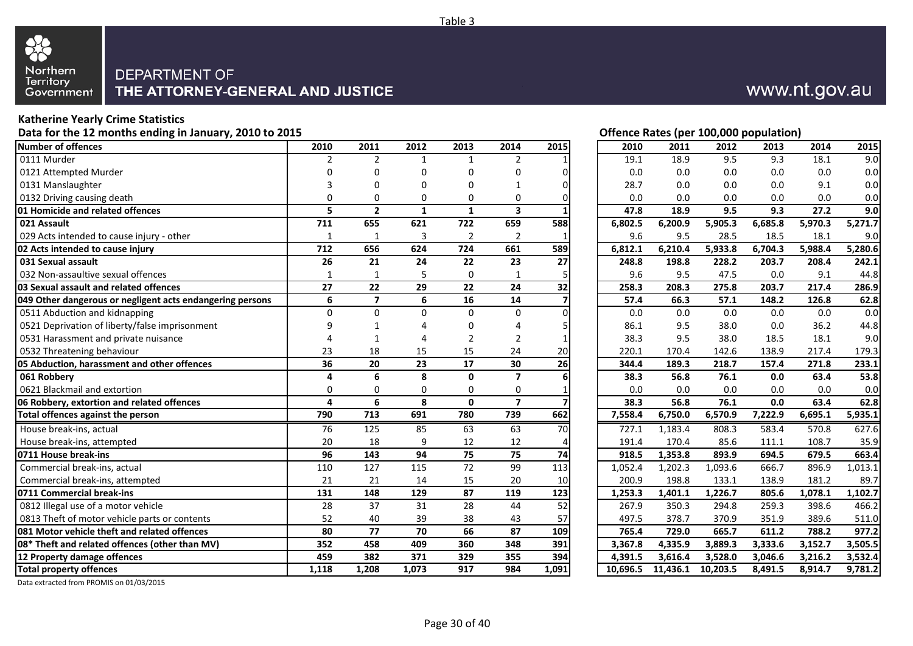

## **Katherine Yearly Crime Statistics**

**Data for the 12 months ending in January, 2010 to 2015 Offence Rates (per 100,000 population) Number of offences 2010 2011 2012 2013 2014 2015 2010 2011 2012 2013 2014 2015** 0111 Murder 2 2 1 1 2 1 19.1 18.9 9.5 9.3 18.1 9.0 0121 Attempted Murder 0 0 0 0 0 0 0.0 0.0 0.0 0.0 0.0 0.0 0131 Manslaughter 3 0 0 0 1 0 28.7 0.0 0.0 0.0 9.1 0.0 0132 Driving causing death 0 0 0 0 0 0 0.0 0.0 0.0 0.0 0.0 0.0 **01 Homicide and related offences 5 2 1 1 3 1 47.8 18.9 9.5 9.3 27.2 9.0 021 Assault 711 655 621 722 659 588 6,802.5 6,200.9 5,905.3 6,685.8 5,970.3 5,271.7** 029 Acts intended to cause injury - other 1 1 1 1 3 2 2 1 9.6 9.5 28.5 18.1 9.0 **02 Acts intended to cause injury 712 656 624 724 661 589 6,812.1 6,210.4 5,933.8 6,704.3 5,988.4 5,280.6 031 Sexual assault 26 21 24 22 23 27 248.8 198.8 228.2 203.7 208.4 242.1** 032 Non-assaultive sexual offences 1 1 1 5 0 1 5 9.6 9.5 47.5 0.0 9.1 44.8<br>03 Sexual assault and related offences 27 22 29 22 24 32 258.3 208.3 275.8 203.7 217.4 286.9 **03 Sexual assault and related offences 27 22 29 22 24 32 258.3 208.3 275.8 203.7 217.4 286.9 049 Other dangerous or negligent acts endangering persons 6 7 6 16 14 7 57.4 66.3 57.1 148.2 126.8 62.8** 0511 Abduction and kidnapping 0 0 0 0 0 0 0.0 0.0 0.0 0.0 0.0 0.0 0521 Deprivation of liberty/false imprisonment 1 and 1 9 1 4 1 0 4 5 1 86.1 9.5 38.0 0.0 36.2 44.8 0531 Harassment and private nuisance 1 1 4 1 4 1 4 2 2 1 38.3 9.5 38.0 18.5 18.1 9.0 0532 Threatening behaviour 23 18 15 15 24 20 220.1 170.4 142.6 138.9 217.4 179.3 **05 Abduction, harassment and other offences 36 20 23 17 30 26 344.4 189.3 218.7 157.4 271.8 233.1 061 Robbery 4 6 8 0 7 6 38.3 56.8 76.1 0.0 63.4 53.8** 0621 Blackmail and extortion 0 0 0 0 1 0.0 0.0 0.0 0.0 0.0 **06 Robbery, extortion and related offences 4 6 8 0 7 7 38.3 56.8 76.1 0.0 63.4 62.8 Total offences against the person 790 713 691 780 739 662 7,558.4 6,750.0 6,570.9 7,222.9 6,695.1 5,935.1** House break-ins, actual 1980 125 125 85 63 63 70 727.1 1,183.4 808.3 583.4 570.8 627.6 House break-ins, attempted a and the contract the 20 18 9 12 12 4 191.4 170.4 85.6 111.1 108.7 35.9 **0711 House break-ins 96 143 94 75 75 74 918.5 1,353.8 893.9 694.5 679.5 663.4** Commercial break-ins, actual 110 127 115 72 99 113 1,052.4 1,202.3 1,093.6 666.7 896.9 1,013.1 Commercial break-ins, attempted 21 21 14 15 20 10 200.9 198.8 133.1 138.9 181.2 89.7 **0711 Commercial break-ins 131 148 129 87 119 123 1,253.3 1,401.1 1,226.7 805.6 1,078.1 1,102.7** 0812 Illegal use of a motor vehicle 28 37 31 28 44 52 267.9 350.3 294.8 259.3 398.6 466.2 0813 Theft of motor vehicle parts or contents 1.0 52 40 39 38 43 57 43 57 378.7 370.9 351.9 389.6 511.0 **081 Motor vehicle theft and related offences 80 77 70 66 87 109 765.4 729.0 665.7 611.2 788.2 977.2 08\* Theft and related offences (other than MV) 352 458 409 360 348 391 3,367.8 4,335.9 3,889.3 3,333.6 3,152.7 3,505.5 12 Property damage offences 459 382 371 329 355 394 4,391.5 3,616.4 3,528.0 3,046.6 3,216.2 3,532.4 Total property offences 1,118 1,208 1,073 917 984 1,091 10,696.5 11,436.1 10,203.5 8,491.5 8,914.7 9,781.2**

Data extracted from PROMIS on 01/03/2015

## www.nt.gov.au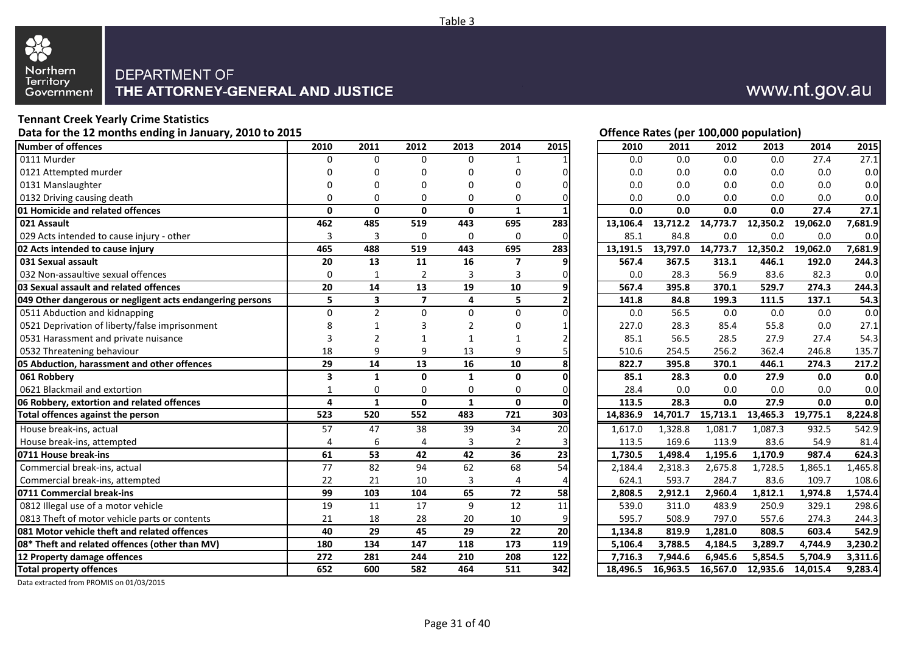

#### **Tennant Creek Yearly Crime Statistics** Data for the 12 months ending in January, 2010 to 2015 *Data in the States (per 100,000 population)*

| $\frac{1}{2}$ and the second column contract $\frac{1}{2}$ and $\frac{1}{2}$ and $\frac{1}{2}$ and $\frac{1}{2}$ |                 |                         |                 |              |                         |               |          | ence nates (per 200)000 population, |          |          |          |         |
|------------------------------------------------------------------------------------------------------------------|-----------------|-------------------------|-----------------|--------------|-------------------------|---------------|----------|-------------------------------------|----------|----------|----------|---------|
| Number of offences                                                                                               | 2010            | 2011                    | 2012            | 2013         | 2014                    | 2015          | 2010     | 2011                                | 2012     | 2013     | 2014     | 2015    |
| 0111 Murder                                                                                                      | 0               | $\Omega$                | 0               | 0            |                         |               | 0.0      | 0.0                                 | 0.0      | 0.0      | 27.4     | 27.1    |
| 0121 Attempted murder                                                                                            |                 |                         | ი               | 0            |                         |               | 0.0      | 0.0                                 | 0.0      | 0.0      | 0.0      | 0.0     |
| 0131 Manslaughter                                                                                                |                 |                         | n               | U            |                         |               | 0.0      | 0.0                                 | 0.0      | 0.0      | 0.0      | 0.0     |
| 0132 Driving causing death                                                                                       | 0               |                         | 0               | 0            | $\Omega$                |               | 0.0      | 0.0                                 | 0.0      | 0.0      | 0.0      | 0.0     |
| 01 Homicide and related offences                                                                                 | $\Omega$        | $\Omega$                | $\mathbf{0}$    | $\mathbf{0}$ | $\mathbf{1}$            |               | 0.0      | 0.0                                 | 0.0      | 0.0      | 27.4     | 27.1    |
| 021 Assault                                                                                                      | 462             | 485                     | 519             | 443          | 695                     | 283           | 13,106.4 | 13,712.2                            | 14,773.7 | 12,350.2 | 19,062.0 | 7.681.9 |
| 029 Acts intended to cause injury - other                                                                        | 3               | 3                       | $\Omega$        | $\Omega$     | $\Omega$                | $\Omega$      | 85.1     | 84.8                                | 0.0      | 0.0      | 0.0      | 0.0     |
| 02 Acts intended to cause injury                                                                                 | 465             | 488                     | 519             | 443          | 695                     | 283           | 13,191.5 | 13,797.0                            | 14,773.7 | 12,350.2 | 19,062.0 | 7,681.9 |
| 031 Sexual assault                                                                                               | 20              | 13                      | 11              | 16           | $\overline{\mathbf{z}}$ |               | 567.4    | 367.5                               | 313.1    | 446.1    | 192.0    | 244.3   |
| 032 Non-assaultive sexual offences                                                                               | 0               | $\mathbf{1}$            | 2               | 3            | 3                       |               | 0.0      | 28.3                                | 56.9     | 83.6     | 82.3     | 0.0     |
| 03 Sexual assault and related offences                                                                           | 20              | 14                      | 13              | 19           | 10                      |               | 567.4    | 395.8                               | 370.1    | 529.7    | 274.3    | 244.3   |
| 049 Other dangerous or negligent acts endangering persons                                                        | 5               | $\overline{\mathbf{3}}$ | $\overline{7}$  | 4            | 5                       |               | 141.8    | 84.8                                | 199.3    | 111.5    | 137.1    | 54.3    |
| 0511 Abduction and kidnapping                                                                                    | $\Omega$        | $\overline{2}$          | $\Omega$        | $\mathbf 0$  | $\mathbf 0$             |               | 0.0      | 56.5                                | 0.0      | 0.0      | 0.0      | 0.0     |
| 0521 Deprivation of liberty/false imprisonment                                                                   |                 |                         |                 | 2            | <sup>0</sup>            |               | 227.0    | 28.3                                | 85.4     | 55.8     | 0.0      | 27.1    |
| 0531 Harassment and private nuisance                                                                             | 3               |                         |                 | -1           |                         | $\mathcal{P}$ | 85.1     | 56.5                                | 28.5     | 27.9     | 27.4     | 54.3    |
| 0532 Threatening behaviour                                                                                       | 18              | 9                       | 9               | 13           | 9                       |               | 510.6    | 254.5                               | 256.2    | 362.4    | 246.8    | 135.7   |
| 05 Abduction, harassment and other offences                                                                      | $\overline{29}$ | $\overline{14}$         | $\overline{13}$ | 16           | 10                      | 8             | 822.7    | 395.8                               | 370.1    | 446.1    | 274.3    | 217.2   |
| 061 Robbery                                                                                                      | 3               | $\mathbf{1}$            | $\mathbf{0}$    | $\mathbf{1}$ | $\mathbf{0}$            |               | 85.1     | 28.3                                | 0.0      | 27.9     | 0.0      | 0.0     |
| 0621 Blackmail and extortion                                                                                     | $\mathbf{1}$    | $\Omega$                | $\Omega$        | 0            | $\Omega$                |               | 28.4     | 0.0                                 | 0.0      | 0.0      | 0.0      | 0.0     |
| 06 Robbery, extortion and related offences                                                                       | 4               | $\mathbf{1}$            | $\mathbf{0}$    | $\mathbf{1}$ | $\mathbf 0$             | $\mathbf{0}$  | 113.5    | 28.3                                | 0.0      | 27.9     | 0.0      | 0.0     |
| Total offences against the person                                                                                | 523             | 520                     | 552             | 483          | 721                     | 303           | 14,836.9 | 14,701.7                            | 15,713.1 | 13,465.3 | 19,775.1 | 8,224.8 |
| House break-ins, actual                                                                                          | 57              | 47                      | 38              | 39           | 34                      | 20            | 1,617.0  | 1,328.8                             | 1,081.7  | 1,087.3  | 932.5    | 542.9   |
| House break-ins, attempted                                                                                       | 4               | 6                       | $\overline{4}$  | 3            | 2                       |               | 113.5    | 169.6                               | 113.9    | 83.6     | 54.9     | 81.4    |
| 0711 House break-ins                                                                                             | 61              | 53                      | 42              | 42           | 36                      | 23            | 1,730.5  | 1,498.4                             | 1,195.6  | 1,170.9  | 987.4    | 624.3   |
| Commercial break-ins, actual                                                                                     | 77              | 82                      | 94              | 62           | 68                      | 54            | 2,184.4  | 2,318.3                             | 2,675.8  | 1,728.5  | 1,865.1  | 1,465.8 |
| Commercial break-ins, attempted                                                                                  | 22              | 21                      | 10              | 3            | $\overline{4}$          |               | 624.1    | 593.7                               | 284.7    | 83.6     | 109.7    | 108.6   |
| 0711 Commercial break-ins                                                                                        | 99              | 103                     | 104             | 65           | 72                      | 58            | 2,808.5  | 2,912.1                             | 2,960.4  | 1,812.1  | 1,974.8  | 1,574.4 |
| 0812 Illegal use of a motor vehicle                                                                              | 19              | 11                      | 17              | $\mathsf{q}$ | 12                      | 11            | 539.0    | 311.0                               | 483.9    | 250.9    | 329.1    | 298.6   |
| 0813 Theft of motor vehicle parts or contents                                                                    | 21              | 18                      | 28              | 20           | 10                      |               | 595.7    | 508.9                               | 797.0    | 557.6    | 274.3    | 244.3   |
| 081 Motor vehicle theft and related offences                                                                     | 40              | 29                      | 45              | 29           | 22                      | 20            | 1,134.8  | 819.9                               | 1,281.0  | 808.5    | 603.4    | 542.9   |
| 08* Theft and related offences (other than MV)                                                                   | 180             | 134                     | 147             | 118          | 173                     | 119           | 5,106.4  | 3,788.5                             | 4,184.5  | 3,289.7  | 4,744.9  | 3,230.2 |
| 12 Property damage offences                                                                                      | 272             | 281                     | 244             | 210          | 208                     | 122           | 7,716.3  | 7,944.6                             | 6,945.6  | 5,854.5  | 5,704.9  | 3,311.6 |
| Total property offences                                                                                          | 652             | 600                     | 582             | 464          | 511                     | 342           | 18,496.5 | 16,963.5                            | 16,567.0 | 12,935.6 | 14,015.4 | 9,283.4 |
|                                                                                                                  |                 |                         |                 |              |                         |               |          |                                     |          |          |          |         |

Data extracted from PROMIS on 01/03/2015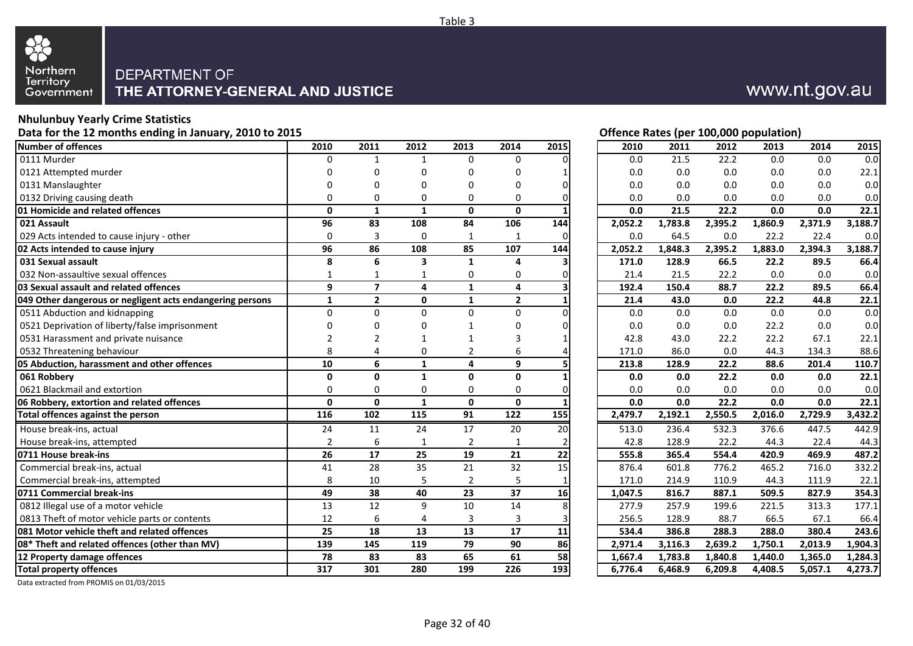

## **Nhulunbuy Yearly Crime Statistics**

Data for the 12 months ending in January, 2010 to 2015 *Data for the U.S. Community Community Community Community Community Community Community Community Community Community Community Community Community Community Communi* **Number of offences 2010 2011 2012 2013 2014 2015 2010 2011 2012 2013 2014 2015** 0111 Murder 0 1 1 0 0 0 0.0 21.5 22.2 0.0 0.0 0.0 0121 Attempted murder 0 0 0 0 1 0.0 0.0 0.0 0.0 22.1 0131 Manslaughter 0 0 0 0 0 0 0.0 0.0 0.0 0.0 0.0 0.0 0132 Driving causing death 0 0 0 0 0 0 0 0 0 0 0 **01 Homicide and related offences 0 1 1 0 0 1 0.0 21.5 22.2 0.0 0.0 22.1 021 Assault 96 83 108 84 106 144 2,052.2 1,783.8 2,395.2 1,860.9 2,371.9 3,188.7** 029 Acts intended to cause injury - other 0 1 0 1 1 0.0 0 1 1 0.0 64.5 0.0 1 1 0.0  $\pm 0.0001$ **02 Acts intended to cause injury 96 86 108 85 107 144 2,052.2 1,848.3 2,395.2 1,883.0 2,394.3 3,188.7 031 Sexual assault 8 6 3 1 4 3 171.0 128.9 66.5 22.2 89.5 66.4** 032 Non-assaultive sexual offences<br>
03 Sexual assault and related offences<br>
03 Sexual assault and related offences<br>  $\begin{array}{cccc} 1 & 1 & 1 & 0 & 0 & 0 \\ 9 & 7 & 4 & 1 & 4 & 3 \end{array}$ **03 Sexual assault and related offences 9 7 4 1 4 3 192.4 150.4 88.7 22.2 89.5 66.4 049 Other dangerous or negligent acts endangering persons 1 2 0 1 2 1 21.4 43.0 0.0 22.2 44.8 22.1** 0511 Abduction and kidnapping  $0 \qquad 0 \qquad 0 \qquad 0 \qquad 0.0$  0521 Deprivation of liberty/false imprisonment 0 0 0 1 0 0 0.0 0.0 0.0 22.2 0.0 0.0 0531 Harassment and private nuisance 2 2 1 1 3 1 42.8 43.0 22.2 22.2 67.1 22.1 0532 Threatening behaviour 8 1 2 0 3 4 171.0 86.6 171.0 171.0 171.0 171.0 171.0 171.0 171.0 171.0 171.0 171.0 1 **05 Abduction, harassment and other offences 10 6 1 4 9 5 213.8 128.9 22.2 88.6 201.4 110.7 061 Robbery 0 0 1 0 0 1 0.0 0.0 22.2 0.0 0.0 22.1** 0621 Blackmail and extortion and the control of the control of the control of the control of the control of the control of the control of the control of the control of the control of the control of the control of the contr **06 Robbery, extortion and related offences 0 0 1 0 0 1 0.0 0.0 22.2 0.0 0.0 22.1 Total offences against the person 116 102 115 91 122 155 2,479.7 2,192.1 2,550.5 2,016.0 2,729.9 3,432.2** House break-ins, actual **24 11** 24 11 24 17 20 20 131.0 236.4 532.3 376.6 447.5 442.9 Prouse break-ins, attempted and the contract of the contract of the contract of the contract of the contract of the contract of the contract of the contract of the contract of the contract of the contract of the contract o **0711 House break-ins 26 17 25 19 21 22 555.8 365.4 554.4 420.9 469.9 487.2** Commercial break-ins, actual 41 28 35 21 32 15 Commercial break-ins, attempted and the set of the set of the set of the set of the set of the set of the set o **0711 Commercial break-ins 49 38 40 23 37 16 1,047.5 816.7 887.1 509.5 827.9 354.3** 0812 Illegal use of a motor vehicle 15 12 12 12 12 12 10 14 257.9 10 0813 Theft of motor vehicle parts or contents 12 12 6 4 3 3 3 **081 Motor vehicle theft and related offences 25 18 13 13 17 11 534.4 386.8 288.3 288.0 380.4 243.6 139 145 119 145 119 149 149 149 149 149 149 149 149 149 12Property damage offences 12Property damage offences 12Property damage offences 12Property damage offences 12Property damage off 12 Property damage offences 78 83 83 65 61 58 1,667.4 1,783.8 1,840.8 1,440.0 1,365.0 1,284.3 Total property offences 317 301 280 199 226 193 6,776.4 6,468.9 6,209.8 4,408.5 5,057.1 4,273.7**

Data extracted from PROMIS on 01/03/2015

| 2014<br>2010<br>2011<br>2012<br>2013<br>21.5<br>22.2<br>0.0<br>0.0<br>0.0<br>0.0<br>0.0<br>0.0<br>0.0<br>0.0<br>0.0<br>0.0<br>0.0<br>0.0<br>0.0<br>0.0<br>0.0<br>0.0<br>0.0<br>0.0<br>22.2<br>21.5<br>0.0<br>0.0<br>0.0<br>2,371.9<br>2,052.2<br>2,395.2<br>1,860.9<br>1,783.8<br>64.5<br>0.0<br>0.0<br>22.2<br>22.4<br>2,052.2<br>1,848.3<br>2,395.2<br>1,883.0<br>2,394.3<br>128.9<br>66.5<br>22.2<br>171.0<br>89.5<br>21.5<br>22.2<br>21.4<br>0.0<br>0.0<br>192.4<br>150.4<br>22.2<br>89.5<br>88.7<br>21.4<br>43.0<br>0.0<br>22.2<br>44.8<br>0.0<br>0.0<br>0.0<br>0.0<br>0.0<br>0.0<br>22.2<br>0.0<br>0.0<br>0.0<br>22.2<br>22.2<br>42.8<br>43.0<br>67.1<br>171.0<br>86.0<br>44.3<br>134.3<br>0.0<br>22.2<br>88.6<br>201.4<br>213.8<br>128.9<br>0.0<br>0.0<br>22.2<br>0.0<br>0.0<br>0.0<br>0.0<br>0.0<br>0.0<br>0.0<br>22.2<br>22.1<br>0.0<br>0.0<br>0.0<br>0.0<br>2,479.7<br>2,550.5<br>2,016.0<br>2,729.9<br>2,192.1<br>532.3<br>376.6<br>447.5<br>513.0<br>236.4<br>22.2<br>42.8<br>128.9<br>44.3<br>22.4<br>555.8<br>365.4<br>554.4<br>420.9<br>469.9<br>876.4<br>601.8<br>776.2<br>465.2<br>716.0<br>214.9<br>44.3<br>171.0<br>110.9<br>111.9<br>887.1<br>509.5<br>1,047.5<br>816.7<br>827.9<br>277.9<br>257.9<br>199.6<br>221.5<br>313.3<br>256.5<br>88.7<br>66.5<br>67.1<br>128.9<br>534.4<br>386.8<br>288.3<br>288.0<br>380.4<br>243.6<br>2,971.4<br>3,116.3<br>2,639.2<br>1,750.1<br>2,013.9<br>1,667.4<br>1,440.0<br>1,365.0<br>1,783.8<br>1,840.8<br>4,408.5<br>6,776.4<br>6,468.9<br>6,209.8<br>5,057.1 | Offence Rates (per 100,000 population) |  |  |         |
|------------------------------------------------------------------------------------------------------------------------------------------------------------------------------------------------------------------------------------------------------------------------------------------------------------------------------------------------------------------------------------------------------------------------------------------------------------------------------------------------------------------------------------------------------------------------------------------------------------------------------------------------------------------------------------------------------------------------------------------------------------------------------------------------------------------------------------------------------------------------------------------------------------------------------------------------------------------------------------------------------------------------------------------------------------------------------------------------------------------------------------------------------------------------------------------------------------------------------------------------------------------------------------------------------------------------------------------------------------------------------------------------------------------------------------------------------------------------------------------------------------------------|----------------------------------------|--|--|---------|
|                                                                                                                                                                                                                                                                                                                                                                                                                                                                                                                                                                                                                                                                                                                                                                                                                                                                                                                                                                                                                                                                                                                                                                                                                                                                                                                                                                                                                                                                                                                        |                                        |  |  | 2015    |
|                                                                                                                                                                                                                                                                                                                                                                                                                                                                                                                                                                                                                                                                                                                                                                                                                                                                                                                                                                                                                                                                                                                                                                                                                                                                                                                                                                                                                                                                                                                        |                                        |  |  | 0.0     |
|                                                                                                                                                                                                                                                                                                                                                                                                                                                                                                                                                                                                                                                                                                                                                                                                                                                                                                                                                                                                                                                                                                                                                                                                                                                                                                                                                                                                                                                                                                                        |                                        |  |  | 22.1    |
|                                                                                                                                                                                                                                                                                                                                                                                                                                                                                                                                                                                                                                                                                                                                                                                                                                                                                                                                                                                                                                                                                                                                                                                                                                                                                                                                                                                                                                                                                                                        |                                        |  |  | 0.0     |
|                                                                                                                                                                                                                                                                                                                                                                                                                                                                                                                                                                                                                                                                                                                                                                                                                                                                                                                                                                                                                                                                                                                                                                                                                                                                                                                                                                                                                                                                                                                        |                                        |  |  | 0.0     |
|                                                                                                                                                                                                                                                                                                                                                                                                                                                                                                                                                                                                                                                                                                                                                                                                                                                                                                                                                                                                                                                                                                                                                                                                                                                                                                                                                                                                                                                                                                                        |                                        |  |  | 22.1    |
|                                                                                                                                                                                                                                                                                                                                                                                                                                                                                                                                                                                                                                                                                                                                                                                                                                                                                                                                                                                                                                                                                                                                                                                                                                                                                                                                                                                                                                                                                                                        |                                        |  |  | 3,188.7 |
|                                                                                                                                                                                                                                                                                                                                                                                                                                                                                                                                                                                                                                                                                                                                                                                                                                                                                                                                                                                                                                                                                                                                                                                                                                                                                                                                                                                                                                                                                                                        |                                        |  |  | 0.0     |
|                                                                                                                                                                                                                                                                                                                                                                                                                                                                                                                                                                                                                                                                                                                                                                                                                                                                                                                                                                                                                                                                                                                                                                                                                                                                                                                                                                                                                                                                                                                        |                                        |  |  | 3,188.7 |
|                                                                                                                                                                                                                                                                                                                                                                                                                                                                                                                                                                                                                                                                                                                                                                                                                                                                                                                                                                                                                                                                                                                                                                                                                                                                                                                                                                                                                                                                                                                        |                                        |  |  | 66.4    |
|                                                                                                                                                                                                                                                                                                                                                                                                                                                                                                                                                                                                                                                                                                                                                                                                                                                                                                                                                                                                                                                                                                                                                                                                                                                                                                                                                                                                                                                                                                                        |                                        |  |  | 0.0     |
|                                                                                                                                                                                                                                                                                                                                                                                                                                                                                                                                                                                                                                                                                                                                                                                                                                                                                                                                                                                                                                                                                                                                                                                                                                                                                                                                                                                                                                                                                                                        |                                        |  |  | 66.4    |
|                                                                                                                                                                                                                                                                                                                                                                                                                                                                                                                                                                                                                                                                                                                                                                                                                                                                                                                                                                                                                                                                                                                                                                                                                                                                                                                                                                                                                                                                                                                        |                                        |  |  | 22.1    |
|                                                                                                                                                                                                                                                                                                                                                                                                                                                                                                                                                                                                                                                                                                                                                                                                                                                                                                                                                                                                                                                                                                                                                                                                                                                                                                                                                                                                                                                                                                                        |                                        |  |  | 0.0     |
|                                                                                                                                                                                                                                                                                                                                                                                                                                                                                                                                                                                                                                                                                                                                                                                                                                                                                                                                                                                                                                                                                                                                                                                                                                                                                                                                                                                                                                                                                                                        |                                        |  |  | 0.0     |
|                                                                                                                                                                                                                                                                                                                                                                                                                                                                                                                                                                                                                                                                                                                                                                                                                                                                                                                                                                                                                                                                                                                                                                                                                                                                                                                                                                                                                                                                                                                        |                                        |  |  | 22.1    |
|                                                                                                                                                                                                                                                                                                                                                                                                                                                                                                                                                                                                                                                                                                                                                                                                                                                                                                                                                                                                                                                                                                                                                                                                                                                                                                                                                                                                                                                                                                                        |                                        |  |  | 88.6    |
|                                                                                                                                                                                                                                                                                                                                                                                                                                                                                                                                                                                                                                                                                                                                                                                                                                                                                                                                                                                                                                                                                                                                                                                                                                                                                                                                                                                                                                                                                                                        |                                        |  |  | 110.7   |
|                                                                                                                                                                                                                                                                                                                                                                                                                                                                                                                                                                                                                                                                                                                                                                                                                                                                                                                                                                                                                                                                                                                                                                                                                                                                                                                                                                                                                                                                                                                        |                                        |  |  | 22.1    |
|                                                                                                                                                                                                                                                                                                                                                                                                                                                                                                                                                                                                                                                                                                                                                                                                                                                                                                                                                                                                                                                                                                                                                                                                                                                                                                                                                                                                                                                                                                                        |                                        |  |  | 0.0     |
|                                                                                                                                                                                                                                                                                                                                                                                                                                                                                                                                                                                                                                                                                                                                                                                                                                                                                                                                                                                                                                                                                                                                                                                                                                                                                                                                                                                                                                                                                                                        |                                        |  |  |         |
|                                                                                                                                                                                                                                                                                                                                                                                                                                                                                                                                                                                                                                                                                                                                                                                                                                                                                                                                                                                                                                                                                                                                                                                                                                                                                                                                                                                                                                                                                                                        |                                        |  |  | 3,432.2 |
|                                                                                                                                                                                                                                                                                                                                                                                                                                                                                                                                                                                                                                                                                                                                                                                                                                                                                                                                                                                                                                                                                                                                                                                                                                                                                                                                                                                                                                                                                                                        |                                        |  |  | 442.9   |
|                                                                                                                                                                                                                                                                                                                                                                                                                                                                                                                                                                                                                                                                                                                                                                                                                                                                                                                                                                                                                                                                                                                                                                                                                                                                                                                                                                                                                                                                                                                        |                                        |  |  | 44.3    |
|                                                                                                                                                                                                                                                                                                                                                                                                                                                                                                                                                                                                                                                                                                                                                                                                                                                                                                                                                                                                                                                                                                                                                                                                                                                                                                                                                                                                                                                                                                                        |                                        |  |  | 487.2   |
|                                                                                                                                                                                                                                                                                                                                                                                                                                                                                                                                                                                                                                                                                                                                                                                                                                                                                                                                                                                                                                                                                                                                                                                                                                                                                                                                                                                                                                                                                                                        |                                        |  |  | 332.2   |
|                                                                                                                                                                                                                                                                                                                                                                                                                                                                                                                                                                                                                                                                                                                                                                                                                                                                                                                                                                                                                                                                                                                                                                                                                                                                                                                                                                                                                                                                                                                        |                                        |  |  | 22.1    |
|                                                                                                                                                                                                                                                                                                                                                                                                                                                                                                                                                                                                                                                                                                                                                                                                                                                                                                                                                                                                                                                                                                                                                                                                                                                                                                                                                                                                                                                                                                                        |                                        |  |  | 354.3   |
|                                                                                                                                                                                                                                                                                                                                                                                                                                                                                                                                                                                                                                                                                                                                                                                                                                                                                                                                                                                                                                                                                                                                                                                                                                                                                                                                                                                                                                                                                                                        |                                        |  |  | 177.1   |
|                                                                                                                                                                                                                                                                                                                                                                                                                                                                                                                                                                                                                                                                                                                                                                                                                                                                                                                                                                                                                                                                                                                                                                                                                                                                                                                                                                                                                                                                                                                        |                                        |  |  | 66.4    |
|                                                                                                                                                                                                                                                                                                                                                                                                                                                                                                                                                                                                                                                                                                                                                                                                                                                                                                                                                                                                                                                                                                                                                                                                                                                                                                                                                                                                                                                                                                                        |                                        |  |  |         |
|                                                                                                                                                                                                                                                                                                                                                                                                                                                                                                                                                                                                                                                                                                                                                                                                                                                                                                                                                                                                                                                                                                                                                                                                                                                                                                                                                                                                                                                                                                                        |                                        |  |  | 1,904.3 |
|                                                                                                                                                                                                                                                                                                                                                                                                                                                                                                                                                                                                                                                                                                                                                                                                                                                                                                                                                                                                                                                                                                                                                                                                                                                                                                                                                                                                                                                                                                                        |                                        |  |  | 1,284.3 |
|                                                                                                                                                                                                                                                                                                                                                                                                                                                                                                                                                                                                                                                                                                                                                                                                                                                                                                                                                                                                                                                                                                                                                                                                                                                                                                                                                                                                                                                                                                                        |                                        |  |  | 4,273.7 |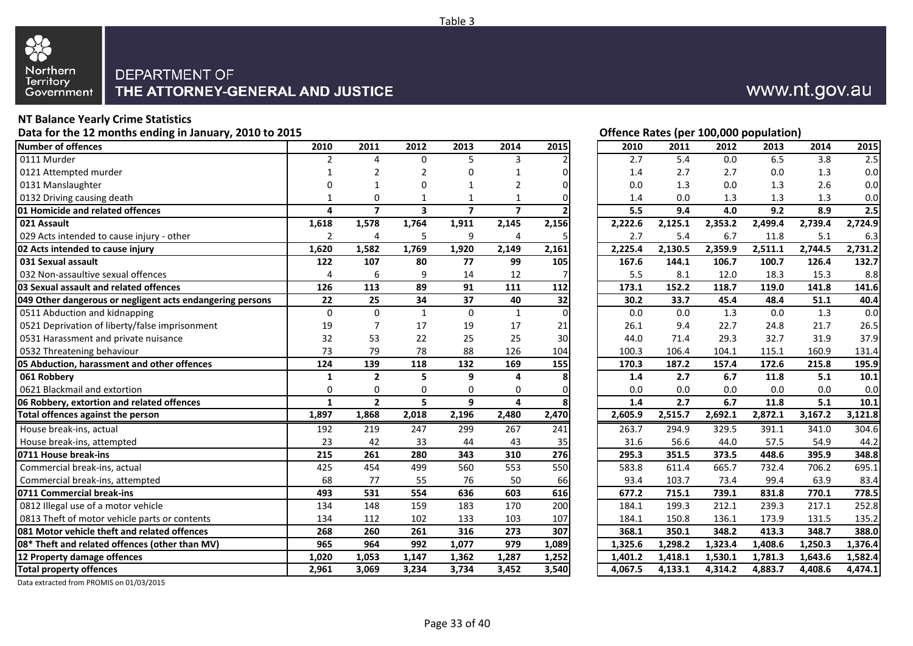

## **NT Balance Yearly Crime Statistics**

Data for the 12 months ending in January, 2010 to 2015 **Data in the U.S. Concrete Active Concrete Active Concrete Active Concrete Active Concrete Actes (per 100,000 population)** 

| <b>Number of offences</b>                                 | 2010           | 2011                    | 2012                    | 2013           | 2014           | 2015              | 2010    | 2011    | 2012    | 2013    | 2014    | 2015    |
|-----------------------------------------------------------|----------------|-------------------------|-------------------------|----------------|----------------|-------------------|---------|---------|---------|---------|---------|---------|
| 0111 Murder                                               |                | 4                       | $\Omega$                | 5              | 3              |                   | 2.7     | 5.4     | 0.0     | 6.5     | 3.8     | 2.5     |
| 0121 Attempted murder                                     |                |                         | 2                       | 0              |                |                   | 1.4     | 2.7     | 2.7     | 0.0     | 1.3     | 0.0     |
| 0131 Manslaughter                                         | O              |                         | 0                       | 1              | $\overline{2}$ | 0                 | 0.0     | 1.3     | 0.0     | 1.3     | 2.6     | 0.0     |
| 0132 Driving causing death                                | 1              | $\Omega$                |                         |                | 1              | 0                 | 1.4     | 0.0     | 1.3     | 1.3     | 1.3     | 0.0     |
| 01 Homicide and related offences                          | 4              | $\overline{\mathbf{z}}$ | $\overline{\mathbf{3}}$ | $\overline{7}$ | $\overline{7}$ | $\overline{2}$    | 5.5     | 9.4     | 4.0     | 9.2     | 8.9     | 2.5     |
| 021 Assault                                               | 1,618          | 1,578                   | 1,764                   | 1,911          | 2,145          | 2,156             | 2,222.6 | 2,125.1 | 2,353.2 | 2,499.4 | 2,739.4 | 2,724.9 |
| 029 Acts intended to cause injury - other                 | $\overline{2}$ | 4                       | 5                       | 9              | 4              |                   | 2.7     | 5.4     | 6.7     | 11.8    | 5.1     | 6.3     |
| 02 Acts intended to cause injury                          | 1,620          | 1,582                   | 1,769                   | 1,920          | 2,149          | 2,161             | 2,225.4 | 2,130.5 | 2,359.9 | 2,511.1 | 2,744.5 | 2,731.2 |
| 031 Sexual assault                                        | 122            | 107                     | 80                      | 77             | 99             | 105               | 167.6   | 144.1   | 106.7   | 100.7   | 126.4   | 132.7   |
| 032 Non-assaultive sexual offences                        | 4              | 6                       | 9                       | 14             | 12             |                   | 5.5     | 8.1     | 12.0    | 18.3    | 15.3    | 8.8     |
| 03 Sexual assault and related offences                    | 126            | 113                     | 89                      | 91             | 111            | 112               | 173.1   | 152.2   | 118.7   | 119.0   | 141.8   | 141.6   |
| 049 Other dangerous or negligent acts endangering persons | 22             | 25                      | 34                      | 37             | 40             | $\overline{32}$   | 30.2    | 33.7    | 45.4    | 48.4    | 51.1    | 40.4    |
| 0511 Abduction and kidnapping                             | $\Omega$       | $\Omega$                | $\mathbf{1}$            | $\Omega$       | $\mathbf{1}$   | $\Omega$          | 0.0     | 0.0     | 1.3     | 0.0     | 1.3     | 0.0     |
| 0521 Deprivation of liberty/false imprisonment            | 19             | 7                       | 17                      | 19             | 17             | 21                | 26.1    | 9.4     | 22.7    | 24.8    | 21.7    | 26.5    |
| 0531 Harassment and private nuisance                      | 32             | 53                      | 22                      | 25             | 25             | 30                | 44.0    | 71.4    | 29.3    | 32.7    | 31.9    | 37.9    |
| 0532 Threatening behaviour                                | 73             | 79                      | 78                      | 88             | 126            | 104               | 100.3   | 106.4   | 104.1   | 115.1   | 160.9   | 131.4   |
| 05 Abduction, harassment and other offences               | 124            | 139                     | 118                     | 132            | 169            | $\frac{155}{155}$ | 170.3   | 187.2   | 157.4   | 172.6   | 215.8   | 195.9   |
| 061 Robbery                                               | $\mathbf{1}$   | $\overline{2}$          | 5                       | 9              | 4              |                   | 1.4     | 2.7     | 6.7     | 11.8    | 5.1     | 10.1    |
| 0621 Blackmail and extortion                              | $\mathbf 0$    | $\mathbf 0$             | $\mathbf 0$             | $\mathbf 0$    | 0              | $\Omega$          | 0.0     | 0.0     | 0.0     | 0.0     | 0.0     | 0.0     |
| 06 Robbery, extortion and related offences                | $\mathbf{1}$   | $\overline{2}$          | 5                       | 9              | 4              | 8                 | 1.4     | 2.7     | 6.7     | 11.8    | 5.1     | 10.1    |
| Total offences against the person                         | 1,897          | 1,868                   | 2,018                   | 2,196          | 2,480          | 2,470             | 2,605.9 | 2,515.7 | 2,692.1 | 2,872.1 | 3,167.2 | 3,121.8 |
| House break-ins, actual                                   | 192            | 219                     | 247                     | 299            | 267            | 241               | 263.7   | 294.9   | 329.5   | 391.1   | 341.0   | 304.6   |
| House break-ins, attempted                                | 23             | 42                      | 33                      | 44             | 43             | 35                | 31.6    | 56.6    | 44.0    | 57.5    | 54.9    | 44.2    |
| 0711 House break-ins                                      | 215            | 261                     | 280                     | 343            | 310            | 276               | 295.3   | 351.5   | 373.5   | 448.6   | 395.9   | 348.8   |
| Commercial break-ins, actual                              | 425            | 454                     | 499                     | 560            | 553            | 550               | 583.8   | 611.4   | 665.7   | 732.4   | 706.2   | 695.1   |
| Commercial break-ins, attempted                           | 68             | 77                      | 55                      | 76             | 50             | 66                | 93.4    | 103.7   | 73.4    | 99.4    | 63.9    | 83.4    |
| 0711 Commercial break-ins                                 | 493            | 531                     | 554                     | 636            | 603            | 616               | 677.2   | 715.1   | 739.1   | 831.8   | 770.1   | 778.5   |
| 0812 Illegal use of a motor vehicle                       | 134            | 148                     | 159                     | 183            | 170            | 200               | 184.1   | 199.3   | 212.1   | 239.3   | 217.1   | 252.8   |
| 0813 Theft of motor vehicle parts or contents             | 134            | 112                     | 102                     | 133            | 103            | 107               | 184.1   | 150.8   | 136.1   | 173.9   | 131.5   | 135.2   |
| 081 Motor vehicle theft and related offences              | 268            | 260                     | 261                     | 316            | 273            | 307               | 368.1   | 350.1   | 348.2   | 413.3   | 348.7   | 388.0   |
| 08* Theft and related offences (other than MV)            | 965            | 964                     | 992                     | 1,077          | 979            | 1,089             | 1,325.6 | 1,298.2 | 1,323.4 | 1,408.6 | 1,250.3 | 1,376.4 |
| 12 Property damage offences                               | 1,020          | 1,053                   | 1,147                   | 1,362          | 1,287          | 1,252             | 1,401.2 | 1,418.1 | 1,530.1 | 1,781.3 | 1,643.6 | 1,582.4 |
| <b>Total property offences</b>                            | 2,961          | 3,069                   | 3,234                   | 3,734          | 3,452          | 3,540             | 4,067.5 | 4,133.1 | 4,314.2 | 4,883.7 | 4,408.6 | 4,474.1 |

Data extracted from PROMIS on 01/03/2015

| 2010    | 2011                            | 2012            | 2013    | 2014           | 2015    |
|---------|---------------------------------|-----------------|---------|----------------|---------|
| 2.7     | 5.4                             | $0.0\,$         | 6.5     | 3.8            | 2.5     |
| 1.4     | 2.7                             | 2.7             | $0.0\,$ | 1.3            | 0.0     |
| 0.0     | 1.3                             | 0.0             | 1.3     | 2.6            | 0.0     |
| 1.4     | 0.0                             | 1.3             | $1.3\,$ | 1.3            | 0.0     |
| 5.5     | 9.4                             | 4.0             | 9.2     | 8.9            | 2.5     |
| 2,222.6 | 2,125.1                         | 2,353.2         | 2,499.4 | $^{-}$ 2,739.4 | 2,724.9 |
| 2.7     | 5.4                             | 6.7             | 11.8    | 5.1            | 6.3     |
|         | 2,225.4 2,130.5 2,359.9 2,511.1 |                 |         | 2,744.5        | 2,731.2 |
| 167.6   | 144.1                           | 106.7           | 100.7   | 126.4          | 132.7   |
| 5.5     | 8.1                             | 12.0            | 18.3    | 15.3           | 8.8     |
| 173.1   | 152.2                           | 118.7           | 119.0   | 141.8          | 141.6   |
| 30.2    | 33.7                            | 45.4            | 48.4    | 51.1           | 40.4    |
| 0.0     | 0.0                             | $1.3\,$         | 0.0     | 1.3            | 0.0     |
| 26.1    | 9.4                             | 22.7            | 24.8    | 21.7           | 26.5    |
| 44.0    | 71.4                            | 29.3            | 32.7    | 31.9           | 37.9    |
| 100.3   | 106.4                           | 104.1           | 115.1   | 160.9          | 131.4   |
| 170.3   | 187.2                           | 157.4           | 172.6   | 215.8          | 195.9   |
| 1.4     | 2.7                             | 6.7             | 11.8    | 5.1            | 10.1    |
| 0.0     | 0.0                             | 0.0             | 0.0     | 0.0            | 0.0     |
| 1.4     | 2.7                             | 6.7             | 11.8    | 5.1            | 10.1    |
| 2,605.9 |                                 | 2,515.7 2,692.1 | 2,872.1 | 3,167.2        | 3,121.8 |
| 263.7   | 294.9                           | 329.5           | 391.1   | 341.0          | 304.6   |
| 31.6    | 56.6                            | 44.0            | 57.5    | 54.9           | 44.2    |
| 295.3   | 351.5                           | 373.5           | 448.6   | 395.9          | 348.8   |
| 583.8   | 611.4                           | 665.7           | 732.4   | 706.2          | 695.1   |
| 93.4    | 103.7                           | 73.4            | 99.4    | 63.9           | 83.4    |
| 677.2   | 715.1                           | 739.1           | 831.8   | 770.1          | 778.5   |
| 184.1   | 199.3                           | 212.1           | 239.3   | 217.1          | 252.8   |
| 184.1   | 150.8                           | 136.1           | 173.9   | 131.5          | 135.2   |
| 368.1   | 350.1                           | 348.2           | 413.3   | 348.7          | 388.0   |
| 1,325.6 | 1,298.2                         | 1,323.4         | 1,408.6 | 1,250.3        | 1,376.4 |
| 1,401.2 | 1,418.1                         | 1,530.1         | 1,781.3 | 1,643.6        | 1,582.4 |
| 4,067.5 | 4,133.1                         | 4,314.2         | 4,883.7 | 4,408.6        | 4,474.1 |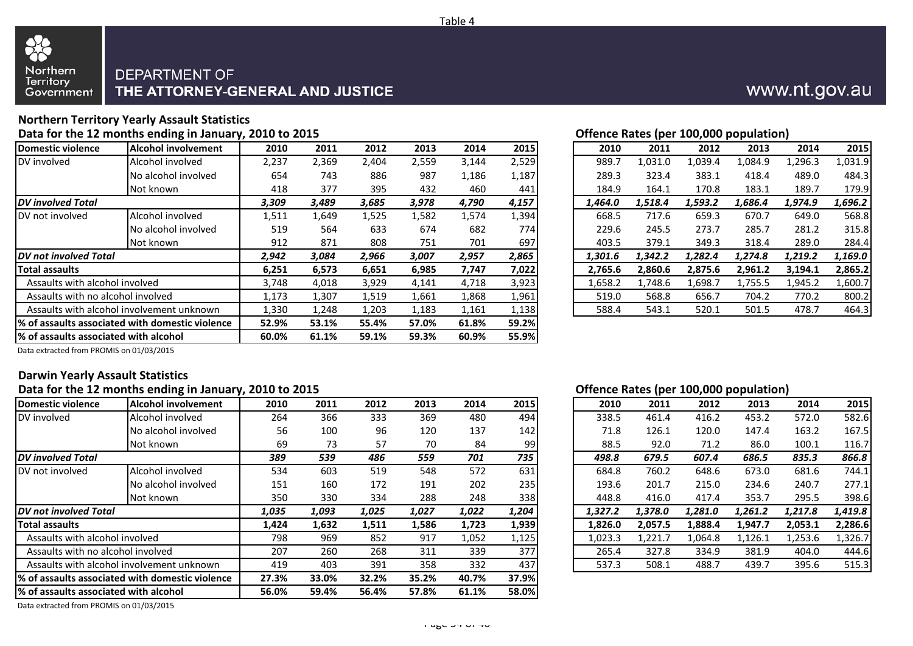

82

Northern

Territory

Government

### **DEPARTMENT OF** THE ATTORNEY-GENERAL AND JUSTICE

#### **Northern Territory Yearly Assault Statistics** Data for the 12 months ending in January, 2010 to 2015

|                                       |                                                  | Data for the 12 months ending in January, 2010 to 2015<br>Unche nates (per 100,000 population) |       |       |       |       |       |  |         |         |         |         |         |         |
|---------------------------------------|--------------------------------------------------|------------------------------------------------------------------------------------------------|-------|-------|-------|-------|-------|--|---------|---------|---------|---------|---------|---------|
| Domestic violence                     | <b>Alcohol involvement</b>                       | 2010                                                                                           | 2011  | 2012  | 2013  | 2014  | 2015  |  | 2010    | 2011    | 2012    | 2013    | 2014    | 2015    |
| DV involved                           | Alcohol involved                                 | 2,237                                                                                          | 2,369 | 2,404 | 2,559 | 3,144 | 2,529 |  | 989.7   | 1,031.0 | 1,039.4 | .084.9  | 1,296.3 | 1,031.9 |
|                                       | No alcohol involved                              | 654                                                                                            | 743   | 886   | 987   | 1,186 | 1,187 |  | 289.3   | 323.4   | 383.1   | 418.4   | 489.0   | 484.3   |
|                                       | Not known                                        | 418                                                                                            | 377   | 395   | 432   | 460   | 441   |  | 184.9   | 164.1   | 170.8   | 183.1   | 189.7   | 179.9   |
| <b>DV</b> involved Total              |                                                  | 3,309                                                                                          | 3,489 | 3,685 | 3,978 | 4,790 | 4,157 |  | 1,464.0 | 1,518.4 | 1,593.2 | 1,686.4 | 1,974.9 | 1,696.2 |
| <b>IDV</b> not involved               | Alcohol involved                                 | 1,511                                                                                          | 1,649 | 1,525 | 1,582 | 1,574 | 1,394 |  | 668.5   | 717.6   | 659.3   | 670.7   | 649.0   | 568.8   |
|                                       | No alcohol involved                              | 519                                                                                            | 564   | 633   | 674   | 682   | 774   |  | 229.6   | 245.5   | 273.7   | 285.7   | 281.2   | 315.8   |
|                                       | Not known                                        | 912                                                                                            | 871   | 808   | 751   | 701   | 697   |  | 403.5   | 379.1   | 349.3   | 318.4   | 289.0   | 284.4   |
| <b>IDV</b> not involved Total         |                                                  | 2,942                                                                                          | 3,084 | 2,966 | 3,007 | 2,957 | 2,865 |  | 1,301.6 | 1,342.2 | 1,282.4 | 1,274.8 | 1,219.2 | 1,169.0 |
| <b>Total assaults</b>                 |                                                  | 6,251                                                                                          | 6,573 | 6,651 | 6,985 | 7,747 | 7,022 |  | 2,765.6 | 2,860.6 | 2,875.6 | 2,961.2 | 3,194.1 | 2,865.2 |
| Assaults with alcohol involved        |                                                  | 3,748                                                                                          | 4,018 | 3,929 | 4,141 | 4,718 | 3,923 |  | 1,658.2 | 1,748.6 | 1,698.7 | 1,755.5 | 1,945.2 | 1,600.7 |
| Assaults with no alcohol involved     |                                                  | 1,173                                                                                          | 1,307 | 1,519 | 1,661 | 1,868 | 1,961 |  | 519.0   | 568.8   | 656.7   | 704.2   | 770.2   | 800.2   |
|                                       | Assaults with alcohol involvement unknown        | 1,330                                                                                          | 1,248 | 1,203 | 1,183 | 1,161 | 1,138 |  | 588.4   | 543.1   | 520.1   | 501.5   | 478.7   | 464.3   |
|                                       | 1% of assaults associated with domestic violence | 52.9%                                                                                          | 53.1% | 55.4% | 57.0% | 61.8% | 59.2% |  |         |         |         |         |         |         |
| % of assaults associated with alcohol |                                                  | 60.0%                                                                                          | 61.1% | 59.1% | 59.3% | 60.9% | 55.9% |  |         |         |         |         |         |         |

|  |  | Offence Rates (per 100,000 population) |
|--|--|----------------------------------------|
|  |  |                                        |

| 2010    | 2011    | 2012    | 2013    | 2014    | 2015    |
|---------|---------|---------|---------|---------|---------|
| 989.7   | 1,031.0 | 1,039.4 | 1,084.9 | 1,296.3 | 1,031.9 |
| 289.3   | 323.4   | 383.1   | 418.4   | 489.0   | 484.3   |
| 184.9   | 164.1   | 170.8   | 183.1   | 189.7   | 179.9   |
| 1,464.0 | 1,518.4 | 1,593.2 | 1,686.4 | 1,974.9 | 1,696.2 |
| 668.5   | 717.6   | 659.3   | 670.7   | 649.0   | 568.8   |
| 229.6   | 245.5   | 273.7   | 285.7   | 281.2   | 315.8   |
| 403.5   | 379.1   | 349.3   | 318.4   | 289.0   | 284.4   |
| 1,301.6 | 1,342.2 | 1,282.4 | 1,274.8 | 1,219.2 | 1,169.0 |
| 2,765.6 | 2,860.6 | 2,875.6 | 2,961.2 | 3,194.1 | 2,865.2 |
| 1,658.2 | 1,748.6 | 1,698.7 | 1,755.5 | 1,945.2 | 1,600.7 |
| 519.0   | 568.8   | 656.7   | 704.2   | 770.2   | 800.2   |
| 588.4   | 543.1   | 520.1   | 501.5   | 478.7   | 464.3   |
|         |         |         |         |         |         |

Data extracted from PROMIS on 01/03/2015

### **Darwin Yearly Assault Statistics**

#### **Data for the 12 months ending in January, 2010 to 2015 Offence Rates (per 100,000 population)**

| Domestic violence                     | <b>Alcohol involvement</b>                       | 2010  | 2011  | 2012  | 2013  | 2014  | 2015  | 2010    | 2011    | 2012    | 2013    | 2014    | 2015    |
|---------------------------------------|--------------------------------------------------|-------|-------|-------|-------|-------|-------|---------|---------|---------|---------|---------|---------|
| DV involved                           | Alcohol involved                                 | 264   | 366   | 333   | 369   | 480   | 494   | 338.5   | 461.4   | 416.2   | 453.2   | 572.0   | 582.6   |
|                                       | No alcohol involved                              | 56    | 100   | 96    | 120   | 137   | 142   | 71.8    | 126.1   | 120.0   | 147.4   | 163.2   | 167.5   |
|                                       | Not known                                        | 69    | 73    | 57    | 70    | 84    | 99    | 88.5    | 92.0    | 71.2    | 86.0    | 100.1   | 116.7   |
| <b>DV</b> involved Total              |                                                  | 389   | 539   | 486   | 559   | 701   | 735   | 498.8   | 679.5   | 607.4   | 686.5   | 835.3   | 866.8   |
| <b>IDV</b> not involved               | Alcohol involved                                 | 534   | 603   | 519   | 548   | 572   | 631   | 684.8   | 760.2   | 648.6   | 673.0   | 681.6   | 744.1   |
|                                       | No alcohol involved                              | 151   | 160   | 172   | 191   | 202   | 235   | 193.6   | 201.7   | 215.0   | 234.6   | 240.7   | 277.1   |
|                                       | Not known                                        | 350   | 330   | 334   | 288   | 248   | 338   | 448.8   | 416.0   | 417.4   | 353.7   | 295.5   | 398.6   |
| <b>IDV</b> not involved Total         |                                                  | 1,035 | 1,093 | 1,025 | 1,027 | 1,022 | 1,204 | 1.327.2 | 1.378.0 | 1,281.0 | 1,261.2 | 1,217.8 | 1,419.8 |
| <b>Total assaults</b>                 |                                                  | 1,424 | 1,632 | 1,511 | 1,586 | 1,723 | 1,939 | 1,826.0 | 2,057.5 | 1,888.4 | 1,947.7 | 2,053.1 | 2,286.6 |
| Assaults with alcohol involved        |                                                  | 798   | 969   | 852   | 917   | 1,052 | 1,125 | 1,023.3 | 1,221.7 | 1,064.8 | 1,126.1 | 1,253.6 | 1,326.7 |
| Assaults with no alcohol involved     |                                                  | 207   | 260   | 268   | 311   | 339   | 377   | 265.4   | 327.8   | 334.9   | 381.9   | 404.0   | 444.6   |
|                                       | Assaults with alcohol involvement unknown        | 419   | 403   | 391   | 358   | 332   | 437   | 537.3   | 508.1   | 488.7   | 439.7   | 395.6   | 515.3   |
|                                       | 1% of assaults associated with domestic violence | 27.3% | 33.0% | 32.2% | 35.2% | 40.7% | 37.9% |         |         |         |         |         |         |
| % of assaults associated with alcohol |                                                  | 56.0% | 59.4% | 56.4% | 57.8% | 61.1% | 58.0% |         |         |         |         |         |         |

| 2010    | 2011    | 2012    | 2013    | 2014    | 2015    |
|---------|---------|---------|---------|---------|---------|
| 338.5   | 461.4   | 416.2   | 453.2   | 572.0   | 582.6   |
| 71.8    | 126.1   | 120.0   | 147.4   | 163.2   | 167.5   |
| 88.5    | 92.0    | 71.2    | 86.0    | 100.1   | 116.7   |
| 498.8   | 679.5   | 607.4   | 686.5   | 835.3   | 866.8   |
| 684.8   | 760.2   | 648.6   | 673.0   | 681.6   | 744.1   |
| 193.6   | 201.7   | 215.0   | 234.6   | 240.7   | 277.1   |
| 448.8   | 416.0   | 417.4   | 353.7   | 295.5   | 398.6   |
| 1,327.2 | 1,378.0 | 1,281.0 | 1,261.2 | 1,217.8 | 1,419.8 |
| 1,826.0 | 2,057.5 | 1,888.4 | 1,947.7 | 2,053.1 | 2,286.6 |
| 1,023.3 | 1,221.7 | 1,064.8 | 1,126.1 | 1,253.6 | 1,326.7 |
| 265.4   | 327.8   | 334.9   | 381.9   | 404.0   | 444.6   |
| 537.3   | 508.1   | 488.7   | 439.7   | 395.6   | 515.3   |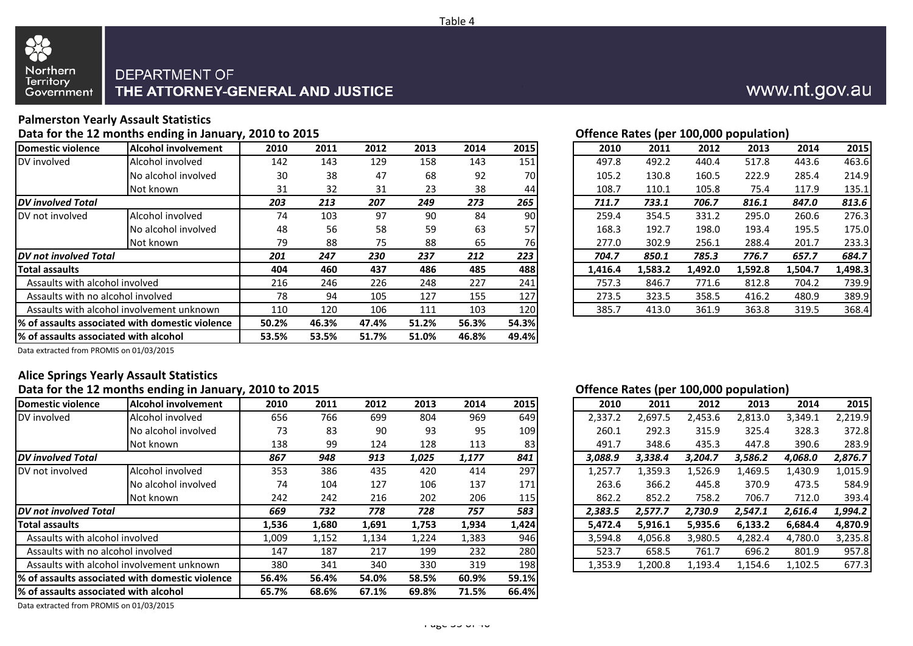



### **Palmerston Yearly Assault Statistics**

### Data for the 12 months ending in January, 2010 to 2015 **Data in the U.S. Concrete Concrete Active Concrete Active Concrete Actes (per 100,000 population)**

| Domestic violence                      | <b>Alcohol involvement</b>                      | 2010  | 2011  | 2012  | 2013  | 2014  | 2015  | 2010    | 2011    | 2012    | 2013    | 2014    | 2015    |
|----------------------------------------|-------------------------------------------------|-------|-------|-------|-------|-------|-------|---------|---------|---------|---------|---------|---------|
| DV involved                            | Alcohol involved                                | 142   | 143   | 129   | 158   | 143   | 151   | 497.8   | 492.2   | 440.4   | 517.8   | 443.6   | 463.6   |
|                                        | No alcohol involved                             | 30    | 38    | 47    | 68    | 92    | 70I   | 105.2   | 130.8   | 160.5   | 222.9   | 285.4   | 214.9   |
|                                        | Not known                                       | 31    | 32    | 31    | 23    | 38    | 44    | 108.7   | 110.1   | 105.8   | 75.4    | 117.9   | 135.1   |
| <b>DV</b> involved Total               |                                                 | 203   | 213   | 207   | 249   | 273   | 265   | 711.7   | 733.1   | 706.7   | 816.1   | 847.0   | 813.6   |
| DV not involved                        | Alcohol involved                                | 74    | 103   | 97    | 90    | 84    | 90I   | 259.4   | 354.5   | 331.2   | 295.0   | 260.6   | 276.3   |
|                                        | No alcohol involved                             | 48    | 56    | 58    | 59    | 63    | 57    | 168.3   | 192.7   | 198.0   | 193.4   | 195.5   | 175.0   |
|                                        | Not known                                       | 79    | 88    | 75    | 88    | 65    | 76I   | 277.0   | 302.9   | 256.1   | 288.4   | 201.7   | 233.3   |
| <b>IDV</b> not involved Total          |                                                 | 201   | 247   | 230   | 237   | 212   | 223   | 704.7   | 850.1   | 785.3   | 776.7   | 657.7   | 684.7   |
| Total assaults                         |                                                 | 404   | 460   | 437   | 486   | 485   | 488   | 1,416.4 | 1,583.2 | 1,492.0 | 1,592.8 | 1,504.7 | 1,498.3 |
| Assaults with alcohol involved         |                                                 | 216   | 246   | 226   | 248   | 227   | 241   | 757.3   | 846.7   | 771.6   | 812.8   | 704.2   | 739.9   |
| Assaults with no alcohol involved      |                                                 | 78    | 94    | 105   | 127   | 155   | 127   | 273.5   | 323.5   | 358.5   | 416.2   | 480.9   | 389.9   |
|                                        | Assaults with alcohol involvement unknown       | 110   | 120   | 106   | 111   | 103   | 120   | 385.7   | 413.0   | 361.9   | 363.8   | 319.5   | 368.4   |
|                                        | % of assaults associated with domestic violence | 50.2% | 46.3% | 47.4% | 51.2% | 56.3% | 54.3% |         |         |         |         |         |         |
| 1% of assaults associated with alcohol |                                                 | 53.5% | 53.5% | 51.7% | 51.0% | 46.8% | 49.4% |         |         |         |         |         |         |

|  | Offence Rates (per 100.000 population) |  |
|--|----------------------------------------|--|
|  |                                        |  |

| 2010    | 2011    | 2012    | 2013    | 2014    | 2015    |
|---------|---------|---------|---------|---------|---------|
| 497.8   | 492.2   | 440.4   | 517.8   | 443.6   | 463.6   |
| 105.2   | 130.8   | 160.5   | 222.9   | 285.4   | 214.9   |
| 108.7   | 110.1   | 105.8   | 75.4    | 117.9   | 135.1   |
| 711.7   | 733.1   | 706.7   | 816.1   | 847.0   | 813.6   |
| 259.4   | 354.5   | 331.2   | 295.0   | 260.6   | 276.3   |
| 168.3   | 192.7   | 198.0   | 193.4   | 195.5   | 175.0   |
| 277.0   | 302.9   | 256.1   | 288.4   | 201.7   | 233.3   |
| 704.7   | 850.1   | 785.3   | 776.7   | 657.7   | 684.7   |
| 1,416.4 | 1,583.2 | 1,492.0 | 1,592.8 | 1,504.7 | 1,498.3 |
| 757.3   | 846.7   | 771.6   | 812.8   | 704.2   | 739.9   |
| 273.5   | 323.5   | 358.5   | 416.2   | 480.9   | 389.9   |
| 385.7   | 413.0   | 361.9   | 363.8   | 319.5   | 368.4   |

Data extracted from PROMIS on 01/03/2015

## **Alice Springs Yearly Assault Statistics**

### **Data for the 12 months ending in January, 2010 to 2015 Offence Rates (per 100,000 population)**

| Domestic violence                      | <b>Alcohol involvement</b>                      | 2010  | 2011  | 2012  | 2013  | 2014  | 2015  | 2010    | 2011    | 2012    | 2013    | 2014    | 2015    |
|----------------------------------------|-------------------------------------------------|-------|-------|-------|-------|-------|-------|---------|---------|---------|---------|---------|---------|
| DV involved                            | Alcohol involved                                | 656   | 766   | 699   | 804   | 969   | 649   | 2,337.2 | 2,697.5 | 2,453.6 | 2,813.0 | 3,349.1 | 2,219.9 |
|                                        | No alcohol involved                             | 73    | 83    | 90    | 93    | 95    | 109   | 260.1   | 292.3   | 315.9   | 325.4   | 328.3   | 372.8   |
|                                        | Not known                                       | 138   | 99    | 124   | 128   | 113   | 83    | 491.7   | 348.6   | 435.3   | 447.8   | 390.6   | 283.9   |
| <b>DV</b> involved Total               |                                                 | 867   | 948   | 913   | 1,025 | 1,177 | 841   | 3.088.9 | 3,338.4 | 3,204.7 | 3,586.2 | 4,068.0 | 2,876.7 |
| DV not involved                        | Alcohol involved                                | 353   | 386   | 435   | 420   | 414   | 297   | 1,257.7 | 1,359.3 | 1,526.9 | .469.5  | 1,430.9 | 1,015.9 |
|                                        | No alcohol involved                             | 74    | 104   | 127   | 106   | 137   | 171   | 263.6   | 366.2   | 445.8   | 370.9   | 473.5   | 584.9   |
|                                        | Not known                                       | 242   | 242   | 216   | 202   | 206   | 115   | 862.2   | 852.2   | 758.2   | 706.7   | 712.0   | 393.4   |
| <b>IDV</b> not involved Total          |                                                 | 669   | 732   | 778   | 728   | 757   | 583   | 2.383.5 | 2.577.7 | 2,730.9 | 2,547.1 | 2,616.4 | 1,994.2 |
| <b>Total assaults</b>                  |                                                 | 1,536 | 1,680 | 1,691 | 1,753 | 1,934 | 1,424 | 5,472.4 | 5,916.1 | 5,935.6 | 6,133.2 | 6,684.4 | 4,870.9 |
| Assaults with alcohol involved         |                                                 | 1,009 | 1,152 | 1,134 | 1,224 | 1,383 | 946   | 3,594.8 | 4,056.8 | 3,980.5 | 4,282.4 | 4,780.0 | 3,235.8 |
| Assaults with no alcohol involved      |                                                 | 147   | 187   | 217   | 199   | 232   | 280   | 523.7   | 658.5   | 761.7   | 696.2   | 801.9   | 957.8   |
|                                        | Assaults with alcohol involvement unknown       | 380   | 341   | 340   | 330   | 319   | 198   | 1,353.9 | 1,200.8 | 1,193.4 | 1,154.6 | 1,102.5 | 677.3   |
|                                        | % of assaults associated with domestic violence | 56.4% | 56.4% | 54.0% | 58.5% | 60.9% | 59.1% |         |         |         |         |         |         |
| I% of assaults associated with alcohol |                                                 | 65.7% | 68.6% | 67.1% | 69.8% | 71.5% | 66.4% |         |         |         |         |         |         |

| 2010    | 2011    | 2012    | 2013    | 2014    | 2015    |
|---------|---------|---------|---------|---------|---------|
| 2,337.2 | 2,697.5 | 2,453.6 | 2,813.0 | 3,349.1 | 2,219.9 |
| 260.1   | 292.3   | 315.9   | 325.4   | 328.3   | 372.8   |
| 491.7   | 348.6   | 435.3   | 447.8   | 390.6   | 283.9   |
| 3,088.9 | 3,338.4 | 3,204.7 | 3,586.2 | 4,068.0 | 2,876.7 |
| 1,257.7 | 1,359.3 | 1,526.9 | 1,469.5 | 1,430.9 | 1,015.9 |
| 263.6   | 366.2   | 445.8   | 370.9   | 473.5   | 584.9   |
| 862.2   | 852.2   | 758.2   | 706.7   | 712.0   | 393.4   |
| 2,383.5 | 2,577.7 | 2,730.9 | 2,547.1 | 2,616.4 | 1,994.2 |
| 5,472.4 | 5,916.1 | 5,935.6 | 6,133.2 | 6,684.4 | 4,870.9 |
| 3,594.8 | 4,056.8 | 3,980.5 | 4,282.4 | 4,780.0 | 3,235.8 |
| 523.7   | 658.5   | 761.7   | 696.2   | 801.9   | 957.8   |
| 1,353.9 | 1,200.8 | 1,193.4 | 1,154.6 | 1,102.5 | 677.3   |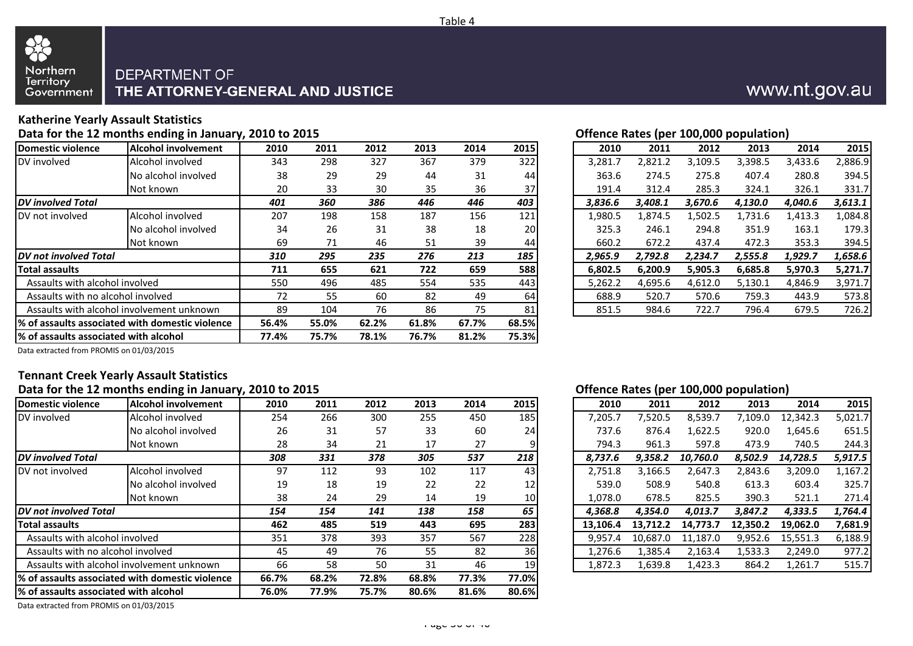



### **Katherine Yearly Assault Statistics**

### Data for the 12 months ending in January, 2010 to 2015 **Data in the U.S. Concrete Concrete Active Concrete Active Concrete Active Concrete Actes (per 100,000 population)**

| <b>Domestic violence</b>              | <b>Alcohol involvement</b>                      | 2010  | 2011  | 2012  | 2013  | 2014  | 2015      | 2010    | 2011    | 2012    | 2013    | 2014    | 2015    |
|---------------------------------------|-------------------------------------------------|-------|-------|-------|-------|-------|-----------|---------|---------|---------|---------|---------|---------|
| DV involved                           | Alcohol involved                                | 343   | 298   | 327   | 367   | 379   | 322       | 3,281.7 | 2,821.2 | 3,109.5 | 3,398.5 | 3,433.6 | 2,886.9 |
|                                       | No alcohol involved                             | 38    | 29    | 29    | 44    | 31    | 44        | 363.6   | 274.5   | 275.8   | 407.4   | 280.8   | 394.5   |
|                                       | Not known                                       | 20    | 33    | 30    | 35    | 36    | 37        | 191.4   | 312.4   | 285.3   | 324.1   | 326.1   | 331.7   |
| <b>DV</b> involved Total              |                                                 | 401   | 360   | 386   | 446   | 446   | 403       | 3,836.6 | 3,408.1 | 3,670.6 | 4,130.0 | 4,040.6 | 3,613.1 |
| DV not involved                       | Alcohol involved                                | 207   | 198   | 158   | 187   | 156   | 121       | 1,980.5 | 1,874.5 | 1,502.5 | 1,731.6 | 1,413.3 | 1,084.8 |
|                                       | No alcohol involved                             | 34    | 26    | 31    | 38    | 18    | <b>20</b> | 325.3   | 246.1   | 294.8   | 351.9   | 163.1   | 179.3   |
|                                       | Not known                                       | 69    | 71    | 46    | 51    | 39    | 44        | 660.2   | 672.2   | 437.4   | 472.3   | 353.3   | 394.5   |
| <b>DV</b> not involved Total          |                                                 | 310   | 295   | 235   | 276   | 213   | 185       | 2,965.9 | 2,792.8 | 2,234.7 | 2,555.8 | 1,929.7 | 1,658.6 |
| <b>Total assaults</b>                 |                                                 | 711   | 655   | 621   | 722   | 659   | 588       | 6,802.5 | 6,200.9 | 5,905.3 | 6,685.8 | 5,970.3 | 5,271.7 |
| Assaults with alcohol involved        |                                                 | 550   | 496   | 485   | 554   | 535   | 443       | 5,262.2 | 4,695.6 | 4,612.0 | 5,130.1 | 4,846.9 | 3,971.7 |
| Assaults with no alcohol involved     |                                                 | 72    | 55    | 60    | 82    | 49    | 64        | 688.9   | 520.7   | 570.6   | 759.3   | 443.9   | 573.8   |
|                                       | Assaults with alcohol involvement unknown       | 89    | 104   | 76    | 86    | 75    | 81        | 851.5   | 984.6   | 722.7   | 796.4   | 679.5   | 726.2   |
|                                       | % of assaults associated with domestic violence | 56.4% | 55.0% | 62.2% | 61.8% | 67.7% | 68.5%     |         |         |         |         |         |         |
| % of assaults associated with alcohol |                                                 | 77.4% | 75.7% | 78.1% | 76.7% | 81.2% | 75.3%     |         |         |         |         |         |         |

| Offence Rates (per 100.000 population) |  |  |  |  |
|----------------------------------------|--|--|--|--|
|                                        |  |  |  |  |

| 2010    | 2011    | 2012    | 2013    | 2014    | 2015    |
|---------|---------|---------|---------|---------|---------|
| 3,281.7 | 2,821.2 | 3,109.5 | 3,398.5 | 3,433.6 | 2,886.9 |
| 363.6   | 274.5   | 275.8   | 407.4   | 280.8   | 394.5   |
| 191.4   | 312.4   | 285.3   | 324.1   | 326.1   | 331.7   |
| 3,836.6 | 3,408.1 | 3,670.6 | 4,130.0 | 4,040.6 | 3,613.1 |
| 1,980.5 | 1,874.5 | 1,502.5 | 1,731.6 | 1,413.3 | 1,084.8 |
| 325.3   | 246.1   | 294.8   | 351.9   | 163.1   | 179.3   |
| 660.2   | 672.2   | 437.4   | 472.3   | 353.3   | 394.5   |
| 2,965.9 | 2,792.8 | 2,234.7 | 2,555.8 | 1,929.7 | 1,658.6 |
| 6,802.5 | 6,200.9 | 5,905.3 | 6,685.8 | 5,970.3 | 5,271.7 |
| 5,262.2 | 4,695.6 | 4,612.0 | 5,130.1 | 4,846.9 | 3,971.7 |
| 688.9   | 520.7   | 570.6   | 759.3   | 443.9   | 573.8   |
| 851.5   | 984.6   | 722.7   | 796.4   | 679.5   | 726.2   |

Data extracted from PROMIS on 01/03/2015

## **Tennant Creek Yearly Assault Statistics**

### **Data for the 12 months ending in January, 2010 to 2015 Offence Rates (per 100,000 population)**

| Domestic violence                     | <b>Alcohol involvement</b>                       | 2010  | 2011  | 2012  | 2013  | 2014  | 2015            | 2010     | 2011     | 2012     | 2013     | 2014     | 2015    |
|---------------------------------------|--------------------------------------------------|-------|-------|-------|-------|-------|-----------------|----------|----------|----------|----------|----------|---------|
| DV involved                           | Alcohol involved                                 | 254   | 266   | 300   | 255   | 450   | 185             | 7,205.7  | 7,520.5  | 8,539.7  | 109.0,   | 12,342.3 | 5,021.7 |
|                                       | No alcohol involved                              | 26    | 31    | 57    | 33    | 60    | 24              | 737.6    | 876.4    | 1,622.5  | 920.0    | 1,645.6  | 651.5   |
|                                       | Not known                                        | 28    | 34    | 21    | 17    | 27    |                 | 794.3    | 961.3    | 597.8    | 473.9    | 740.5    | 244.3   |
| <b>DV</b> involved Total              |                                                  | 308   | 331   | 378   | 305   | 537   | 218             | 8.737.6  | 9,358.2  | 10,760.0 | 8,502.9  | 14,728.5 | 5,917.5 |
| <b>IDV</b> not involved               | Alcohol involved                                 | 97    | 112   | 93    | 102   | 117   | 431             | 2,751.8  | 3,166.5  | 2,647.3  | 2,843.6  | 3,209.0  | 1,167.2 |
|                                       | No alcohol involved                              | 19    | 18    | 19    | 22    | 22    | 12              | 539.0    | 508.9    | 540.8    | 613.3    | 603.4    | 325.7   |
|                                       | Not known                                        | 38    | 24    | 29    | 14    | 19    | 10 <sup>1</sup> | 1,078.0  | 678.5    | 825.5    | 390.3    | 521.1    | 271.4   |
| <b>IDV</b> not involved Total         |                                                  | 154   | 154   | 141   | 138   | 158   | 65              | 4,368.8  | 4,354.0  | 4,013.7  | 3.847.2  | 4,333.5  | 1,764.4 |
| Total assaults                        |                                                  | 462   | 485   | 519   | 443   | 695   | 283             | 13,106.4 | 13,712.2 | 14,773.7 | 12,350.2 | 19,062.0 | 7,681.9 |
| Assaults with alcohol involved        |                                                  | 351   | 378   | 393   | 357   | 567   | 228             | 9,957.4  | 10.687.0 | 11.187.0 | 9,952.6  | 15,551.3 | 6,188.9 |
| Assaults with no alcohol involved     |                                                  | 45    | 49    | 76    | 55    | 82    | 36 <sup>l</sup> | 1,276.6  | 1,385.4  | 2,163.4  | .,533.3  | 2,249.0  | 977.2   |
|                                       | Assaults with alcohol involvement unknown        | 66    | 58    | 50    | 31    | 46    | 19              | 1,872.3  | 1,639.8  | 1,423.3  | 864.2    | 1,261.7  | 515.7   |
|                                       | l% of assaults associated with domestic violence | 66.7% | 68.2% | 72.8% | 68.8% | 77.3% | 77.0%           |          |          |          |          |          |         |
| % of assaults associated with alcohol |                                                  | 76.0% | 77.9% | 75.7% | 80.6% | 81.6% | 80.6%           |          |          |          |          |          |         |

| 2010     | 2011     | 2012     | 2013     | 2014     | 2015    |
|----------|----------|----------|----------|----------|---------|
| 7,205.7  | 7,520.5  | 8,539.7  | 7,109.0  | 12,342.3 | 5,021.7 |
| 737.6    | 876.4    | 1,622.5  | 920.0    | 1,645.6  | 651.5   |
| 794.3    | 961.3    | 597.8    | 473.9    | 740.5    | 244.3   |
| 8,737.6  | 9,358.2  | 10,760.0 | 8,502.9  | 14,728.5 | 5,917.5 |
| 2,751.8  | 3,166.5  | 2,647.3  | 2,843.6  | 3,209.0  | 1,167.2 |
| 539.0    | 508.9    | 540.8    | 613.3    | 603.4    | 325.7   |
| 1,078.0  | 678.5    | 825.5    | 390.3    | 521.1    | 271.4   |
| 4,368.8  | 4,354.0  | 4,013.7  | 3,847.2  | 4,333.5  | 1,764.4 |
| 13,106.4 | 13,712.2 | 14,773.7 | 12,350.2 | 19,062.0 | 7,681.9 |
| 9,957.4  | 10,687.0 | 11,187.0 | 9,952.6  | 15,551.3 | 6,188.9 |
| 1,276.6  | 1,385.4  | 2,163.4  | 1,533.3  | 2,249.0  | 977.2   |
| 1,872.3  | 1,639.8  | 1,423.3  | 864.2    | 1,261.7  | 515.7   |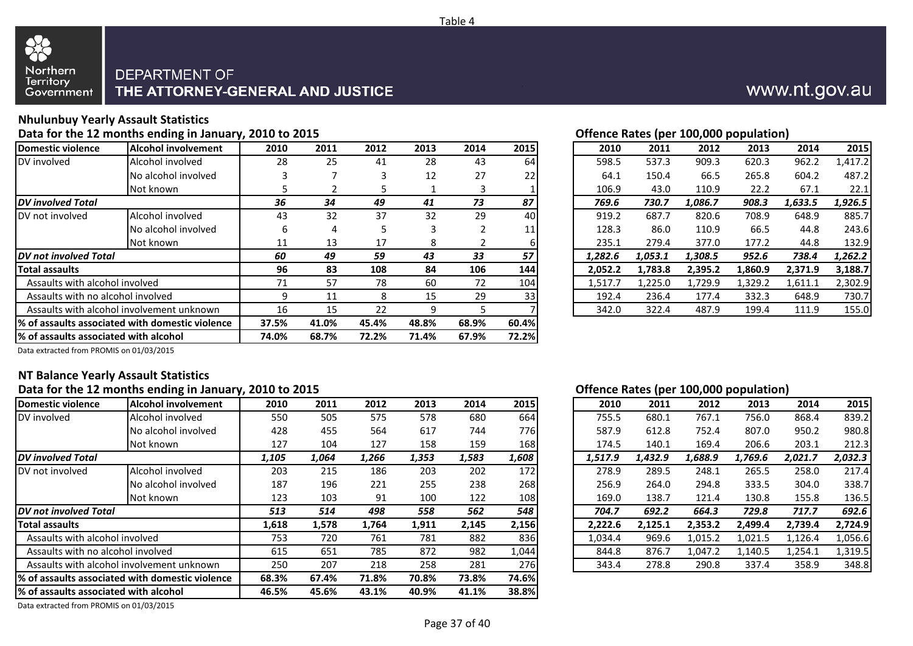



## **Nhulunbuy Yearly Assault Statistics**

### Data for the 12 months ending in January, 2010 to 2015 *Data in the Cates (per 100,000 population)*

| <b>Domestic violence</b>              | <b>Alcohol involvement</b>                      | 2010  | 2011  | 2012  | 2013  | 2014  | 2015  | 2010    | 2011    | 2012    | 2013    | 2014    | 2015    |
|---------------------------------------|-------------------------------------------------|-------|-------|-------|-------|-------|-------|---------|---------|---------|---------|---------|---------|
| DV involved                           | Alcohol involved                                | 28    | 25    | 41    | 28    | 43    | 64    | 598.5   | 537.3   | 909.3   | 620.3   | 962.2   | 1,417.2 |
|                                       | No alcohol involved                             | з     |       | 3     | 12    | 27    | 22    | 64.1    | 150.4   | 66.5    | 265.8   | 604.2   | 487.2   |
|                                       | Not known                                       |       |       |       |       | 3     |       | 106.9   | 43.0    | 110.9   | 22.2    | 67.1    | 22.1    |
| <b>DV</b> involved Total              |                                                 | 36    | 34    | 49    | 41    | 73    | 87    | 769.6   | 730.7   | 1,086.7 | 908.3   | 1,633.5 | 1,926.5 |
| DV not involved                       | Alcohol involved                                | 43    | 32    | 37    | 32    | 29    | 40    | 919.2   | 687.7   | 820.6   | 708.9   | 648.9   | 885.7   |
|                                       | No alcohol involved                             | 6     | 4     |       | 3     |       | 11    | 128.3   | 86.0    | 110.9   | 66.5    | 44.8    | 243.6   |
|                                       | Not known                                       | 11    | 13    | 17    | 8     |       |       | 235.1   | 279.4   | 377.0   | 177.2   | 44.8    | 132.9   |
| <b>DV</b> not involved Total          |                                                 | 60    | 49    | 59    | 43    | 33    | 57    | 1,282.6 | 1,053.1 | 1.308.5 | 952.6   | 738.4   | 1,262.2 |
| Total assaults                        |                                                 | 96    | 83    | 108   | 84    | 106   | 144   | 2,052.2 | 1,783.8 | 2,395.2 | 1,860.9 | 2,371.9 | 3,188.7 |
| Assaults with alcohol involved        |                                                 | 71    | 57    | 78    | 60    | 72    | 104   | 1,517.7 | 1,225.0 | 1,729.9 | L,329.2 | 1,611.1 | 2,302.9 |
| Assaults with no alcohol involved     |                                                 | q     | 11    | 8     | 15    | 29    | 33    | 192.4   | 236.4   | 177.4   | 332.3   | 648.9   | 730.7   |
|                                       | Assaults with alcohol involvement unknown       | 16    | 15    | 22    | 9     |       |       | 342.0   | 322.4   | 487.9   | 199.4   | 111.9   | 155.0   |
|                                       | % of assaults associated with domestic violence | 37.5% | 41.0% | 45.4% | 48.8% | 68.9% | 60.4% |         |         |         |         |         |         |
| % of assaults associated with alcohol |                                                 | 74.0% | 68.7% | 72.2% | 71.4% | 67.9% | 72.2% |         |         |         |         |         |         |

|         | Offerred Kates (per 100,000 population) |         |         |         |         |  |  |  |  |  |  |  |
|---------|-----------------------------------------|---------|---------|---------|---------|--|--|--|--|--|--|--|
| 2010    | 2011                                    | 2012    | 2013    | 2014    | 2015    |  |  |  |  |  |  |  |
| 598.5   | 537.3                                   | 909.3   | 620.3   | 962.2   | 1,417.2 |  |  |  |  |  |  |  |
| 64.1    | 150.4                                   | 66.5    | 265.8   | 604.2   | 487.2   |  |  |  |  |  |  |  |
| 106.9   | 43.0                                    | 110.9   | 22.2    | 67.1    | 22.1    |  |  |  |  |  |  |  |
| 769.6   | 730.7                                   | 1,086.7 | 908.3   | 1,633.5 | 1,926.5 |  |  |  |  |  |  |  |
| 919.2   | 687.7                                   | 820.6   | 708.9   | 648.9   | 885.7   |  |  |  |  |  |  |  |
| 128.3   | 86.0                                    | 110.9   | 66.5    | 44.8    | 243.6   |  |  |  |  |  |  |  |
| 235.1   | 279.4                                   | 377.0   | 177.2   | 44.8    | 132.9   |  |  |  |  |  |  |  |
| 1,282.6 | 1,053.1                                 | 1,308.5 | 952.6   | 738.4   | 1,262.2 |  |  |  |  |  |  |  |
| 2,052.2 | 1,783.8                                 | 2,395.2 | 1,860.9 | 2,371.9 | 3,188.7 |  |  |  |  |  |  |  |
| 1,517.7 | 1,225.0                                 | 1,729.9 | 1,329.2 | 1,611.1 | 2,302.9 |  |  |  |  |  |  |  |
| 192.4   | 236.4                                   | 177.4   | 332.3   | 648.9   | 730.7   |  |  |  |  |  |  |  |
| 342.0   | 322.4                                   | 487.9   | 199.4   | 111.9   | 155.0   |  |  |  |  |  |  |  |

Data extracted from PROMIS on 01/03/2015

## **NT Balance Yearly Assault Statistics**

#### **Data for the 12 months ending in January, 2010 to 2015 Offence Rates (per 100,000 population)**

| Domestic violence                      | <b>Alcohol involvement</b>                       | 2010  | 2011  | 2012  | 2013  | 2014  | 2015  | 2010    | 2011    | 2012    | 2013    | 2014    | 2015    |
|----------------------------------------|--------------------------------------------------|-------|-------|-------|-------|-------|-------|---------|---------|---------|---------|---------|---------|
| DV involved                            | Alcohol involved                                 | 550   | 505   | 575   | 578   | 680   | 664   | 755.5   | 680.1   | 767.1   | 756.0   | 868.4   | 839.2   |
|                                        | No alcohol involved                              | 428   | 455   | 564   | 617   | 744   | 776   | 587.9   | 612.8   | 752.4   | 807.0   | 950.2   | 980.8   |
|                                        | Not known                                        | 127   | 104   | 127   | 158   | 159   | 168   | 174.5   | 140.1   | 169.4   | 206.6   | 203.1   | 212.3   |
| <b>DV</b> involved Total               |                                                  | 1,105 | 1,064 | 1,266 | 1,353 | 1,583 | 1,608 | 1,517.9 | 1,432.9 | 1,688.9 | 1,769.6 | 2,021.7 | 2,032.3 |
| <b>IDV</b> not involved                | Alcohol involved                                 | 203   | 215   | 186   | 203   | 202   | 172   | 278.9   | 289.5   | 248.1   | 265.5   | 258.0   | 217.4   |
|                                        | No alcohol involved                              | 187   | 196   | 221   | 255   | 238   | 268   | 256.9   | 264.0   | 294.8   | 333.5   | 304.0   | 338.7   |
|                                        | Not known                                        | 123   | 103   | 91    | 100   | 122   | 108   | 169.0   | 138.7   | 121.4   | 130.8   | 155.8   | 136.5   |
| <b>IDV</b> not involved Total          |                                                  | 513   | 514   | 498   | 558   | 562   | 548   | 704.7   | 692.2   | 664.3   | 729.8   | 717.7   | 692.6   |
| <b>Total assaults</b>                  |                                                  | 1,618 | 1,578 | 1,764 | 1,911 | 2,145 | 2,156 | 2,222.6 | 2,125.1 | 2,353.2 | 2,499.4 | 2,739.4 | 2,724.9 |
| Assaults with alcohol involved         |                                                  | 753   | 720   | 761   | 781   | 882   | 836   | 1,034.4 | 969.6   | 1,015.2 | 1,021.5 | 1,126.4 | 1,056.6 |
| Assaults with no alcohol involved      |                                                  | 615   | 651   | 785   | 872   | 982   | 1,044 | 844.8   | 876.7   | 1,047.2 | 1,140.5 | 1,254.1 | 1,319.5 |
|                                        | Assaults with alcohol involvement unknown        | 250   | 207   | 218   | 258   | 281   | 276   | 343.4   | 278.8   | 290.8   | 337.4   | 358.9   | 348.8   |
|                                        | 1% of assaults associated with domestic violence | 68.3% | 67.4% | 71.8% | 70.8% | 73.8% | 74.6% |         |         |         |         |         |         |
| 1% of assaults associated with alcohol |                                                  | 46.5% | 45.6% | 43.1% | 40.9% | 41.1% | 38.8% |         |         |         |         |         |         |

| 2010    | 2011    | 2012    | 2013    | 2014    | 2015    |
|---------|---------|---------|---------|---------|---------|
| 755.5   | 680.1   | 767.1   | 756.0   | 868.4   | 839.2   |
| 587.9   | 612.8   | 752.4   | 807.0   | 950.2   | 980.8   |
| 174.5   | 140.1   | 169.4   | 206.6   | 203.1   | 212.3   |
| 1,517.9 | 1,432.9 | 1,688.9 | 1,769.6 | 2,021.7 | 2,032.3 |
| 278.9   | 289.5   | 248.1   | 265.5   | 258.0   | 217.4   |
| 256.9   | 264.0   | 294.8   | 333.5   | 304.0   | 338.7   |
| 169.0   | 138.7   | 121.4   | 130.8   | 155.8   | 136.5   |
| 704.7   | 692.2   | 664.3   | 729.8   | 717.7   | 692.6   |
| 2,222.6 | 2,125.1 | 2,353.2 | 2,499.4 | 2,739.4 | 2,724.9 |
| 1,034.4 | 969.6   | 1,015.2 | 1,021.5 | 1,126.4 | 1,056.6 |
| 844.8   | 876.7   | 1,047.2 | 1,140.5 | 1,254.1 | 1,319.5 |
| 343.4   | 278.8   | 290.8   | 337.4   | 358.9   | 348.8   |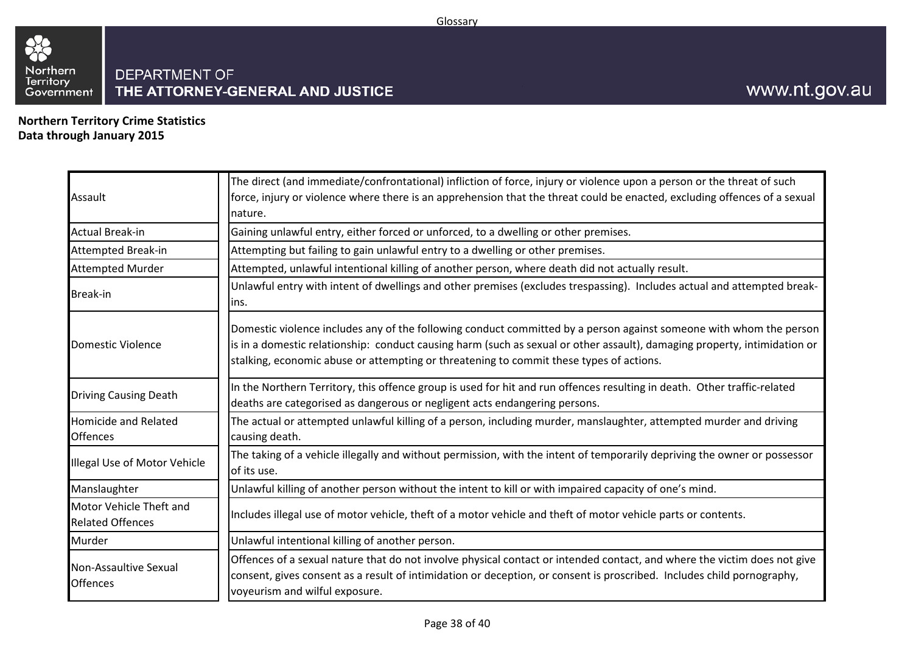

<span id="page-37-0"></span>**Northern Territory Crime Statistics Data through January 2015**

| Assault                                            | The direct (and immediate/confrontational) infliction of force, injury or violence upon a person or the threat of such<br>force, injury or violence where there is an apprehension that the threat could be enacted, excluding offences of a sexual<br>nature.                                                                             |  |  |  |  |  |
|----------------------------------------------------|--------------------------------------------------------------------------------------------------------------------------------------------------------------------------------------------------------------------------------------------------------------------------------------------------------------------------------------------|--|--|--|--|--|
| <b>Actual Break-in</b>                             | Gaining unlawful entry, either forced or unforced, to a dwelling or other premises.                                                                                                                                                                                                                                                        |  |  |  |  |  |
| <b>Attempted Break-in</b>                          | Attempting but failing to gain unlawful entry to a dwelling or other premises.                                                                                                                                                                                                                                                             |  |  |  |  |  |
| <b>Attempted Murder</b>                            | Attempted, unlawful intentional killing of another person, where death did not actually result.                                                                                                                                                                                                                                            |  |  |  |  |  |
| <b>Break-in</b>                                    | Unlawful entry with intent of dwellings and other premises (excludes trespassing). Includes actual and attempted break-<br>lins.                                                                                                                                                                                                           |  |  |  |  |  |
| Domestic Violence                                  | Domestic violence includes any of the following conduct committed by a person against someone with whom the person<br>is in a domestic relationship: conduct causing harm (such as sexual or other assault), damaging property, intimidation or<br>stalking, economic abuse or attempting or threatening to commit these types of actions. |  |  |  |  |  |
| <b>Driving Causing Death</b>                       | In the Northern Territory, this offence group is used for hit and run offences resulting in death. Other traffic-related<br>deaths are categorised as dangerous or negligent acts endangering persons.                                                                                                                                     |  |  |  |  |  |
| <b>Homicide and Related</b><br><b>Offences</b>     | The actual or attempted unlawful killing of a person, including murder, manslaughter, attempted murder and driving<br>causing death.                                                                                                                                                                                                       |  |  |  |  |  |
| Illegal Use of Motor Vehicle                       | The taking of a vehicle illegally and without permission, with the intent of temporarily depriving the owner or possessor<br>of its use.                                                                                                                                                                                                   |  |  |  |  |  |
| Manslaughter                                       | Unlawful killing of another person without the intent to kill or with impaired capacity of one's mind.                                                                                                                                                                                                                                     |  |  |  |  |  |
| Motor Vehicle Theft and<br><b>Related Offences</b> | Includes illegal use of motor vehicle, theft of a motor vehicle and theft of motor vehicle parts or contents.                                                                                                                                                                                                                              |  |  |  |  |  |
| Murder                                             | Unlawful intentional killing of another person.                                                                                                                                                                                                                                                                                            |  |  |  |  |  |
| Non-Assaultive Sexual<br><b>Offences</b>           | Offences of a sexual nature that do not involve physical contact or intended contact, and where the victim does not give<br>consent, gives consent as a result of intimidation or deception, or consent is proscribed. Includes child pornography,<br>voyeurism and wilful exposure.                                                       |  |  |  |  |  |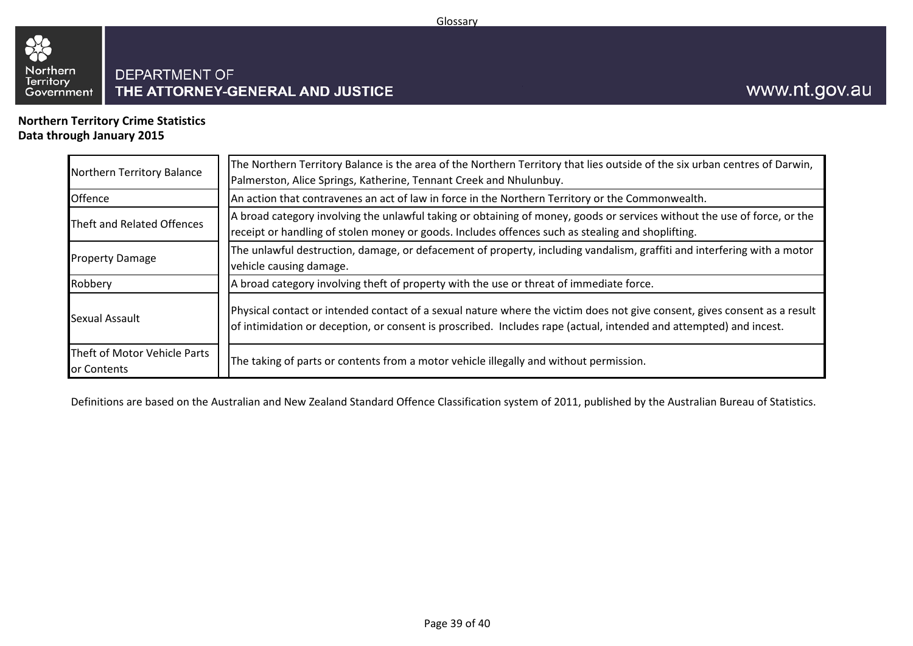

**Northern Territory Crime Statistics Data through January 2015**

| Northern Territory Balance                  | The Northern Territory Balance is the area of the Northern Territory that lies outside of the six urban centres of Darwin,<br>Palmerston, Alice Springs, Katherine, Tennant Creek and Nhulunbuy.                                                |  |  |  |  |  |
|---------------------------------------------|-------------------------------------------------------------------------------------------------------------------------------------------------------------------------------------------------------------------------------------------------|--|--|--|--|--|
| Offence                                     | An action that contravenes an act of law in force in the Northern Territory or the Commonwealth.                                                                                                                                                |  |  |  |  |  |
| Theft and Related Offences                  | A broad category involving the unlawful taking or obtaining of money, goods or services without the use of force, or the<br>receipt or handling of stolen money or goods. Includes offences such as stealing and shoplifting.                   |  |  |  |  |  |
| <b>Property Damage</b>                      | The unlawful destruction, damage, or defacement of property, including vandalism, graffiti and interfering with a motor<br>vehicle causing damage.                                                                                              |  |  |  |  |  |
| Robbery                                     | A broad category involving theft of property with the use or threat of immediate force.                                                                                                                                                         |  |  |  |  |  |
| Sexual Assault                              | Physical contact or intended contact of a sexual nature where the victim does not give consent, gives consent as a result<br>of intimidation or deception, or consent is proscribed. Includes rape (actual, intended and attempted) and incest. |  |  |  |  |  |
| Theft of Motor Vehicle Parts<br>or Contents | The taking of parts or contents from a motor vehicle illegally and without permission.                                                                                                                                                          |  |  |  |  |  |

Definitions are based on the Australian and New Zealand Standard Offence Classification system of 2011, published by the Australian Bureau of Statistics.